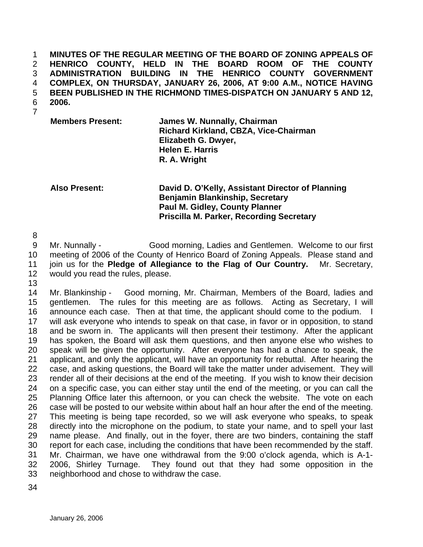**MINUTES OF THE REGULAR MEETING OF THE BOARD OF ZONING APPEALS OF HENRICO COUNTY, HELD IN THE BOARD ROOM OF THE COUNTY ADMINISTRATION BUILDING IN THE HENRICO COUNTY GOVERNMENT COMPLEX, ON THURSDAY, JANUARY 26, 2006, AT 9:00 A.M., NOTICE HAVING BEEN PUBLISHED IN THE RICHMOND TIMES-DISPATCH ON JANUARY 5 AND 12, 2006.**  1 2 3 4 5 6

7

**Members Present: James W. Nunnally, Chairman Richard Kirkland, CBZA, Vice-Chairman Elizabeth G. Dwyer, Helen E. Harris R. A. Wright** 

**Also Present: David D. O'Kelly, Assistant Director of Planning Benjamin Blankinship, Secretary Paul M. Gidley, County Planner Priscilla M. Parker, Recording Secretary** 

8

9 10 11 12 Mr. Nunnally - Good morning, Ladies and Gentlemen. Welcome to our first meeting of 2006 of the County of Henrico Board of Zoning Appeals. Please stand and join us for the **Pledge of Allegiance to the Flag of Our Country.** Mr. Secretary, would you read the rules, please.

13

14 15 16 17 18 19 20 21 22 23 24 25 26 27 28 29 30 31 32 33 Mr. Blankinship - Good morning, Mr. Chairman, Members of the Board, ladies and gentlemen. The rules for this meeting are as follows. Acting as Secretary, I will announce each case. Then at that time, the applicant should come to the podium. I will ask everyone who intends to speak on that case, in favor or in opposition, to stand and be sworn in. The applicants will then present their testimony. After the applicant has spoken, the Board will ask them questions, and then anyone else who wishes to speak will be given the opportunity. After everyone has had a chance to speak, the applicant, and only the applicant, will have an opportunity for rebuttal. After hearing the case, and asking questions, the Board will take the matter under advisement. They will render all of their decisions at the end of the meeting. If you wish to know their decision on a specific case, you can either stay until the end of the meeting, or you can call the Planning Office later this afternoon, or you can check the website. The vote on each case will be posted to our website within about half an hour after the end of the meeting. This meeting is being tape recorded, so we will ask everyone who speaks, to speak directly into the microphone on the podium, to state your name, and to spell your last name please. And finally, out in the foyer, there are two binders, containing the staff report for each case, including the conditions that have been recommended by the staff. Mr. Chairman, we have one withdrawal from the 9:00 o'clock agenda, which is A-1- 2006, Shirley Turnage. They found out that they had some opposition in the neighborhood and chose to withdraw the case.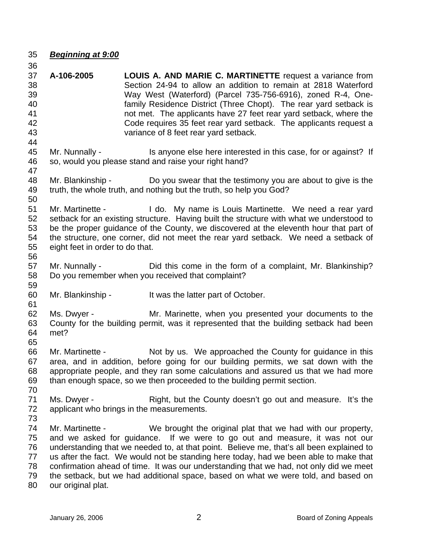35 *Beginning at 9:00*

59

61

- 36 37 38 39 40 41 42 43 44 45 46 47 48 49 50 **A-106-2005 LOUIS A. AND MARIE C. MARTINETTE** request a variance from Section 24-94 to allow an addition to remain at 2818 Waterford Way West (Waterford) (Parcel 735-756-6916), zoned R-4, Onefamily Residence District (Three Chopt). The rear yard setback is not met. The applicants have 27 feet rear yard setback, where the Code requires 35 feet rear yard setback. The applicants request a variance of 8 feet rear yard setback. Mr. Nunnally - Is anyone else here interested in this case, for or against? If so, would you please stand and raise your right hand? Mr. Blankinship - Do you swear that the testimony you are about to give is the truth, the whole truth, and nothing but the truth, so help you God?
- 51 52 53 54 55 Mr. Martinette - The do. My name is Louis Martinette. We need a rear yard setback for an existing structure. Having built the structure with what we understood to be the proper guidance of the County, we discovered at the eleventh hour that part of the structure, one corner, did not meet the rear yard setback. We need a setback of eight feet in order to do that.
- 56 57 58 Mr. Nunnally - Did this come in the form of a complaint, Mr. Blankinship? Do you remember when you received that complaint?
- 60 Mr. Blankinship - It was the latter part of October.
- 62 63 64 Ms. Dwyer - The Mr. Marinette, when you presented your documents to the County for the building permit, was it represented that the building setback had been met?
- 66 67 68 69 Mr. Martinette - Not by us. We approached the County for guidance in this area, and in addition, before going for our building permits, we sat down with the appropriate people, and they ran some calculations and assured us that we had more than enough space, so we then proceeded to the building permit section.
- 70 71 72 Ms. Dwyer - The Right, but the County doesn't go out and measure. It's the applicant who brings in the measurements.
- 73 74 75 76 77 78 79 80 Mr. Martinette - We brought the original plat that we had with our property, and we asked for guidance. If we were to go out and measure, it was not our understanding that we needed to, at that point. Believe me, that's all been explained to us after the fact. We would not be standing here today, had we been able to make that confirmation ahead of time. It was our understanding that we had, not only did we meet the setback, but we had additional space, based on what we were told, and based on our original plat.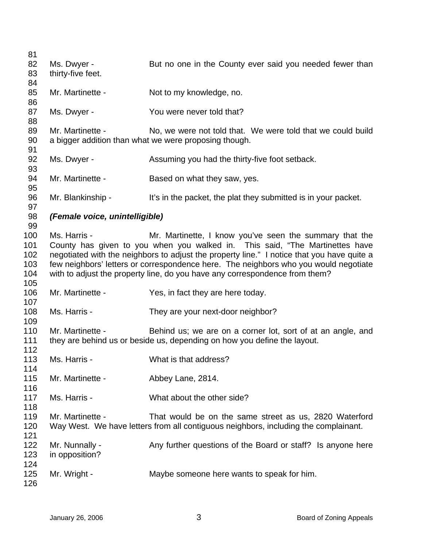| 81  |                                |                                                                                            |
|-----|--------------------------------|--------------------------------------------------------------------------------------------|
| 82  | Ms. Dwyer -                    | But no one in the County ever said you needed fewer than                                   |
| 83  | thirty-five feet.              |                                                                                            |
| 84  |                                |                                                                                            |
| 85  | Mr. Martinette -               | Not to my knowledge, no.                                                                   |
| 86  |                                |                                                                                            |
| 87  | Ms. Dwyer -                    | You were never told that?                                                                  |
| 88  |                                |                                                                                            |
| 89  | Mr. Martinette -               | No, we were not told that. We were told that we could build                                |
| 90  |                                | a bigger addition than what we were proposing though.                                      |
| 91  |                                |                                                                                            |
| 92  | Ms. Dwyer -                    | Assuming you had the thirty-five foot setback.                                             |
| 93  |                                |                                                                                            |
| 94  | Mr. Martinette -               | Based on what they saw, yes.                                                               |
| 95  |                                |                                                                                            |
| 96  | Mr. Blankinship -              | It's in the packet, the plat they submitted is in your packet.                             |
| 97  |                                |                                                                                            |
| 98  | (Female voice, unintelligible) |                                                                                            |
| 99  |                                |                                                                                            |
| 100 | Ms. Harris -                   | Mr. Martinette, I know you've seen the summary that the                                    |
| 101 |                                | County has given to you when you walked in. This said, "The Martinettes have               |
| 102 |                                | negotiated with the neighbors to adjust the property line." I notice that you have quite a |
| 103 |                                | few neighbors' letters or correspondence here. The neighbors who you would negotiate       |
| 104 |                                | with to adjust the property line, do you have any correspondence from them?                |
| 105 |                                |                                                                                            |
| 106 | Mr. Martinette -               | Yes, in fact they are here today.                                                          |
| 107 |                                |                                                                                            |
| 108 | Ms. Harris -                   | They are your next-door neighbor?                                                          |
| 109 |                                |                                                                                            |
| 110 | Mr. Martinette -               | Behind us; we are on a corner lot, sort of at an angle, and                                |
| 111 |                                | they are behind us or beside us, depending on how you define the layout.                   |
| 112 |                                |                                                                                            |
| 113 | Ms. Harris -                   | What is that address?                                                                      |
| 114 |                                |                                                                                            |
| 115 | Mr. Martinette -               | Abbey Lane, 2814.                                                                          |
| 116 |                                |                                                                                            |
| 117 | Ms. Harris -                   | What about the other side?                                                                 |
| 118 |                                |                                                                                            |
| 119 | Mr. Martinette -               | That would be on the same street as us, 2820 Waterford                                     |
| 120 |                                | Way West. We have letters from all contiguous neighbors, including the complainant.        |
| 121 |                                |                                                                                            |
| 122 | Mr. Nunnally -                 | Any further questions of the Board or staff? Is anyone here                                |
| 123 | in opposition?                 |                                                                                            |
| 124 |                                |                                                                                            |
| 125 | Mr. Wright -                   | Maybe someone here wants to speak for him.                                                 |
| 126 |                                |                                                                                            |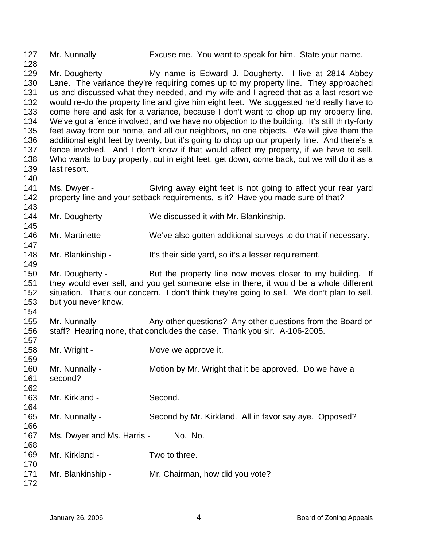127 128 Mr. Nunnally - Excuse me. You want to speak for him. State your name.

129 130 131 132 133 134 135 136 137 138 139 140 Mr. Dougherty - My name is Edward J. Dougherty. I live at 2814 Abbey Lane. The variance they're requiring comes up to my property line. They approached us and discussed what they needed, and my wife and I agreed that as a last resort we would re-do the property line and give him eight feet. We suggested he'd really have to come here and ask for a variance, because I don't want to chop up my property line. We've got a fence involved, and we have no objection to the building. It's still thirty-forty feet away from our home, and all our neighbors, no one objects. We will give them the additional eight feet by twenty, but it's going to chop up our property line. And there's a fence involved. And I don't know if that would affect my property, if we have to sell. Who wants to buy property, cut in eight feet, get down, come back, but we will do it as a last resort.

141 142 143 Ms. Dwyer - Giving away eight feet is not going to affect your rear yard property line and your setback requirements, is it? Have you made sure of that?

- 144 Mr. Dougherty - We discussed it with Mr. Blankinship.
- 146 Mr. Martinette - We've also gotten additional surveys to do that if necessary.
- 148 Mr. Blankinship - It's their side yard, so it's a lesser requirement.

150 151 152 153 Mr. Dougherty - But the property line now moves closer to my building. If they would ever sell, and you get someone else in there, it would be a whole different situation. That's our concern. I don't think they're going to sell. We don't plan to sell, but you never know.

- 155 156 Mr. Nunnally - Any other questions? Any other questions from the Board or staff? Hearing none, that concludes the case. Thank you sir. A-106-2005.
- 157 158 159 160 161 162 163 164 165 166 167 168 169 170 171 172 Mr. Wright - **Move we approve it.** Mr. Nunnally - Motion by Mr. Wright that it be approved. Do we have a second? Mr. Kirkland - Second. Mr. Nunnally - Second by Mr. Kirkland. All in favor say aye. Opposed? Ms. Dwyer and Ms. Harris - No. No. Mr. Kirkland - Two to three. Mr. Blankinship - Mr. Chairman, how did you vote?

145

147

149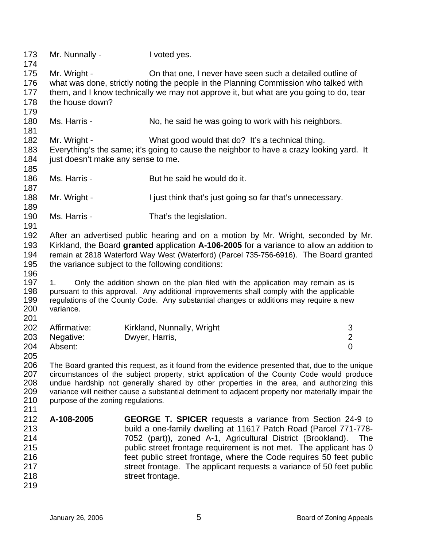| 173<br>174                                           | Mr. Nunnally -                                                                                                                                                                                                                                                                                                                                                                                                                         | I voted yes.                                                                                                                                                                                                                                                                                                                                                                                                                                 |                                       |
|------------------------------------------------------|----------------------------------------------------------------------------------------------------------------------------------------------------------------------------------------------------------------------------------------------------------------------------------------------------------------------------------------------------------------------------------------------------------------------------------------|----------------------------------------------------------------------------------------------------------------------------------------------------------------------------------------------------------------------------------------------------------------------------------------------------------------------------------------------------------------------------------------------------------------------------------------------|---------------------------------------|
| 175<br>176<br>177                                    | Mr. Wright -                                                                                                                                                                                                                                                                                                                                                                                                                           | On that one, I never have seen such a detailed outline of<br>what was done, strictly noting the people in the Planning Commission who talked with<br>them, and I know technically we may not approve it, but what are you going to do, tear                                                                                                                                                                                                  |                                       |
| 178<br>179                                           | the house down?                                                                                                                                                                                                                                                                                                                                                                                                                        |                                                                                                                                                                                                                                                                                                                                                                                                                                              |                                       |
| 180<br>181                                           | Ms. Harris -                                                                                                                                                                                                                                                                                                                                                                                                                           | No, he said he was going to work with his neighbors.                                                                                                                                                                                                                                                                                                                                                                                         |                                       |
| 182<br>183<br>184<br>185                             | Mr. Wright -<br>just doesn't make any sense to me.                                                                                                                                                                                                                                                                                                                                                                                     | What good would that do? It's a technical thing.<br>Everything's the same; it's going to cause the neighbor to have a crazy looking yard. It                                                                                                                                                                                                                                                                                                 |                                       |
| 186<br>187                                           | Ms. Harris -                                                                                                                                                                                                                                                                                                                                                                                                                           | But he said he would do it.                                                                                                                                                                                                                                                                                                                                                                                                                  |                                       |
| 188<br>189                                           | Mr. Wright -                                                                                                                                                                                                                                                                                                                                                                                                                           | I just think that's just going so far that's unnecessary.                                                                                                                                                                                                                                                                                                                                                                                    |                                       |
| 190<br>191                                           | Ms. Harris -                                                                                                                                                                                                                                                                                                                                                                                                                           | That's the legislation.                                                                                                                                                                                                                                                                                                                                                                                                                      |                                       |
| 192<br>193<br>194<br>195<br>196                      | After an advertised public hearing and on a motion by Mr. Wright, seconded by Mr.<br>Kirkland, the Board granted application A-106-2005 for a variance to allow an addition to<br>remain at 2818 Waterford Way West (Waterford) (Parcel 735-756-6916). The Board granted<br>the variance subject to the following conditions:                                                                                                          |                                                                                                                                                                                                                                                                                                                                                                                                                                              |                                       |
| 197<br>198<br>199<br>200<br>201                      | 1.<br>variance.                                                                                                                                                                                                                                                                                                                                                                                                                        | Only the addition shown on the plan filed with the application may remain as is<br>pursuant to this approval. Any additional improvements shall comply with the applicable<br>regulations of the County Code. Any substantial changes or additions may require a new                                                                                                                                                                         |                                       |
| 202                                                  | Affirmative:                                                                                                                                                                                                                                                                                                                                                                                                                           | Kirkland, Nunnally, Wright                                                                                                                                                                                                                                                                                                                                                                                                                   | 3                                     |
| 203<br>204<br>205                                    | Negative:<br>Absent:                                                                                                                                                                                                                                                                                                                                                                                                                   | Dwyer, Harris,                                                                                                                                                                                                                                                                                                                                                                                                                               | $\begin{array}{c} 2 \\ 0 \end{array}$ |
| 206<br>207<br>208<br>209<br>210<br>211               | The Board granted this request, as it found from the evidence presented that, due to the unique<br>circumstances of the subject property, strict application of the County Code would produce<br>undue hardship not generally shared by other properties in the area, and authorizing this<br>variance will neither cause a substantial detriment to adjacent property nor materially impair the<br>purpose of the zoning regulations. |                                                                                                                                                                                                                                                                                                                                                                                                                                              |                                       |
| 212<br>213<br>214<br>215<br>216<br>217<br>218<br>219 | A-108-2005                                                                                                                                                                                                                                                                                                                                                                                                                             | <b>GEORGE T. SPICER</b> requests a variance from Section 24-9 to<br>build a one-family dwelling at 11617 Patch Road (Parcel 771-778-<br>7052 (part)), zoned A-1, Agricultural District (Brookland).<br>public street frontage requirement is not met. The applicant has 0<br>feet public street frontage, where the Code requires 50 feet public<br>street frontage. The applicant requests a variance of 50 feet public<br>street frontage. | <b>The</b>                            |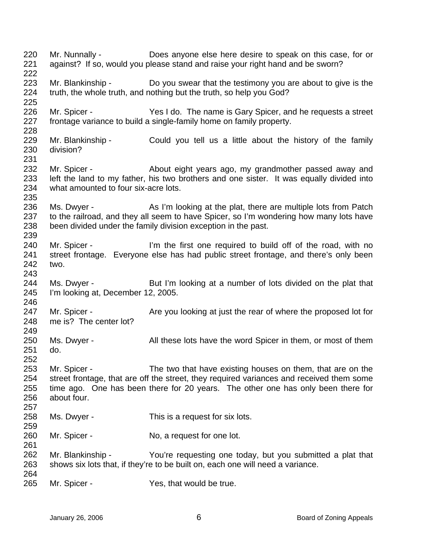220 221 222 223 224 225 226 227 228 229 230 231 232 233 234 235 236 237 238 239 240 241 242 243 244 245 246 247 248 249 250 251 252 253 254 255 256 257 258 259 260 261 262 263 264 265 Mr. Nunnally - Does anyone else here desire to speak on this case, for or against? If so, would you please stand and raise your right hand and be sworn? Mr. Blankinship - Do you swear that the testimony you are about to give is the truth, the whole truth, and nothing but the truth, so help you God? Mr. Spicer - Yes I do. The name is Gary Spicer, and he requests a street frontage variance to build a single-family home on family property. Mr. Blankinship - Could you tell us a little about the history of the family division? Mr. Spicer - **About eight years ago, my grandmother passed away and** left the land to my father, his two brothers and one sister. It was equally divided into what amounted to four six-acre lots. Ms. Dwyer - As I'm looking at the plat, there are multiple lots from Patch to the railroad, and they all seem to have Spicer, so I'm wondering how many lots have been divided under the family division exception in the past. Mr. Spicer - I'm the first one required to build off of the road, with no street frontage. Everyone else has had public street frontage, and there's only been two. Ms. Dwyer - But I'm looking at a number of lots divided on the plat that I'm looking at, December 12, 2005. Mr. Spicer - Are you looking at just the rear of where the proposed lot for me is? The center lot? Ms. Dwyer - All these lots have the word Spicer in them, or most of them do. Mr. Spicer - The two that have existing houses on them, that are on the street frontage, that are off the street, they required variances and received them some time ago. One has been there for 20 years. The other one has only been there for about four. Ms. Dwyer - This is a request for six lots. Mr. Spicer - No, a request for one lot. Mr. Blankinship - You're requesting one today, but you submitted a plat that shows six lots that, if they're to be built on, each one will need a variance. Mr. Spicer - Yes, that would be true.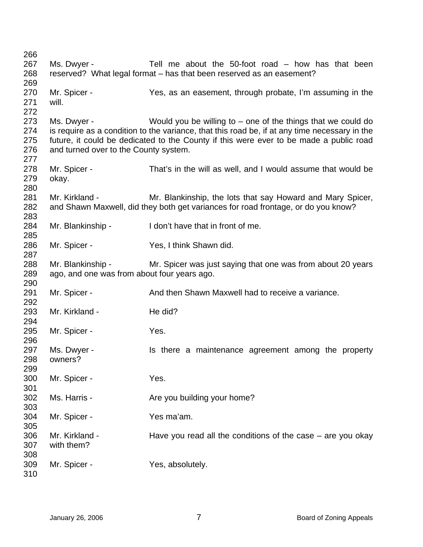| 266 |                                             |                                                                                               |
|-----|---------------------------------------------|-----------------------------------------------------------------------------------------------|
| 267 | Ms. Dwyer -                                 | Tell me about the $50$ -foot road $-$ how has that been                                       |
| 268 |                                             | reserved? What legal format – has that been reserved as an easement?                          |
| 269 |                                             |                                                                                               |
| 270 | Mr. Spicer -                                | Yes, as an easement, through probate, I'm assuming in the                                     |
| 271 | will.                                       |                                                                                               |
| 272 |                                             |                                                                                               |
| 273 | Ms. Dwyer -                                 | Would you be willing to $-$ one of the things that we could do                                |
| 274 |                                             | is require as a condition to the variance, that this road be, if at any time necessary in the |
| 275 |                                             | future, it could be dedicated to the County if this were ever to be made a public road        |
| 276 | and turned over to the County system.       |                                                                                               |
| 277 |                                             |                                                                                               |
| 278 | Mr. Spicer -                                | That's in the will as well, and I would assume that would be                                  |
| 279 | okay.                                       |                                                                                               |
| 280 |                                             |                                                                                               |
| 281 | Mr. Kirkland -                              | Mr. Blankinship, the lots that say Howard and Mary Spicer,                                    |
| 282 |                                             | and Shawn Maxwell, did they both get variances for road frontage, or do you know?             |
| 283 |                                             |                                                                                               |
| 284 | Mr. Blankinship -                           | I don't have that in front of me.                                                             |
| 285 |                                             |                                                                                               |
| 286 | Mr. Spicer -                                | Yes, I think Shawn did.                                                                       |
| 287 |                                             |                                                                                               |
| 288 | Mr. Blankinship -                           | Mr. Spicer was just saying that one was from about 20 years                                   |
| 289 | ago, and one was from about four years ago. |                                                                                               |
| 290 |                                             |                                                                                               |
| 291 | Mr. Spicer -                                | And then Shawn Maxwell had to receive a variance.                                             |
| 292 |                                             |                                                                                               |
| 293 | Mr. Kirkland -                              | He did?                                                                                       |
| 294 |                                             |                                                                                               |
| 295 | Mr. Spicer -                                | Yes.                                                                                          |
| 296 |                                             |                                                                                               |
| 297 | Ms. Dwyer -                                 | Is there a maintenance agreement among the property                                           |
| 298 | owners?                                     |                                                                                               |
| 299 |                                             |                                                                                               |
| 300 | Mr. Spicer -                                | Yes.                                                                                          |
| 301 |                                             |                                                                                               |
| 302 | Ms. Harris -                                | Are you building your home?                                                                   |
| 303 |                                             |                                                                                               |
| 304 | Mr. Spicer -                                | Yes ma'am.                                                                                    |
| 305 |                                             |                                                                                               |
| 306 | Mr. Kirkland -                              | Have you read all the conditions of the case $-$ are you okay                                 |
| 307 | with them?                                  |                                                                                               |
| 308 |                                             |                                                                                               |
| 309 | Mr. Spicer -                                | Yes, absolutely.                                                                              |
| 310 |                                             |                                                                                               |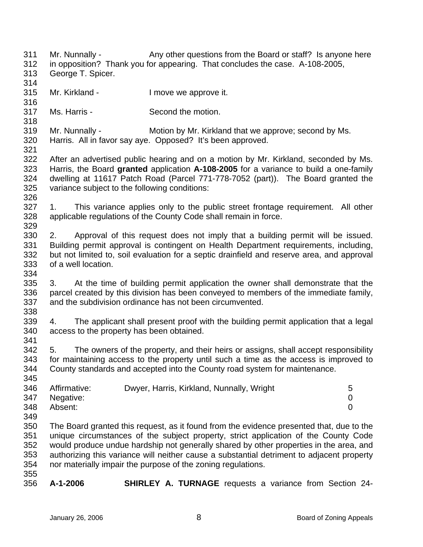311 312 313 314 315 316 317 318 319 320 321 322 323 324 325 326 327 328 329 330 331 332 333 334 335 336 337 338 339 340 341 342 343 344 345 346 347 348 349 350 351 352 353 354 355 356 Mr. Nunnally - Any other questions from the Board or staff? Is anyone here in opposition? Thank you for appearing. That concludes the case. A-108-2005, George T. Spicer. Mr. Kirkland - The University of the Imove we approve it. Ms. Harris - Second the motion. Mr. Nunnally - Motion by Mr. Kirkland that we approve; second by Ms. Harris. All in favor say aye. Opposed? It's been approved. After an advertised public hearing and on a motion by Mr. Kirkland, seconded by Ms. Harris, the Board **granted** application **A-108-2005** for a variance to build a one-family dwelling at 11617 Patch Road (Parcel 771-778-7052 (part)). The Board granted the variance subject to the following conditions: 1. This variance applies only to the public street frontage requirement. All other applicable regulations of the County Code shall remain in force. 2. Approval of this request does not imply that a building permit will be issued. Building permit approval is contingent on Health Department requirements, including, but not limited to, soil evaluation for a septic drainfield and reserve area, and approval of a well location. 3. At the time of building permit application the owner shall demonstrate that the parcel created by this division has been conveyed to members of the immediate family, and the subdivision ordinance has not been circumvented. 4. The applicant shall present proof with the building permit application that a legal access to the property has been obtained. 5. The owners of the property, and their heirs or assigns, shall accept responsibility for maintaining access to the property until such a time as the access is improved to County standards and accepted into the County road system for maintenance. Affirmative: Dwyer, Harris, Kirkland, Nunnally, Wright 5 Negative: 0 Absent: 0 The Board granted this request, as it found from the evidence presented that, due to the unique circumstances of the subject property, strict application of the County Code would produce undue hardship not generally shared by other properties in the area, and authorizing this variance will neither cause a substantial detriment to adjacent property nor materially impair the purpose of the zoning regulations. **A-1-2006 SHIRLEY A. TURNAGE** requests a variance from Section 24-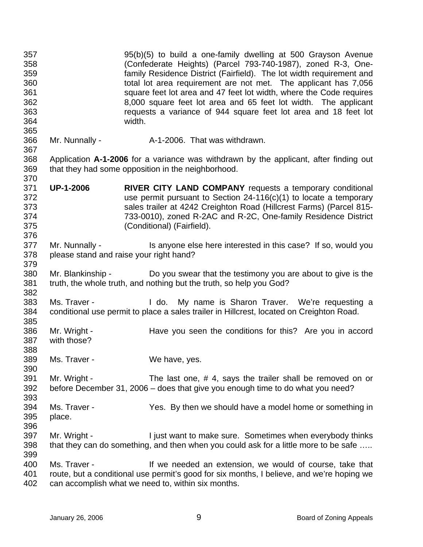| 357<br>358<br>359<br>360<br>361<br>362<br>363<br>364<br>365 |                             | 95(b)(5) to build a one-family dwelling at 500 Grayson Avenue<br>(Confederate Heights) (Parcel 793-740-1987), zoned R-3, One-<br>family Residence District (Fairfield). The lot width requirement and<br>total lot area requirement are not met. The applicant has 7,056<br>square feet lot area and 47 feet lot width, where the Code requires<br>8,000 square feet lot area and 65 feet lot width. The applicant<br>requests a variance of 944 square feet lot area and 18 feet lot<br>width. |
|-------------------------------------------------------------|-----------------------------|-------------------------------------------------------------------------------------------------------------------------------------------------------------------------------------------------------------------------------------------------------------------------------------------------------------------------------------------------------------------------------------------------------------------------------------------------------------------------------------------------|
| 366<br>367                                                  | Mr. Nunnally -              | A-1-2006. That was withdrawn.                                                                                                                                                                                                                                                                                                                                                                                                                                                                   |
| 368<br>369<br>370                                           |                             | Application A-1-2006 for a variance was withdrawn by the applicant, after finding out<br>that they had some opposition in the neighborhood.                                                                                                                                                                                                                                                                                                                                                     |
| 371<br>372<br>373<br>374<br>375<br>376                      | <b>UP-1-2006</b>            | RIVER CITY LAND COMPANY requests a temporary conditional<br>use permit pursuant to Section $24-116(c)(1)$ to locate a temporary<br>sales trailer at 4242 Creighton Road (Hillcrest Farms) (Parcel 815-<br>733-0010), zoned R-2AC and R-2C, One-family Residence District<br>(Conditional) (Fairfield).                                                                                                                                                                                          |
| 377<br>378<br>379                                           | Mr. Nunnally -              | Is anyone else here interested in this case? If so, would you<br>please stand and raise your right hand?                                                                                                                                                                                                                                                                                                                                                                                        |
| 380<br>381<br>382                                           | Mr. Blankinship -           | Do you swear that the testimony you are about to give is the<br>truth, the whole truth, and nothing but the truth, so help you God?                                                                                                                                                                                                                                                                                                                                                             |
| 383<br>384<br>385                                           | Ms. Traver -                | I do. My name is Sharon Traver. We're requesting a<br>conditional use permit to place a sales trailer in Hillcrest, located on Creighton Road.                                                                                                                                                                                                                                                                                                                                                  |
| 386<br>387<br>388                                           | Mr. Wright -<br>with those? | Have you seen the conditions for this? Are you in accord                                                                                                                                                                                                                                                                                                                                                                                                                                        |
| 389<br>390                                                  | Ms. Traver -                | We have, yes.                                                                                                                                                                                                                                                                                                                                                                                                                                                                                   |
| 391<br>392<br>393                                           | Mr. Wright -                | The last one, #4, says the trailer shall be removed on or<br>before December 31, 2006 – does that give you enough time to do what you need?                                                                                                                                                                                                                                                                                                                                                     |
| 394<br>395<br>396                                           | Ms. Traver -<br>place.      | Yes. By then we should have a model home or something in                                                                                                                                                                                                                                                                                                                                                                                                                                        |
| 397<br>398<br>399                                           | Mr. Wright -                | I just want to make sure. Sometimes when everybody thinks<br>that they can do something, and then when you could ask for a little more to be safe                                                                                                                                                                                                                                                                                                                                               |
| 400<br>401<br>402                                           | Ms. Traver -                | If we needed an extension, we would of course, take that<br>route, but a conditional use permit's good for six months, I believe, and we're hoping we<br>can accomplish what we need to, within six months.                                                                                                                                                                                                                                                                                     |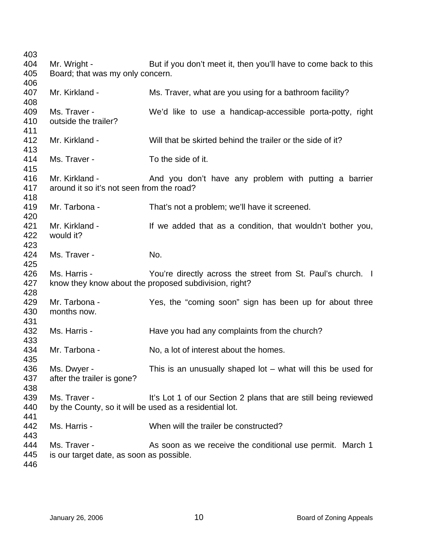Mr. Wright - But if you don't meet it, then you'll have to come back to this Board; that was my only concern. Mr. Kirkland - Ms. Traver, what are you using for a bathroom facility? Ms. Traver - The We'd like to use a handicap-accessible porta-potty, right outside the trailer? Mr. Kirkland - Will that be skirted behind the trailer or the side of it? Ms. Traver - To the side of it. Mr. Kirkland - The And you don't have any problem with putting a barrier around it so it's not seen from the road? Mr. Tarbona - That's not a problem; we'll have it screened. Mr. Kirkland - If we added that as a condition, that wouldn't bother you, would it? Ms. Traver - No. Ms. Harris - The You're directly across the street from St. Paul's church. I know they know about the proposed subdivision, right? Mr. Tarbona - The Yes, the "coming soon" sign has been up for about three months now. Ms. Harris - Have you had any complaints from the church? Mr. Tarbona - No, a lot of interest about the homes. Ms. Dwyer - This is an unusually shaped lot – what will this be used for after the trailer is gone? Ms. Traver - It's Lot 1 of our Section 2 plans that are still being reviewed by the County, so it will be used as a residential lot. Ms. Harris - When will the trailer be constructed? Ms. Traver - The As soon as we receive the conditional use permit. March 1 is our target date, as soon as possible.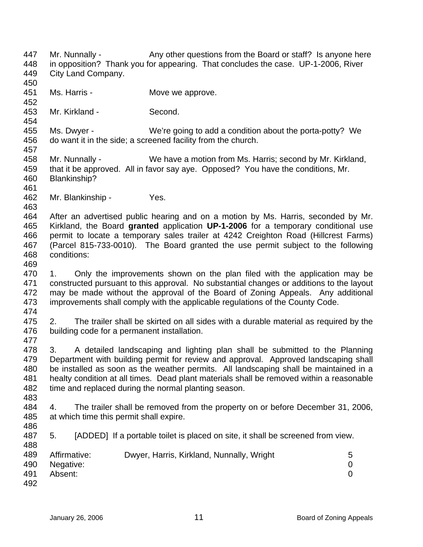447 448 449 450 451 452 453 454 455 456 457 458 459 460 461 462 463 464 465 466 467 468 469 470 471 472 473 474 475 476 477 478 479 480 481 482 483 484 485 486 487 488 489 490 491 492 Mr. Nunnally - Any other questions from the Board or staff? Is anyone here in opposition? Thank you for appearing. That concludes the case. UP-1-2006, River City Land Company. Ms. Harris - The Move we approve. Mr. Kirkland - Second. Ms. Dwyer - We're going to add a condition about the porta-potty? We do want it in the side; a screened facility from the church. Mr. Nunnally - We have a motion from Ms. Harris; second by Mr. Kirkland, that it be approved. All in favor say aye. Opposed? You have the conditions, Mr. Blankinship? Mr. Blankinship - Yes. After an advertised public hearing and on a motion by Ms. Harris, seconded by Mr. Kirkland, the Board **granted** application **UP-1-2006** for a temporary conditional use permit to locate a temporary sales trailer at 4242 Creighton Road (Hillcrest Farms) (Parcel 815-733-0010). The Board granted the use permit subject to the following conditions: 1. Only the improvements shown on the plan filed with the application may be constructed pursuant to this approval. No substantial changes or additions to the layout may be made without the approval of the Board of Zoning Appeals. Any additional improvements shall comply with the applicable regulations of the County Code. 2. The trailer shall be skirted on all sides with a durable material as required by the building code for a permanent installation. 3. A detailed landscaping and lighting plan shall be submitted to the Planning Department with building permit for review and approval. Approved landscaping shall be installed as soon as the weather permits. All landscaping shall be maintained in a healty condition at all times. Dead plant materials shall be removed within a reasonable time and replaced during the normal planting season. 4. The trailer shall be removed from the property on or before December 31, 2006, at which time this permit shall expire. 5. [ADDED] If a portable toilet is placed on site, it shall be screened from view. Affirmative: Dwyer, Harris, Kirkland, Nunnally, Wright 5 Negative: 0 Absent: 0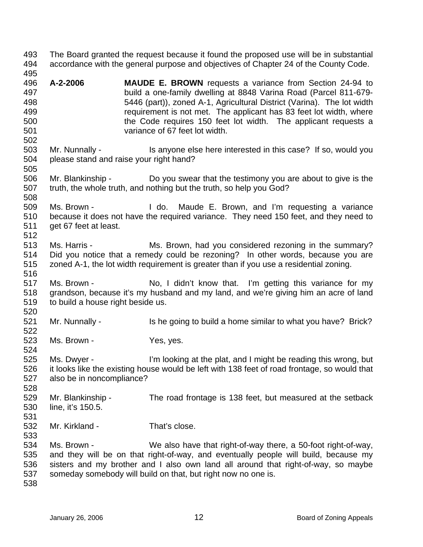493 494 495 496 497 498 499 500 501 502 503 504 505 506 507 508 509 510 511 512 513 514 515 516 517 518 519 520 521 522 523 524 525 526 527 528 529 530 531 532 533 534 535 536 537 538 The Board granted the request because it found the proposed use will be in substantial accordance with the general purpose and objectives of Chapter 24 of the County Code. **A-2-2006 MAUDE E. BROWN** requests a variance from Section 24-94 to build a one-family dwelling at 8848 Varina Road (Parcel 811-679- 5446 (part)), zoned A-1, Agricultural District (Varina). The lot width requirement is not met. The applicant has 83 feet lot width, where the Code requires 150 feet lot width. The applicant requests a variance of 67 feet lot width. Mr. Nunnally - Is anyone else here interested in this case? If so, would you please stand and raise your right hand? Mr. Blankinship - Do you swear that the testimony you are about to give is the truth, the whole truth, and nothing but the truth, so help you God? Ms. Brown - I do. Maude E. Brown, and I'm requesting a variance because it does not have the required variance. They need 150 feet, and they need to get 67 feet at least. Ms. Harris - Ms. Brown, had you considered rezoning in the summary? Did you notice that a remedy could be rezoning? In other words, because you are zoned A-1, the lot width requirement is greater than if you use a residential zoning. Ms. Brown - No, I didn't know that. I'm getting this variance for my grandson, because it's my husband and my land, and we're giving him an acre of land to build a house right beside us. Mr. Nunnally - Is he going to build a home similar to what you have? Brick? Ms. Brown - Yes, yes. Ms. Dwyer - I'm looking at the plat, and I might be reading this wrong, but it looks like the existing house would be left with 138 feet of road frontage, so would that also be in noncompliance? Mr. Blankinship - The road frontage is 138 feet, but measured at the setback line, it's 150.5. Mr. Kirkland - That's close. Ms. Brown - We also have that right-of-way there, a 50-foot right-of-way, and they will be on that right-of-way, and eventually people will build, because my sisters and my brother and I also own land all around that right-of-way, so maybe someday somebody will build on that, but right now no one is.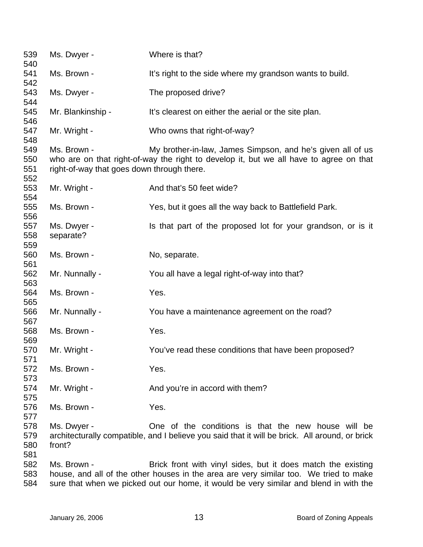| 539<br>540               | Ms. Dwyer -                                               | Where is that?                                                                                                                                                                                                                                 |
|--------------------------|-----------------------------------------------------------|------------------------------------------------------------------------------------------------------------------------------------------------------------------------------------------------------------------------------------------------|
| 541<br>542               | Ms. Brown -                                               | It's right to the side where my grandson wants to build.                                                                                                                                                                                       |
| 543<br>544               | Ms. Dwyer -                                               | The proposed drive?                                                                                                                                                                                                                            |
| 545<br>546               | Mr. Blankinship -                                         | It's clearest on either the aerial or the site plan.                                                                                                                                                                                           |
| 547<br>548               | Mr. Wright -                                              | Who owns that right-of-way?                                                                                                                                                                                                                    |
| 549<br>550<br>551<br>552 | Ms. Brown -<br>right-of-way that goes down through there. | My brother-in-law, James Simpson, and he's given all of us<br>who are on that right-of-way the right to develop it, but we all have to agree on that                                                                                           |
| 553<br>554               | Mr. Wright -                                              | And that's 50 feet wide?                                                                                                                                                                                                                       |
| 555<br>556               | Ms. Brown -                                               | Yes, but it goes all the way back to Battlefield Park.                                                                                                                                                                                         |
| 557<br>558<br>559        | Ms. Dwyer -<br>separate?                                  | Is that part of the proposed lot for your grandson, or is it                                                                                                                                                                                   |
| 560<br>561               | Ms. Brown -                                               | No, separate.                                                                                                                                                                                                                                  |
| 562<br>563               | Mr. Nunnally -                                            | You all have a legal right-of-way into that?                                                                                                                                                                                                   |
| 564<br>565               | Ms. Brown -                                               | Yes.                                                                                                                                                                                                                                           |
| 566<br>567               | Mr. Nunnally -                                            | You have a maintenance agreement on the road?                                                                                                                                                                                                  |
| 568<br>569               | Ms. Brown -                                               | Yes.                                                                                                                                                                                                                                           |
| 570<br>571               | Mr. Wright -                                              | You've read these conditions that have been proposed?                                                                                                                                                                                          |
| 572<br>573               | Ms. Brown -                                               | Yes.                                                                                                                                                                                                                                           |
| 574<br>575               | Mr. Wright -                                              | And you're in accord with them?                                                                                                                                                                                                                |
| 576<br>577               | Ms. Brown -                                               | Yes.                                                                                                                                                                                                                                           |
| 578<br>579<br>580<br>581 | Ms. Dwyer -<br>front?                                     | One of the conditions is that the new house will be<br>architecturally compatible, and I believe you said that it will be brick. All around, or brick                                                                                          |
| 582<br>583<br>584        | Ms. Brown -                                               | Brick front with vinyl sides, but it does match the existing<br>house, and all of the other houses in the area are very similar too. We tried to make<br>sure that when we picked out our home, it would be very similar and blend in with the |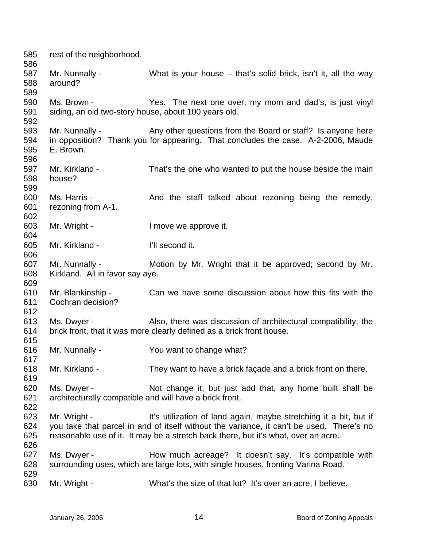| 585<br>586               | rest of the neighborhood.                                              |                                                                                                                                                                                                                                                     |
|--------------------------|------------------------------------------------------------------------|-----------------------------------------------------------------------------------------------------------------------------------------------------------------------------------------------------------------------------------------------------|
| 587<br>588<br>589        | Mr. Nunnally -<br>around?                                              | What is your house – that's solid brick, isn't it, all the way                                                                                                                                                                                      |
| 590<br>591<br>592        | Ms. Brown -<br>siding, an old two-story house, about 100 years old.    | Yes. The next one over, my mom and dad's, is just vinyl                                                                                                                                                                                             |
| 593<br>594<br>595<br>596 | Mr. Nunnally -<br>E. Brown.                                            | Any other questions from the Board or staff? Is anyone here<br>in opposition? Thank you for appearing. That concludes the case. A-2-2006, Maude                                                                                                     |
| 597<br>598<br>599        | Mr. Kirkland -<br>house?                                               | That's the one who wanted to put the house beside the main                                                                                                                                                                                          |
| 600<br>601<br>602        | Ms. Harris -<br>rezoning from A-1.                                     | And the staff talked about rezoning being the remedy,                                                                                                                                                                                               |
| 603<br>604               | Mr. Wright -                                                           | I move we approve it.                                                                                                                                                                                                                               |
| 605<br>606               | Mr. Kirkland -                                                         | I'll second it.                                                                                                                                                                                                                                     |
| 607<br>608<br>609        | Mr. Nunnally -<br>Kirkland. All in favor say aye.                      | Motion by Mr. Wright that it be approved; second by Mr.                                                                                                                                                                                             |
| 610<br>611<br>612        | Mr. Blankinship -<br>Cochran decision?                                 | Can we have some discussion about how this fits with the                                                                                                                                                                                            |
| 613<br>614<br>615        | Ms. Dwyer -                                                            | Also, there was discussion of architectural compatibility, the<br>brick front, that it was more clearly defined as a brick front house.                                                                                                             |
| 616<br>617               | Mr. Nunnally -                                                         | You want to change what?                                                                                                                                                                                                                            |
| 618<br>619               | Mr. Kirkland -                                                         | They want to have a brick façade and a brick front on there.                                                                                                                                                                                        |
| 620<br>621<br>622        | Ms. Dwyer -<br>architecturally compatible and will have a brick front. | Not change it, but just add that, any home built shall be                                                                                                                                                                                           |
| 623<br>624<br>625<br>626 | Mr. Wright -                                                           | It's utilization of land again, maybe stretching it a bit, but if<br>you take that parcel in and of itself without the variance, it can't be used. There's no<br>reasonable use of it. It may be a stretch back there, but it's what, over an acre. |
| 627<br>628               | Ms. Dwyer -                                                            | How much acreage? It doesn't say. It's compatible with<br>surrounding uses, which are large lots, with single houses, fronting Varina Road.                                                                                                         |
| 629<br>630               | Mr. Wright -                                                           | What's the size of that lot? It's over an acre, I believe.                                                                                                                                                                                          |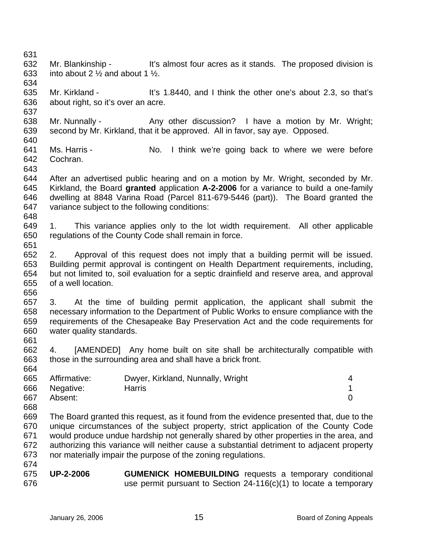| 631 |                                                        |                                                                                            |                |
|-----|--------------------------------------------------------|--------------------------------------------------------------------------------------------|----------------|
| 632 |                                                        | Mr. Blankinship - It's almost four acres as it stands. The proposed division is            |                |
| 633 | into about 2 $\frac{1}{2}$ and about 1 $\frac{1}{2}$ . |                                                                                            |                |
| 634 |                                                        |                                                                                            |                |
| 635 | Mr. Kirkland -                                         | It's 1.8440, and I think the other one's about 2.3, so that's                              |                |
| 636 | about right, so it's over an acre.                     |                                                                                            |                |
| 637 |                                                        |                                                                                            |                |
| 638 |                                                        | Mr. Nunnally - Any other discussion? I have a motion by Mr. Wright;                        |                |
| 639 |                                                        | second by Mr. Kirkland, that it be approved. All in favor, say aye. Opposed.               |                |
| 640 |                                                        |                                                                                            |                |
| 641 | Ms. Harris -                                           | No. I think we're going back to where we were before                                       |                |
| 642 | Cochran.                                               |                                                                                            |                |
| 643 |                                                        |                                                                                            |                |
| 644 |                                                        | After an advertised public hearing and on a motion by Mr. Wright, seconded by Mr.          |                |
| 645 |                                                        | Kirkland, the Board granted application A-2-2006 for a variance to build a one-family      |                |
| 646 |                                                        |                                                                                            |                |
| 647 |                                                        | dwelling at 8848 Varina Road (Parcel 811-679-5446 (part)). The Board granted the           |                |
| 648 |                                                        | variance subject to the following conditions:                                              |                |
| 649 | 1.                                                     |                                                                                            |                |
|     |                                                        | This variance applies only to the lot width requirement. All other applicable              |                |
| 650 |                                                        | regulations of the County Code shall remain in force.                                      |                |
| 651 |                                                        |                                                                                            |                |
| 652 | 2.                                                     | Approval of this request does not imply that a building permit will be issued.             |                |
| 653 |                                                        | Building permit approval is contingent on Health Department requirements, including,       |                |
| 654 |                                                        | but not limited to, soil evaluation for a septic drainfield and reserve area, and approval |                |
| 655 | of a well location.                                    |                                                                                            |                |
| 656 |                                                        |                                                                                            |                |
| 657 | 3.                                                     | At the time of building permit application, the applicant shall submit the                 |                |
| 658 |                                                        | necessary information to the Department of Public Works to ensure compliance with the      |                |
| 659 |                                                        | requirements of the Chesapeake Bay Preservation Act and the code requirements for          |                |
| 660 | water quality standards.                               |                                                                                            |                |
| 661 |                                                        |                                                                                            |                |
| 662 | 4.                                                     | [AMENDED] Any home built on site shall be architecturally compatible with                  |                |
| 663 |                                                        | those in the surrounding area and shall have a brick front.                                |                |
| 664 |                                                        |                                                                                            |                |
| 665 | Affirmative:                                           | Dwyer, Kirkland, Nunnally, Wright                                                          | 4              |
| 666 | Negative:                                              | <b>Harris</b>                                                                              | 1              |
| 667 | Absent:                                                |                                                                                            | $\overline{0}$ |
| 668 |                                                        |                                                                                            |                |
| 669 |                                                        | The Board granted this request, as it found from the evidence presented that, due to the   |                |
| 670 |                                                        | unique circumstances of the subject property, strict application of the County Code        |                |
| 671 |                                                        | would produce undue hardship not generally shared by other properties in the area, and     |                |
| 672 |                                                        | authorizing this variance will neither cause a substantial detriment to adjacent property  |                |
| 673 |                                                        | nor materially impair the purpose of the zoning regulations.                               |                |
| 674 |                                                        |                                                                                            |                |
| 675 | <b>UP-2-2006</b>                                       | <b>GUMENICK HOMEBUILDING</b> requests a temporary conditional                              |                |
| 676 |                                                        | use permit pursuant to Section $24-116(c)(1)$ to locate a temporary                        |                |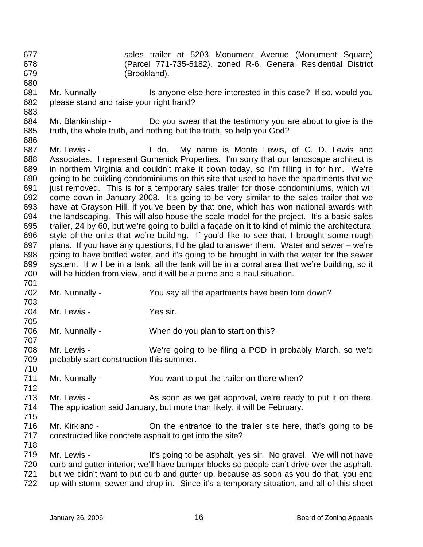677 678 679 sales trailer at 5203 Monument Avenue (Monument Square) (Parcel 771-735-5182), zoned R-6, General Residential District (Brookland).

- 681 682 Mr. Nunnally - Is anyone else here interested in this case? If so, would you please stand and raise your right hand?
- 684 685 Mr. Blankinship - Do you swear that the testimony you are about to give is the truth, the whole truth, and nothing but the truth, so help you God?
- 686 687 688 689 690 691 692 693 694 695 696 697 698 699 700 701 Mr. Lewis - I do. My name is Monte Lewis, of C. D. Lewis and Associates. I represent Gumenick Properties. I'm sorry that our landscape architect is in northern Virginia and couldn't make it down today, so I'm filling in for him. We're going to be building condominiums on this site that used to have the apartments that we just removed. This is for a temporary sales trailer for those condominiums, which will come down in January 2008. It's going to be very similar to the sales trailer that we have at Grayson Hill, if you've been by that one, which has won national awards with the landscaping. This will also house the scale model for the project. It's a basic sales trailer, 24 by 60, but we're going to build a façade on it to kind of mimic the architectural style of the units that we're building. If you'd like to see that, I brought some rough plans. If you have any questions, I'd be glad to answer them. Water and sewer – we're going to have bottled water, and it's going to be brought in with the water for the sewer system. It will be in a tank; all the tank will be in a corral area that we're building, so it will be hidden from view, and it will be a pump and a haul situation.
- 702 703 Mr. Nunnally - You say all the apartments have been torn down?
- 704 Mr. Lewis - Yes sir.

680

683

705

707

712

706 Mr. Nunnally - When do you plan to start on this?

708 709 710 Mr. Lewis - We're going to be filing a POD in probably March, so we'd probably start construction this summer.

711 Mr. Nunnally - You want to put the trailer on there when?

713 714 715 Mr. Lewis - As soon as we get approval, we're ready to put it on there. The application said January, but more than likely, it will be February.

716 717 718 Mr. Kirkland - Chemitrance to the trailer site here, that's going to be constructed like concrete asphalt to get into the site?

719 720 721 722 Mr. Lewis - It's going to be asphalt, yes sir. No gravel. We will not have curb and gutter interior; we'll have bumper blocks so people can't drive over the asphalt, but we didn't want to put curb and gutter up, because as soon as you do that, you end up with storm, sewer and drop-in. Since it's a temporary situation, and all of this sheet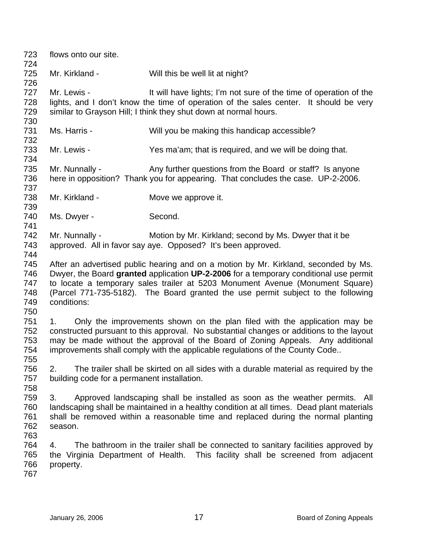| 723<br>724                             | flows onto our site.                              |                                                                                                                                                                                                                                                                                                                                                   |
|----------------------------------------|---------------------------------------------------|---------------------------------------------------------------------------------------------------------------------------------------------------------------------------------------------------------------------------------------------------------------------------------------------------------------------------------------------------|
| 725<br>726                             | Mr. Kirkland -                                    | Will this be well lit at night?                                                                                                                                                                                                                                                                                                                   |
| 727<br>728<br>729<br>730               | Mr. Lewis -                                       | It will have lights; I'm not sure of the time of operation of the<br>lights, and I don't know the time of operation of the sales center. It should be very<br>similar to Grayson Hill; I think they shut down at normal hours.                                                                                                                    |
| 731<br>732                             | Ms. Harris -                                      | Will you be making this handicap accessible?                                                                                                                                                                                                                                                                                                      |
| 733<br>734                             | Mr. Lewis -                                       | Yes ma'am; that is required, and we will be doing that.                                                                                                                                                                                                                                                                                           |
| 735<br>736<br>737                      | Mr. Nunnally -                                    | Any further questions from the Board or staff? Is anyone<br>here in opposition? Thank you for appearing. That concludes the case. UP-2-2006.                                                                                                                                                                                                      |
| 738<br>739                             | Mr. Kirkland -                                    | Move we approve it.                                                                                                                                                                                                                                                                                                                               |
| 740<br>741                             | Ms. Dwyer -                                       | Second.                                                                                                                                                                                                                                                                                                                                           |
| 742<br>743<br>744                      | Mr. Nunnally -                                    | Motion by Mr. Kirkland; second by Ms. Dwyer that it be<br>approved. All in favor say aye. Opposed? It's been approved.                                                                                                                                                                                                                            |
| 745<br>746<br>747<br>748<br>749<br>750 | conditions:                                       | After an advertised public hearing and on a motion by Mr. Kirkland, seconded by Ms.<br>Dwyer, the Board granted application UP-2-2006 for a temporary conditional use permit<br>to locate a temporary sales trailer at 5203 Monument Avenue (Monument Square)<br>(Parcel 771-735-5182). The Board granted the use permit subject to the following |
| 751<br>752<br>753<br>754<br>755        | 1.                                                | Only the improvements shown on the plan filed with the application may be<br>constructed pursuant to this approval. No substantial changes or additions to the layout<br>may be made without the approval of the Board of Zoning Appeals. Any additional<br>improvements shall comply with the applicable regulations of the County Code          |
| 756<br>757<br>758                      | 2.<br>building code for a permanent installation. | The trailer shall be skirted on all sides with a durable material as required by the                                                                                                                                                                                                                                                              |
| 759<br>760<br>761<br>762<br>763        | 3.<br>season.                                     | Approved landscaping shall be installed as soon as the weather permits. All<br>landscaping shall be maintained in a healthy condition at all times. Dead plant materials<br>shall be removed within a reasonable time and replaced during the normal planting                                                                                     |
| 764<br>765<br>766<br>767               | 4.<br>property.                                   | The bathroom in the trailer shall be connected to sanitary facilities approved by<br>the Virginia Department of Health. This facility shall be screened from adjacent                                                                                                                                                                             |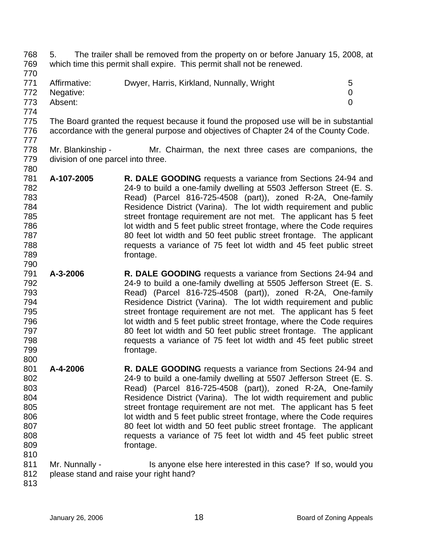- 768 769 5. The trailer shall be removed from the property on or before January 15, 2008, at which time this permit shall expire. This permit shall not be renewed.
- 770
- 771 772 773 Affirmative: Dwyer, Harris, Kirkland, Nunnally, Wright 5 Negative: 0 Absent: 0
- 774
- 775 776 The Board granted the request because it found the proposed use will be in substantial accordance with the general purpose and objectives of Chapter 24 of the County Code.
- 777

- 778 779 780 Mr. Blankinship - Mr. Chairman, the next three cases are companions, the division of one parcel into three.
- 781 782 783 784 785 786 787 788 789 **A-107-2005 R. DALE GOODING** requests a variance from Sections 24-94 and 24-9 to build a one-family dwelling at 5503 Jefferson Street (E. S. Read) (Parcel 816-725-4508 (part)), zoned R-2A, One-family Residence District (Varina). The lot width requirement and public street frontage requirement are not met. The applicant has 5 feet lot width and 5 feet public street frontage, where the Code requires 80 feet lot width and 50 feet public street frontage. The applicant requests a variance of 75 feet lot width and 45 feet public street frontage.
- 791 792 793 794 795 796 797 798 799 800 **A-3-2006 R. DALE GOODING** requests a variance from Sections 24-94 and 24-9 to build a one-family dwelling at 5505 Jefferson Street (E. S. Read) (Parcel 816-725-4508 (part)), zoned R-2A, One-family Residence District (Varina). The lot width requirement and public street frontage requirement are not met. The applicant has 5 feet lot width and 5 feet public street frontage, where the Code requires 80 feet lot width and 50 feet public street frontage. The applicant requests a variance of 75 feet lot width and 45 feet public street frontage.
- 801 802 803 804 805 806 807 808 809 810 **A-4-2006 R. DALE GOODING** requests a variance from Sections 24-94 and 24-9 to build a one-family dwelling at 5507 Jefferson Street (E. S. Read) (Parcel 816-725-4508 (part)), zoned R-2A, One-family Residence District (Varina). The lot width requirement and public street frontage requirement are not met. The applicant has 5 feet lot width and 5 feet public street frontage, where the Code requires 80 feet lot width and 50 feet public street frontage. The applicant requests a variance of 75 feet lot width and 45 feet public street frontage.
- 811 812 Mr. Nunnally - Is anyone else here interested in this case? If so, would you please stand and raise your right hand?
- 813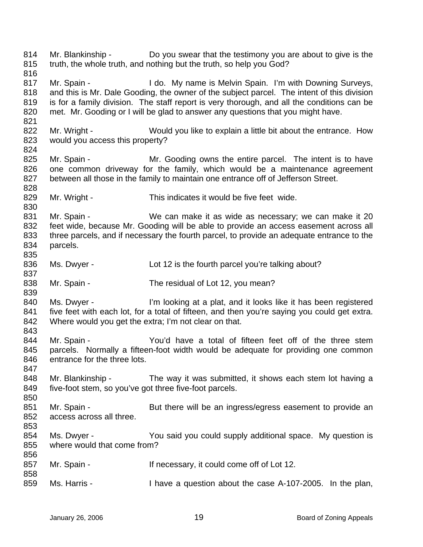814 815 816 817 818 819 820 821 822 823 824 825 826 827 828 829 830 831 832 833 834 835 836 837 838 839 840 841 842 843 844 845 846 847 848 849 850 851 852 853 854 855 856 857 858 859 Mr. Blankinship - Do you swear that the testimony you are about to give is the truth, the whole truth, and nothing but the truth, so help you God? Mr. Spain - I do. My name is Melvin Spain. I'm with Downing Surveys, and this is Mr. Dale Gooding, the owner of the subject parcel. The intent of this division is for a family division. The staff report is very thorough, and all the conditions can be met. Mr. Gooding or I will be glad to answer any questions that you might have. Mr. Wright - Would you like to explain a little bit about the entrance. How would you access this property? Mr. Spain - The Mr. Gooding owns the entire parcel. The intent is to have one common driveway for the family, which would be a maintenance agreement between all those in the family to maintain one entrance off of Jefferson Street. Mr. Wright - This indicates it would be five feet wide. Mr. Spain - We can make it as wide as necessary; we can make it 20 feet wide, because Mr. Gooding will be able to provide an access easement across all three parcels, and if necessary the fourth parcel, to provide an adequate entrance to the parcels. Ms. Dwyer - Lot 12 is the fourth parcel you're talking about? Mr. Spain - The residual of Lot 12, you mean? Ms. Dwyer - I'm looking at a plat, and it looks like it has been registered five feet with each lot, for a total of fifteen, and then you're saying you could get extra. Where would you get the extra; I'm not clear on that. Mr. Spain - The You'd have a total of fifteen feet off of the three stem parcels. Normally a fifteen-foot width would be adequate for providing one common entrance for the three lots. Mr. Blankinship - The way it was submitted, it shows each stem lot having a five-foot stem, so you've got three five-foot parcels. Mr. Spain - But there will be an ingress/egress easement to provide an access across all three. Ms. Dwyer - You said you could supply additional space. My question is where would that come from? Mr. Spain - If necessary, it could come off of Lot 12. Ms. Harris - I have a question about the case A-107-2005. In the plan,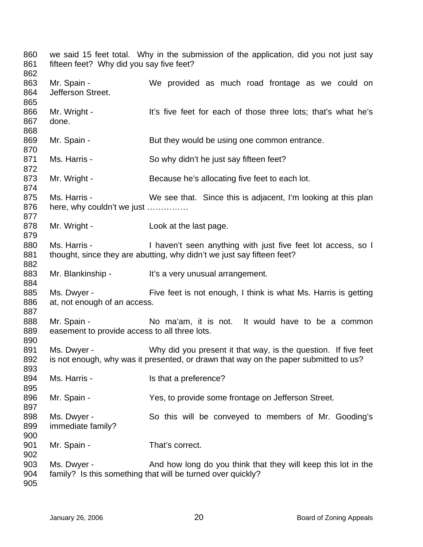we said 15 feet total. Why in the submission of the application, did you not just say fifteen feet? Why did you say five feet? Mr. Spain - We provided as much road frontage as we could on Jefferson Street. Mr. Wright - It's five feet for each of those three lots; that's what he's done. Mr. Spain - But they would be using one common entrance. Ms. Harris - So why didn't he just say fifteen feet? Mr. Wright - Because he's allocating five feet to each lot. Ms. Harris - We see that. Since this is adjacent, I'm looking at this plan here, why couldn't we just …………… Mr. Wright - Look at the last page. Ms. Harris - I haven't seen anything with just five feet lot access, so I thought, since they are abutting, why didn't we just say fifteen feet? Mr. Blankinship - It's a very unusual arrangement. Ms. Dwyer - Five feet is not enough, I think is what Ms. Harris is getting at, not enough of an access. Mr. Spain - The Moma'am, it is not. It would have to be a common easement to provide access to all three lots. Ms. Dwyer - Why did you present it that way, is the question. If five feet is not enough, why was it presented, or drawn that way on the paper submitted to us? Ms. Harris - The Music Harris - The Is that a preference? Mr. Spain - The Yes, to provide some frontage on Jefferson Street. Ms. Dwyer - So this will be conveyed to members of Mr. Gooding's immediate family? Mr. Spain - That's correct. Ms. Dwyer - And how long do you think that they will keep this lot in the family? Is this something that will be turned over quickly?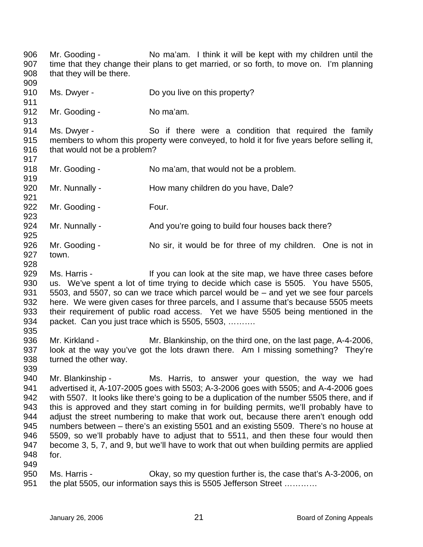906 907 908 909 910 911 Mr. Gooding - No ma'am. I think it will be kept with my children until the time that they change their plans to get married, or so forth, to move on. I'm planning that they will be there. Ms. Dwyer - Do you live on this property?

912 Mr. Gooding - No ma'am.

914 915 916 Ms. Dwyer - So if there were a condition that required the family members to whom this property were conveyed, to hold it for five years before selling it, that would not be a problem?

918 919 Mr. Gooding - No ma'am, that would not be a problem.

920 Mr. Nunnally - How many children do you have, Dale?

922 923 Mr. Gooding - Four.

924 925 Mr. Nunnally - And you're going to build four houses back there?

- 926 927 Mr. Gooding - No sir, it would be for three of my children. One is not in town.
- 928

949

913

917

921

929 930 931 932 933 934 935 Ms. Harris - If you can look at the site map, we have three cases before us. We've spent a lot of time trying to decide which case is 5505. You have 5505, 5503, and 5507, so can we trace which parcel would be – and yet we see four parcels here. We were given cases for three parcels, and I assume that's because 5505 meets their requirement of public road access. Yet we have 5505 being mentioned in the packet. Can you just trace which is 5505, 5503, ……….

936 937 938 939 Mr. Kirkland - Mr. Blankinship, on the third one, on the last page, A-4-2006, look at the way you've got the lots drawn there. Am I missing something? They're turned the other way.

940 941 942 943 944 945 946 947 948 Mr. Blankinship - Ms. Harris, to answer your question, the way we had advertised it, A-107-2005 goes with 5503; A-3-2006 goes with 5505; and A-4-2006 goes with 5507. It looks like there's going to be a duplication of the number 5505 there, and if this is approved and they start coming in for building permits, we'll probably have to adjust the street numbering to make that work out, because there aren't enough odd numbers between – there's an existing 5501 and an existing 5509. There's no house at 5509, so we'll probably have to adjust that to 5511, and then these four would then become 3, 5, 7, and 9, but we'll have to work that out when building permits are applied for.

950 951 Ms. Harris - Ckay, so my question further is, the case that's A-3-2006, on the plat 5505, our information says this is 5505 Jefferson Street …………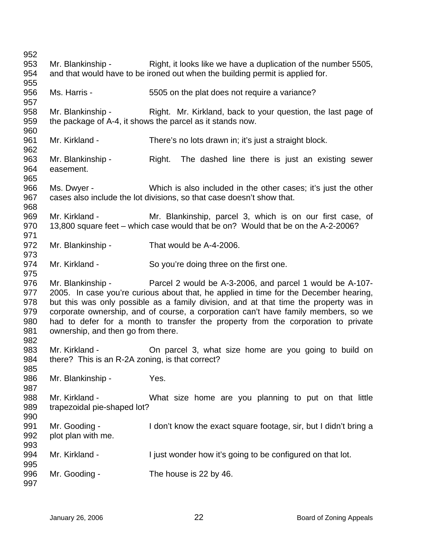| 952                                           |                                                                   |                                                                                                                                                                                                                                                                                                                                                                                                                                         |
|-----------------------------------------------|-------------------------------------------------------------------|-----------------------------------------------------------------------------------------------------------------------------------------------------------------------------------------------------------------------------------------------------------------------------------------------------------------------------------------------------------------------------------------------------------------------------------------|
| 953<br>954<br>955                             | Mr. Blankinship -                                                 | Right, it looks like we have a duplication of the number 5505,<br>and that would have to be ironed out when the building permit is applied for.                                                                                                                                                                                                                                                                                         |
| 956<br>957                                    | Ms. Harris -                                                      | 5505 on the plat does not require a variance?                                                                                                                                                                                                                                                                                                                                                                                           |
| 958<br>959<br>960                             |                                                                   | Mr. Blankinship - Right. Mr. Kirkland, back to your question, the last page of<br>the package of A-4, it shows the parcel as it stands now.                                                                                                                                                                                                                                                                                             |
| 961<br>962                                    | Mr. Kirkland -                                                    | There's no lots drawn in; it's just a straight block.                                                                                                                                                                                                                                                                                                                                                                                   |
| 963<br>964<br>965                             | Mr. Blankinship -<br>easement.                                    | Right.<br>The dashed line there is just an existing sewer                                                                                                                                                                                                                                                                                                                                                                               |
| 966<br>967<br>968                             |                                                                   | Ms. Dwyer - Which is also included in the other cases; it's just the other<br>cases also include the lot divisions, so that case doesn't show that.                                                                                                                                                                                                                                                                                     |
| 969<br>970<br>971                             | Mr. Kirkland -                                                    | Mr. Blankinship, parcel 3, which is on our first case, of<br>13,800 square feet – which case would that be on? Would that be on the A-2-2006?                                                                                                                                                                                                                                                                                           |
| 972<br>973                                    | Mr. Blankinship -                                                 | That would be A-4-2006.                                                                                                                                                                                                                                                                                                                                                                                                                 |
| 974<br>975                                    | Mr. Kirkland -                                                    | So you're doing three on the first one.                                                                                                                                                                                                                                                                                                                                                                                                 |
| 976<br>977<br>978<br>979<br>980<br>981<br>982 | ownership, and then go from there.                                | Mr. Blankinship - Parcel 2 would be A-3-2006, and parcel 1 would be A-107-<br>2005. In case you're curious about that, he applied in time for the December hearing,<br>but this was only possible as a family division, and at that time the property was in<br>corporate ownership, and of course, a corporation can't have family members, so we<br>had to defer for a month to transfer the property from the corporation to private |
| 983<br>984<br>985                             | Mr. Kirkland -<br>there? This is an R-2A zoning, is that correct? | On parcel 3, what size home are you going to build on                                                                                                                                                                                                                                                                                                                                                                                   |
| 986<br>987                                    | Mr. Blankinship -                                                 | Yes.                                                                                                                                                                                                                                                                                                                                                                                                                                    |
| 988<br>989<br>990                             | Mr. Kirkland -<br>trapezoidal pie-shaped lot?                     | What size home are you planning to put on that little                                                                                                                                                                                                                                                                                                                                                                                   |
| 991<br>992<br>993                             | Mr. Gooding -<br>plot plan with me.                               | I don't know the exact square footage, sir, but I didn't bring a                                                                                                                                                                                                                                                                                                                                                                        |
| 994<br>995                                    | Mr. Kirkland -                                                    | I just wonder how it's going to be configured on that lot.                                                                                                                                                                                                                                                                                                                                                                              |
| 996<br>997                                    | Mr. Gooding -                                                     | The house is 22 by 46.                                                                                                                                                                                                                                                                                                                                                                                                                  |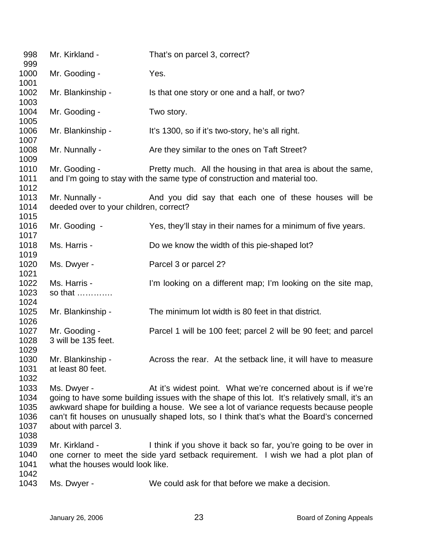| 998<br>999                                   | Mr. Kirkland -                                           | That's on parcel 3, correct?                                                                                                                                                                                                                                                                                                                     |
|----------------------------------------------|----------------------------------------------------------|--------------------------------------------------------------------------------------------------------------------------------------------------------------------------------------------------------------------------------------------------------------------------------------------------------------------------------------------------|
| 1000<br>1001                                 | Mr. Gooding -                                            | Yes.                                                                                                                                                                                                                                                                                                                                             |
| 1002                                         | Mr. Blankinship -                                        | Is that one story or one and a half, or two?                                                                                                                                                                                                                                                                                                     |
| 1003<br>1004                                 | Mr. Gooding -                                            | Two story.                                                                                                                                                                                                                                                                                                                                       |
| 1005<br>1006                                 | Mr. Blankinship -                                        | It's 1300, so if it's two-story, he's all right.                                                                                                                                                                                                                                                                                                 |
| 1007<br>1008                                 | Mr. Nunnally -                                           | Are they similar to the ones on Taft Street?                                                                                                                                                                                                                                                                                                     |
| 1009<br>1010<br>1011                         | Mr. Gooding -                                            | Pretty much. All the housing in that area is about the same,<br>and I'm going to stay with the same type of construction and material too.                                                                                                                                                                                                       |
| 1012<br>1013<br>1014                         | Mr. Nunnally -<br>deeded over to your children, correct? | And you did say that each one of these houses will be                                                                                                                                                                                                                                                                                            |
| 1015<br>1016<br>1017                         | Mr. Gooding -                                            | Yes, they'll stay in their names for a minimum of five years.                                                                                                                                                                                                                                                                                    |
| 1018<br>1019                                 | Ms. Harris -                                             | Do we know the width of this pie-shaped lot?                                                                                                                                                                                                                                                                                                     |
| 1020<br>1021                                 | Ms. Dwyer -                                              | Parcel 3 or parcel 2?                                                                                                                                                                                                                                                                                                                            |
| 1022<br>1023<br>1024                         | Ms. Harris -<br>so that                                  | I'm looking on a different map; I'm looking on the site map,                                                                                                                                                                                                                                                                                     |
| 1025<br>1026                                 | Mr. Blankinship -                                        | The minimum lot width is 80 feet in that district.                                                                                                                                                                                                                                                                                               |
| 1027<br>1028<br>1029                         | Mr. Gooding -<br>3 will be 135 feet.                     | Parcel 1 will be 100 feet; parcel 2 will be 90 feet; and parcel                                                                                                                                                                                                                                                                                  |
| 1030<br>1031<br>1032                         | Mr. Blankinship -<br>at least 80 feet.                   | Across the rear. At the setback line, it will have to measure                                                                                                                                                                                                                                                                                    |
| 1033<br>1034<br>1035<br>1036<br>1037<br>1038 | Ms. Dwyer -<br>about with parcel 3.                      | At it's widest point. What we're concerned about is if we're<br>going to have some building issues with the shape of this lot. It's relatively small, it's an<br>awkward shape for building a house. We see a lot of variance requests because people<br>can't fit houses on unusually shaped lots, so I think that's what the Board's concerned |
| 1039<br>1040<br>1041<br>1042                 | Mr. Kirkland -<br>what the houses would look like.       | I think if you shove it back so far, you're going to be over in<br>one corner to meet the side yard setback requirement. I wish we had a plot plan of                                                                                                                                                                                            |
| 1043                                         | Ms. Dwyer -                                              | We could ask for that before we make a decision.                                                                                                                                                                                                                                                                                                 |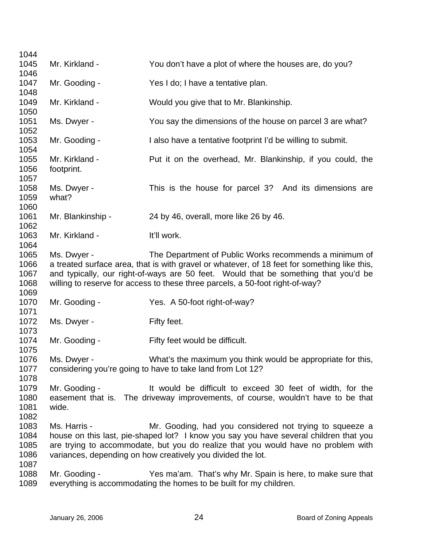| 1044                                 |                              |                                                                                                                                                                                                                                                                                                                                |
|--------------------------------------|------------------------------|--------------------------------------------------------------------------------------------------------------------------------------------------------------------------------------------------------------------------------------------------------------------------------------------------------------------------------|
| 1045                                 | Mr. Kirkland -               | You don't have a plot of where the houses are, do you?                                                                                                                                                                                                                                                                         |
| 1046<br>1047                         | Mr. Gooding -                | Yes I do; I have a tentative plan.                                                                                                                                                                                                                                                                                             |
| 1048<br>1049                         | Mr. Kirkland -               | Would you give that to Mr. Blankinship.                                                                                                                                                                                                                                                                                        |
| 1050<br>1051                         | Ms. Dwyer -                  | You say the dimensions of the house on parcel 3 are what?                                                                                                                                                                                                                                                                      |
| 1052<br>1053                         | Mr. Gooding -                | I also have a tentative footprint I'd be willing to submit.                                                                                                                                                                                                                                                                    |
| 1054                                 |                              |                                                                                                                                                                                                                                                                                                                                |
| 1055<br>1056<br>1057                 | Mr. Kirkland -<br>footprint. | Put it on the overhead, Mr. Blankinship, if you could, the                                                                                                                                                                                                                                                                     |
| 1058<br>1059                         | Ms. Dwyer -<br>what?         | This is the house for parcel 3? And its dimensions are                                                                                                                                                                                                                                                                         |
| 1060<br>1061                         | Mr. Blankinship -            | 24 by 46, overall, more like 26 by 46.                                                                                                                                                                                                                                                                                         |
| 1062<br>1063<br>1064                 | Mr. Kirkland -               | It'll work.                                                                                                                                                                                                                                                                                                                    |
| 1065<br>1066<br>1067<br>1068         | Ms. Dwyer -                  | The Department of Public Works recommends a minimum of<br>a treated surface area, that is with gravel or whatever, of 18 feet for something like this,<br>and typically, our right-of-ways are 50 feet. Would that be something that you'd be<br>willing to reserve for access to these three parcels, a 50-foot right-of-way? |
| 1069                                 |                              |                                                                                                                                                                                                                                                                                                                                |
| 1070<br>1071                         | Mr. Gooding -                | Yes. A 50-foot right-of-way?                                                                                                                                                                                                                                                                                                   |
| 1072<br>1073                         | Ms. Dwyer -                  | Fifty feet.                                                                                                                                                                                                                                                                                                                    |
| 1074                                 | Mr. Gooding -                | Fifty feet would be difficult.                                                                                                                                                                                                                                                                                                 |
| 1075<br>1076<br>1077                 | Ms. Dwyer -                  | What's the maximum you think would be appropriate for this,<br>considering you're going to have to take land from Lot 12?                                                                                                                                                                                                      |
| 1078<br>1079<br>1080<br>1081<br>1082 | Mr. Gooding -<br>wide.       | It would be difficult to exceed 30 feet of width, for the<br>easement that is. The driveway improvements, of course, wouldn't have to be that                                                                                                                                                                                  |
| 1083<br>1084<br>1085<br>1086         | Ms. Harris -                 | Mr. Gooding, had you considered not trying to squeeze a<br>house on this last, pie-shaped lot? I know you say you have several children that you<br>are trying to accommodate, but you do realize that you would have no problem with<br>variances, depending on how creatively you divided the lot.                           |
| 1087<br>1088<br>1089                 | Mr. Gooding -                | Yes ma'am. That's why Mr. Spain is here, to make sure that<br>everything is accommodating the homes to be built for my children.                                                                                                                                                                                               |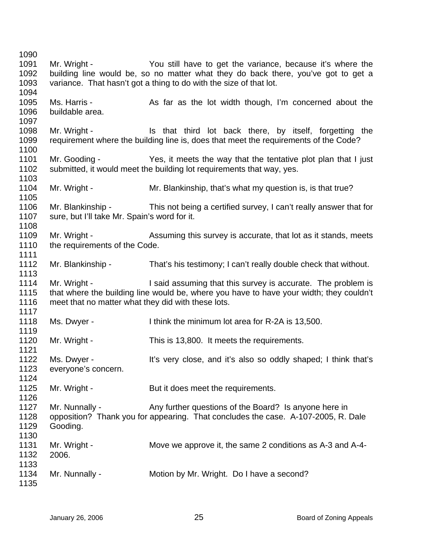| 1090 |                                                    |                                                                                         |
|------|----------------------------------------------------|-----------------------------------------------------------------------------------------|
| 1091 | Mr. Wright -                                       | You still have to get the variance, because it's where the                              |
| 1092 |                                                    | building line would be, so no matter what they do back there, you've got to get a       |
| 1093 |                                                    | variance. That hasn't got a thing to do with the size of that lot.                      |
| 1094 |                                                    |                                                                                         |
| 1095 | Ms. Harris -                                       | As far as the lot width though, I'm concerned about the                                 |
| 1096 | buildable area.                                    |                                                                                         |
| 1097 |                                                    |                                                                                         |
| 1098 | Mr. Wright -                                       | Is that third lot back there, by itself, forgetting the                                 |
| 1099 |                                                    | requirement where the building line is, does that meet the requirements of the Code?    |
| 1100 |                                                    |                                                                                         |
| 1101 |                                                    | Mr. Gooding - The Yes, it meets the way that the tentative plot plan that I just        |
| 1102 |                                                    | submitted, it would meet the building lot requirements that way, yes.                   |
| 1103 |                                                    |                                                                                         |
| 1104 | Mr. Wright -                                       | Mr. Blankinship, that's what my question is, is that true?                              |
| 1105 |                                                    |                                                                                         |
| 1106 |                                                    |                                                                                         |
|      |                                                    | Mr. Blankinship - This not being a certified survey, I can't really answer that for     |
| 1107 | sure, but I'll take Mr. Spain's word for it.       |                                                                                         |
| 1108 |                                                    |                                                                                         |
| 1109 | Mr. Wright -                                       | Assuming this survey is accurate, that lot as it stands, meets                          |
| 1110 | the requirements of the Code.                      |                                                                                         |
| 1111 |                                                    |                                                                                         |
| 1112 | Mr. Blankinship -                                  | That's his testimony; I can't really double check that without.                         |
| 1113 |                                                    |                                                                                         |
| 1114 |                                                    | Mr. Wright - I said assuming that this survey is accurate. The problem is               |
| 1115 |                                                    | that where the building line would be, where you have to have your width; they couldn't |
| 1116 | meet that no matter what they did with these lots. |                                                                                         |
| 1117 |                                                    |                                                                                         |
| 1118 | Ms. Dwyer -                                        | I think the minimum lot area for R-2A is 13,500.                                        |
| 1119 |                                                    |                                                                                         |
| 1120 | Mr. Wright -                                       | This is 13,800. It meets the requirements.                                              |
| 1121 |                                                    |                                                                                         |
| 1122 | Ms. Dwyer -                                        | It's very close, and it's also so oddly shaped; I think that's                          |
| 1123 | everyone's concern.                                |                                                                                         |
| 1124 |                                                    |                                                                                         |
| 1125 | Mr. Wright -                                       | But it does meet the requirements.                                                      |
| 1126 |                                                    |                                                                                         |
| 1127 | Mr. Nunnally -                                     | Any further questions of the Board? Is anyone here in                                   |
| 1128 |                                                    | opposition? Thank you for appearing. That concludes the case. A-107-2005, R. Dale       |
| 1129 | Gooding.                                           |                                                                                         |
| 1130 |                                                    |                                                                                         |
| 1131 | Mr. Wright -                                       | Move we approve it, the same 2 conditions as A-3 and A-4-                               |
| 1132 | 2006.                                              |                                                                                         |
| 1133 |                                                    |                                                                                         |
| 1134 | Mr. Nunnally -                                     | Motion by Mr. Wright. Do I have a second?                                               |
| 1135 |                                                    |                                                                                         |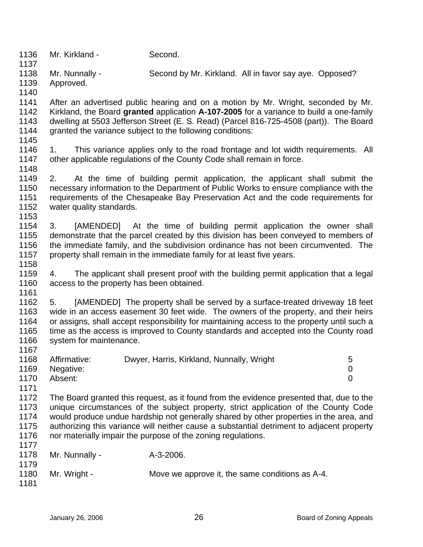1136 1137 Mr. Kirkland - Second.

1138 1139 Mr. Nunnally - Second by Mr. Kirkland. All in favor say aye. Opposed? Approved.

1141 1142 1143 1144 After an advertised public hearing and on a motion by Mr. Wright, seconded by Mr. Kirkland, the Board **granted** application **A-107-2005** for a variance to build a one-family dwelling at 5503 Jefferson Street (E. S. Read) (Parcel 816-725-4508 (part)). The Board granted the variance subject to the following conditions:

1145

1148

1158

1161

1140

1146 1147 1. This variance applies only to the road frontage and lot width requirements. All other applicable regulations of the County Code shall remain in force.

1149 1150 1151 1152 1153 2. At the time of building permit application, the applicant shall submit the necessary information to the Department of Public Works to ensure compliance with the requirements of the Chesapeake Bay Preservation Act and the code requirements for water quality standards.

1154 1155 1156 1157 3. [AMENDED] At the time of building permit application the owner shall demonstrate that the parcel created by this division has been conveyed to members of the immediate family, and the subdivision ordinance has not been circumvented. The property shall remain in the immediate family for at least five years.

1159 1160 4. The applicant shall present proof with the building permit application that a legal access to the property has been obtained.

1162 1163 1164 1165 1166 1167 5. [AMENDED] The property shall be served by a surface-treated driveway 18 feet wide in an access easement 30 feet wide. The owners of the property, and their heirs or assigns, shall accept responsibility for maintaining access to the property until such a time as the access is improved to County standards and accepted into the County road system for maintenance.

| 1168 | Affirmative: | Dwyer, Harris, Kirkland, Nunnally, Wright | 5 |
|------|--------------|-------------------------------------------|---|
| 1169 | Negative:    |                                           |   |
| 1170 | Absent:      |                                           |   |
| 1171 |              |                                           |   |

1172 1173 1174 1175 1176 The Board granted this request, as it found from the evidence presented that, due to the unique circumstances of the subject property, strict application of the County Code would produce undue hardship not generally shared by other properties in the area, and authorizing this variance will neither cause a substantial detriment to adjacent property nor materially impair the purpose of the zoning regulations.

| 1177 |                |                                                 |
|------|----------------|-------------------------------------------------|
| 1178 | Mr. Nunnally - | A-3-2006.                                       |
| 1179 |                |                                                 |
| 1180 | Mr. Wright -   | Move we approve it, the same conditions as A-4. |
| 1181 |                |                                                 |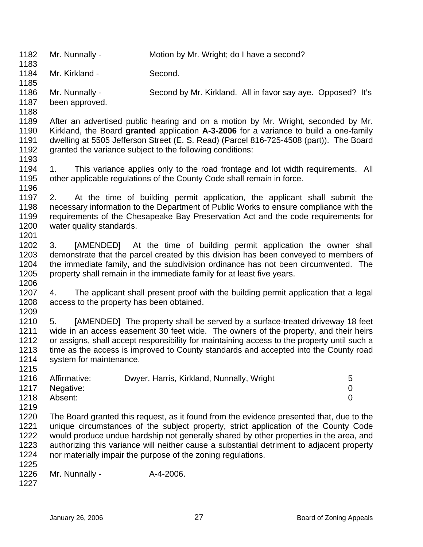1182 1183 1184 1185 1186 1187 1188 1189 1190 1191 1192 1193 1194 1195 1196 1197 1198 1199 1200 1201 1202 1203 1204 1205 1206 1207 1208 1209 1210 1211 1212 1213 1214 1215 1216 1217 1218 1219 1220 1221 1222 1223 1224 1225 1226 1227 Mr. Nunnally - Motion by Mr. Wright; do I have a second? Mr. Kirkland - Second. Mr. Nunnally - Second by Mr. Kirkland. All in favor say aye. Opposed? It's been approved. After an advertised public hearing and on a motion by Mr. Wright, seconded by Mr. Kirkland, the Board **granted** application **A-3-2006** for a variance to build a one-family dwelling at 5505 Jefferson Street (E. S. Read) (Parcel 816-725-4508 (part)). The Board granted the variance subject to the following conditions: 1. This variance applies only to the road frontage and lot width requirements. All other applicable regulations of the County Code shall remain in force. 2. At the time of building permit application, the applicant shall submit the necessary information to the Department of Public Works to ensure compliance with the requirements of the Chesapeake Bay Preservation Act and the code requirements for water quality standards. 3. [AMENDED] At the time of building permit application the owner shall demonstrate that the parcel created by this division has been conveyed to members of the immediate family, and the subdivision ordinance has not been circumvented. The property shall remain in the immediate family for at least five years. 4. The applicant shall present proof with the building permit application that a legal access to the property has been obtained. 5. [AMENDED] The property shall be served by a surface-treated driveway 18 feet wide in an access easement 30 feet wide. The owners of the property, and their heirs or assigns, shall accept responsibility for maintaining access to the property until such a time as the access is improved to County standards and accepted into the County road system for maintenance. Affirmative: Dwyer, Harris, Kirkland, Nunnally, Wright 5 Negative: 0 Absent: 0 The Board granted this request, as it found from the evidence presented that, due to the unique circumstances of the subject property, strict application of the County Code would produce undue hardship not generally shared by other properties in the area, and authorizing this variance will neither cause a substantial detriment to adjacent property nor materially impair the purpose of the zoning regulations. Mr. Nunnally - A-4-2006.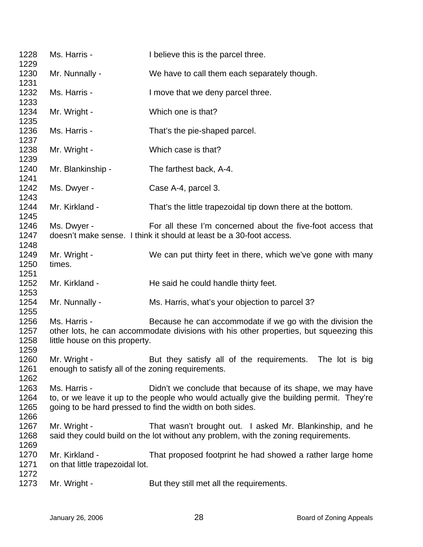| 1228<br>1229                 | Ms. Harris -                                                        | I believe this is the parcel three.                                                                                                                                                                                |  |  |
|------------------------------|---------------------------------------------------------------------|--------------------------------------------------------------------------------------------------------------------------------------------------------------------------------------------------------------------|--|--|
| 1230<br>1231                 | Mr. Nunnally -                                                      | We have to call them each separately though.                                                                                                                                                                       |  |  |
| 1232                         | Ms. Harris -                                                        | I move that we deny parcel three.                                                                                                                                                                                  |  |  |
| 1233<br>1234                 | Mr. Wright -                                                        | Which one is that?                                                                                                                                                                                                 |  |  |
| 1235<br>1236                 | Ms. Harris -                                                        | That's the pie-shaped parcel.                                                                                                                                                                                      |  |  |
| 1237<br>1238                 | Mr. Wright -                                                        | Which case is that?                                                                                                                                                                                                |  |  |
| 1239<br>1240                 | Mr. Blankinship -                                                   | The farthest back, A-4.                                                                                                                                                                                            |  |  |
| 1241<br>1242                 | Ms. Dwyer -                                                         | Case A-4, parcel 3.                                                                                                                                                                                                |  |  |
| 1243<br>1244                 | Mr. Kirkland -                                                      | That's the little trapezoidal tip down there at the bottom.                                                                                                                                                        |  |  |
| 1245<br>1246                 | Ms. Dwyer -                                                         | For all these I'm concerned about the five-foot access that                                                                                                                                                        |  |  |
| 1247<br>1248                 | doesn't make sense. I think it should at least be a 30-foot access. |                                                                                                                                                                                                                    |  |  |
| 1249<br>1250<br>1251         | Mr. Wright -<br>times.                                              | We can put thirty feet in there, which we've gone with many                                                                                                                                                        |  |  |
| 1252<br>1253                 | Mr. Kirkland -                                                      | He said he could handle thirty feet.                                                                                                                                                                               |  |  |
| 1254<br>1255                 | Mr. Nunnally -                                                      | Ms. Harris, what's your objection to parcel 3?                                                                                                                                                                     |  |  |
| 1256<br>1257<br>1258<br>1259 | Ms. Harris -<br>little house on this property.                      | Because he can accommodate if we go with the division the<br>other lots, he can accommodate divisions with his other properties, but squeezing this                                                                |  |  |
| 1260<br>1261<br>1262         | Mr. Wright -<br>enough to satisfy all of the zoning requirements.   | But they satisfy all of the requirements. The lot is big                                                                                                                                                           |  |  |
| 1263<br>1264<br>1265<br>1266 | Ms. Harris -                                                        | Didn't we conclude that because of its shape, we may have<br>to, or we leave it up to the people who would actually give the building permit. They're<br>going to be hard pressed to find the width on both sides. |  |  |
| 1267<br>1268<br>1269         | Mr. Wright -                                                        | That wasn't brought out. I asked Mr. Blankinship, and he<br>said they could build on the lot without any problem, with the zoning requirements.                                                                    |  |  |
| 1270<br>1271                 | Mr. Kirkland -<br>on that little trapezoidal lot.                   | That proposed footprint he had showed a rather large home                                                                                                                                                          |  |  |
| 1272<br>1273                 | Mr. Wright -                                                        | But they still met all the requirements.                                                                                                                                                                           |  |  |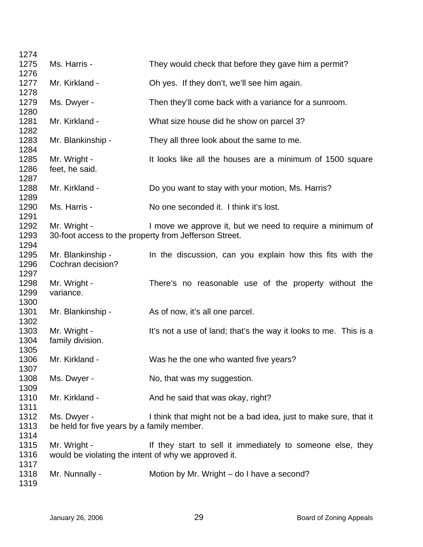| 1274                         |                                                                      |                                                                                                                    |
|------------------------------|----------------------------------------------------------------------|--------------------------------------------------------------------------------------------------------------------|
| 1275                         | Ms. Harris -                                                         | They would check that before they gave him a permit?                                                               |
| 1276<br>1277                 | Mr. Kirkland -                                                       | Oh yes. If they don't, we'll see him again.                                                                        |
| 1278<br>1279                 | Ms. Dwyer -                                                          | Then they'll come back with a variance for a sunroom.                                                              |
| 1280<br>1281                 | Mr. Kirkland -                                                       | What size house did he show on parcel 3?                                                                           |
| 1282<br>1283                 | Mr. Blankinship -                                                    | They all three look about the same to me.                                                                          |
| 1284<br>1285<br>1286<br>1287 | Mr. Wright -<br>feet, he said.                                       | It looks like all the houses are a minimum of 1500 square                                                          |
| 1288<br>1289                 | Mr. Kirkland -                                                       | Do you want to stay with your motion, Ms. Harris?                                                                  |
| 1290<br>1291                 | Ms. Harris -                                                         | No one seconded it. I think it's lost.                                                                             |
| 1292<br>1293                 | Mr. Wright -                                                         | I move we approve it, but we need to require a minimum of<br>30-foot access to the property from Jefferson Street. |
| 1294<br>1295<br>1296         | Mr. Blankinship -<br>Cochran decision?                               | In the discussion, can you explain how this fits with the                                                          |
| 1297<br>1298<br>1299         | Mr. Wright -<br>variance.                                            | There's no reasonable use of the property without the                                                              |
| 1300<br>1301                 | Mr. Blankinship -                                                    | As of now, it's all one parcel.                                                                                    |
| 1302<br>1303<br>1304<br>1305 | Mr. Wright -<br>family division.                                     | It's not a use of land; that's the way it looks to me. This is a                                                   |
| 1306<br>1307                 | Mr. Kirkland -                                                       | Was he the one who wanted five years?                                                                              |
| 1308<br>1309                 | Ms. Dwyer -                                                          | No, that was my suggestion.                                                                                        |
| 1310                         | Mr. Kirkland -                                                       | And he said that was okay, right?                                                                                  |
| 1311<br>1312<br>1313         | Ms. Dwyer -<br>be held for five years by a family member.            | I think that might not be a bad idea, just to make sure, that it                                                   |
| 1314<br>1315<br>1316         | Mr. Wright -<br>would be violating the intent of why we approved it. | If they start to sell it immediately to someone else, they                                                         |
| 1317<br>1318<br>1319         | Mr. Nunnally -                                                       | Motion by Mr. Wright – do I have a second?                                                                         |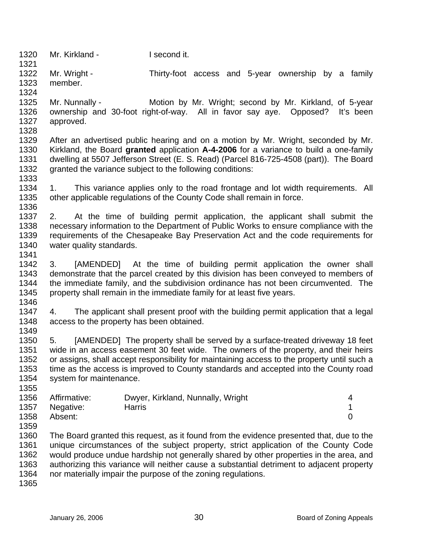1320 1321 1322 1323 1324 1325 1326 1327 1328 1329 1330 1331 1332 1333 1334 1335 1336 1337 1338 1339 1340 1341 1342 1343 1344 1345 1346 1347 1348 1349 1350 1351 1352 1353 1354 1355 1356 1357 1358 1359 1360 1361 1362 1363 1364 Mr. Kirkland - I second it. Mr. Wright - Thirty-foot access and 5-year ownership by a family member. Mr. Nunnally - **Motion by Mr. Wright; second by Mr. Kirkland**, of 5-year ownership and 30-foot right-of-way. All in favor say aye. Opposed? It's been approved. After an advertised public hearing and on a motion by Mr. Wright, seconded by Mr. Kirkland, the Board **granted** application **A-4-2006** for a variance to build a one-family dwelling at 5507 Jefferson Street (E. S. Read) (Parcel 816-725-4508 (part)). The Board granted the variance subject to the following conditions: 1. This variance applies only to the road frontage and lot width requirements. All other applicable regulations of the County Code shall remain in force. 2. At the time of building permit application, the applicant shall submit the necessary information to the Department of Public Works to ensure compliance with the requirements of the Chesapeake Bay Preservation Act and the code requirements for water quality standards. 3. [AMENDED] At the time of building permit application the owner shall demonstrate that the parcel created by this division has been conveyed to members of the immediate family, and the subdivision ordinance has not been circumvented. The property shall remain in the immediate family for at least five years. 4. The applicant shall present proof with the building permit application that a legal access to the property has been obtained. 5. [AMENDED] The property shall be served by a surface-treated driveway 18 feet wide in an access easement 30 feet wide. The owners of the property, and their heirs or assigns, shall accept responsibility for maintaining access to the property until such a time as the access is improved to County standards and accepted into the County road system for maintenance. Affirmative: Dwyer, Kirkland, Nunnally, Wright 4 Negative: Harris 1 Absent: 0 The Board granted this request, as it found from the evidence presented that, due to the unique circumstances of the subject property, strict application of the County Code would produce undue hardship not generally shared by other properties in the area, and authorizing this variance will neither cause a substantial detriment to adjacent property nor materially impair the purpose of the zoning regulations.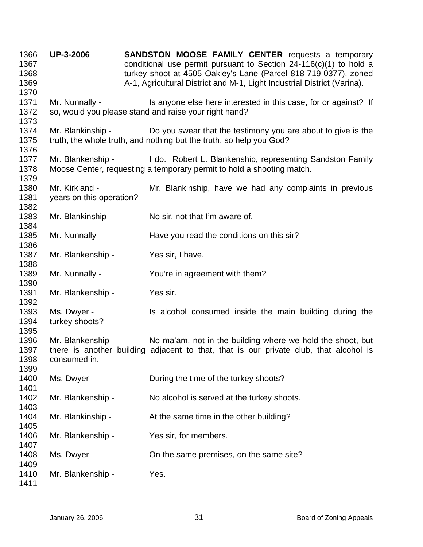**UP-3-2006 SANDSTON MOOSE FAMILY CENTER** requests a temporary conditional use permit pursuant to Section 24-116(c)(1) to hold a turkey shoot at 4505 Oakley's Lane (Parcel 818-719-0377), zoned A-1, Agricultural District and M-1, Light Industrial District (Varina). Mr. Nunnally - Is anyone else here interested in this case, for or against? If so, would you please stand and raise your right hand? Mr. Blankinship - Do you swear that the testimony you are about to give is the truth, the whole truth, and nothing but the truth, so help you God? Mr. Blankenship - I do. Robert L. Blankenship, representing Sandston Family Moose Center, requesting a temporary permit to hold a shooting match. Mr. Kirkland - Mr. Blankinship, have we had any complaints in previous years on this operation? Mr. Blankinship - No sir, not that I'm aware of. Mr. Nunnally - Have you read the conditions on this sir? Mr. Blankenship - Yes sir, I have. Mr. Nunnally - You're in agreement with them? Mr. Blankenship - Yes sir. Ms. Dwyer - The Music of the main building during the Ms. Dwyer turkey shoots? Mr. Blankenship - No ma'am, not in the building where we hold the shoot, but there is another building adjacent to that, that is our private club, that alcohol is consumed in. Ms. Dwyer - During the time of the turkey shoots? Mr. Blankenship - No alcohol is served at the turkey shoots. Mr. Blankinship - At the same time in the other building? Mr. Blankenship - Yes sir, for members. Ms. Dwyer - Child the same premises, on the same site? Mr. Blankenship - Yes.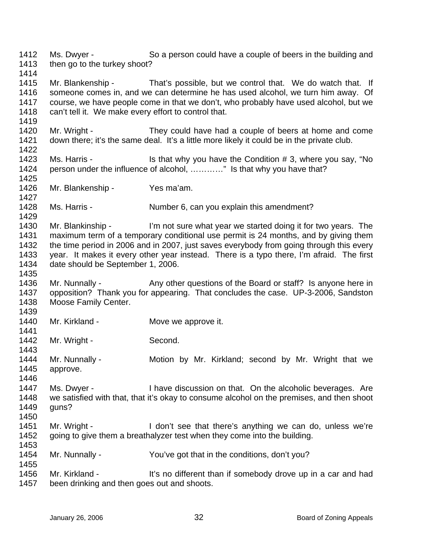1412 1413 1414 1415 1416 1417 1418 1419 1420 1421 1422 1423 1424 1425 1426 1427 1428 1429 1430 1431 1432 1433 1434 1435 1436 1437 1438 1439 1440 1441 1442 1443 1444 1445 1446 1447 1448 1449 1450 1451 1452 1453 1454 1455 1456 1457 Ms. Dwyer - So a person could have a couple of beers in the building and then go to the turkey shoot? Mr. Blankenship - That's possible, but we control that. We do watch that. If someone comes in, and we can determine he has used alcohol, we turn him away. Of course, we have people come in that we don't, who probably have used alcohol, but we can't tell it. We make every effort to control that. Mr. Wright - They could have had a couple of beers at home and come down there; it's the same deal. It's a little more likely it could be in the private club. Ms. Harris - Is that why you have the Condition # 3, where you say, "No person under the influence of alcohol, …………" Is that why you have that? Mr. Blankenship - Yes ma'am. Ms. Harris - Number 6, can you explain this amendment? Mr. Blankinship - I'm not sure what year we started doing it for two years. The maximum term of a temporary conditional use permit is 24 months, and by giving them the time period in 2006 and in 2007, just saves everybody from going through this every year. It makes it every other year instead. There is a typo there, I'm afraid. The first date should be September 1, 2006. Mr. Nunnally - Any other questions of the Board or staff? Is anyone here in opposition? Thank you for appearing. That concludes the case. UP-3-2006, Sandston Moose Family Center. Mr. Kirkland - **Move we approve it.** Mr. Wright - Second. Mr. Nunnally - **Motion by Mr. Kirkland**; second by Mr. Wright that we approve. Ms. Dwyer - Thave discussion on that. On the alcoholic beverages. Are we satisfied with that, that it's okay to consume alcohol on the premises, and then shoot guns? Mr. Wright - I don't see that there's anything we can do, unless we're going to give them a breathalyzer test when they come into the building. Mr. Nunnally - You've got that in the conditions, don't you? Mr. Kirkland - It's no different than if somebody drove up in a car and had been drinking and then goes out and shoots.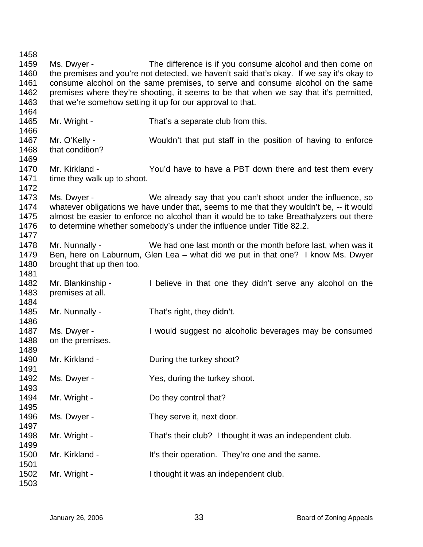Ms. Dwyer - The difference is if you consume alcohol and then come on the premises and you're not detected, we haven't said that's okay. If we say it's okay to consume alcohol on the same premises, to serve and consume alcohol on the same premises where they're shooting, it seems to be that when we say that it's permitted, that we're somehow setting it up for our approval to that. Mr. Wright - That's a separate club from this. Mr. O'Kelly - Wouldn't that put staff in the position of having to enforce that condition? Mr. Kirkland - The You'd have to have a PBT down there and test them every time they walk up to shoot. Ms. Dwyer - We already say that you can't shoot under the influence, so whatever obligations we have under that, seems to me that they wouldn't be, -- it would almost be easier to enforce no alcohol than it would be to take Breathalyzers out there to determine whether somebody's under the influence under Title 82.2. Mr. Nunnally - We had one last month or the month before last, when was it Ben, here on Laburnum, Glen Lea – what did we put in that one? I know Ms. Dwyer brought that up then too. Mr. Blankinship - I believe in that one they didn't serve any alcohol on the premises at all. Mr. Nunnally - That's right, they didn't. Ms. Dwyer - I would suggest no alcoholic beverages may be consumed on the premises. Mr. Kirkland - **During the turkey shoot?** Ms. Dwyer - Yes, during the turkey shoot. Mr. Wright - Do they control that? Ms. Dwyer - They serve it, next door. Mr. Wright - That's their club? I thought it was an independent club. Mr. Kirkland - It's their operation. They're one and the same. Mr. Wright - I thought it was an independent club.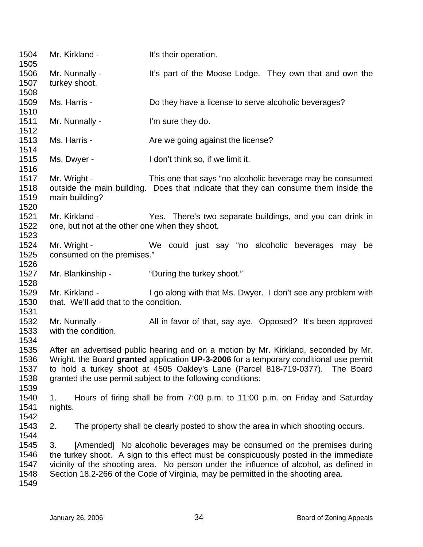1504 1505 1506 1507 1508 1509 1510 1511 1512 1513 1514 1515 1516 1517 1518 1519 1520 1521 1522 1523 1524 1525 1526 1527 1528 1529 1530 1531 1532 1533 1534 1535 1536 1537 1538 1539 1540 1541 1542 1543 1544 1545 1546 1547 1548 1549 Mr. Kirkland - It's their operation. Mr. Nunnally - It's part of the Moose Lodge. They own that and own the turkey shoot. Ms. Harris - Do they have a license to serve alcoholic beverages? Mr. Nunnally - The l'm sure they do. Ms. Harris - The Marris Are we going against the license? Ms. Dwyer - I don't think so, if we limit it. Mr. Wright - This one that says "no alcoholic beverage may be consumed outside the main building. Does that indicate that they can consume them inside the main building? Mr. Kirkland - Yes. There's two separate buildings, and you can drink in one, but not at the other one when they shoot. Mr. Wright - We could just say "no alcoholic beverages may be consumed on the premises." Mr. Blankinship - "During the turkey shoot." Mr. Kirkland - I go along with that Ms. Dwyer. I don't see any problem with that. We'll add that to the condition. Mr. Nunnally - All in favor of that, say aye. Opposed? It's been approved with the condition. After an advertised public hearing and on a motion by Mr. Kirkland, seconded by Mr. Wright, the Board **granted** application **UP-3-2006** for a temporary conditional use permit to hold a turkey shoot at 4505 Oakley's Lane (Parcel 818-719-0377). The Board granted the use permit subject to the following conditions: 1. Hours of firing shall be from 7:00 p.m. to 11:00 p.m. on Friday and Saturday nights. 2. The property shall be clearly posted to show the area in which shooting occurs. 3. [Amended] No alcoholic beverages may be consumed on the premises during the turkey shoot. A sign to this effect must be conspicuously posted in the immediate vicinity of the shooting area. No person under the influence of alcohol, as defined in Section 18.2-266 of the Code of Virginia, may be permitted in the shooting area.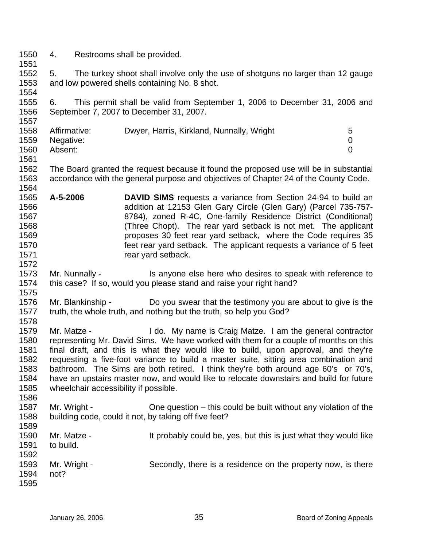- 1550 4. Restrooms shall be provided.
- 1551

1557

1572

1575

1586

1552 1553 1554 5. The turkey shoot shall involve only the use of shotguns no larger than 12 gauge and low powered shells containing No. 8 shot.

1555 1556 6. This permit shall be valid from September 1, 2006 to December 31, 2006 and September 7, 2007 to December 31, 2007.

| 1558 | Affirmative: | Dwyer, Harris, Kirkland, Nunnally, Wright | 5. |
|------|--------------|-------------------------------------------|----|
| 1559 | Negative:    |                                           |    |
| 1560 | Absent:      |                                           |    |
| 1561 |              |                                           |    |

1562 1563 1564 The Board granted the request because it found the proposed use will be in substantial accordance with the general purpose and objectives of Chapter 24 of the County Code.

- 1565 1566 1567 1568 1569 1570 1571 **A-5-2006 DAVID SIMS** requests a variance from Section 24-94 to build an addition at 12153 Glen Gary Circle (Glen Gary) (Parcel 735-757- 8784), zoned R-4C, One-family Residence District (Conditional) (Three Chopt). The rear yard setback is not met. The applicant proposes 30 feet rear yard setback, where the Code requires 35 feet rear yard setback. The applicant requests a variance of 5 feet rear yard setback.
- 1573 1574 Mr. Nunnally - Is anyone else here who desires to speak with reference to this case? If so, would you please stand and raise your right hand?
- 1576 1577 1578 Mr. Blankinship - Do you swear that the testimony you are about to give is the truth, the whole truth, and nothing but the truth, so help you God?
- 1579 1580 1581 1582 1583 1584 1585 Mr. Matze - I do. My name is Craig Matze. I am the general contractor representing Mr. David Sims. We have worked with them for a couple of months on this final draft, and this is what they would like to build, upon approval, and they're requesting a five-foot variance to build a master suite, sitting area combination and bathroom. The Sims are both retired. I think they're both around age 60's or 70's, have an upstairs master now, and would like to relocate downstairs and build for future wheelchair accessibility if possible.
- 1587 1588 Mr. Wright - Che question – this could be built without any violation of the building code, could it not, by taking off five feet?
- 1589 1590 1591 1592 1593 1594 1595 Mr. Matze - It probably could be, yes, but this is just what they would like to build. Mr. Wright - Secondly, there is a residence on the property now, is there not?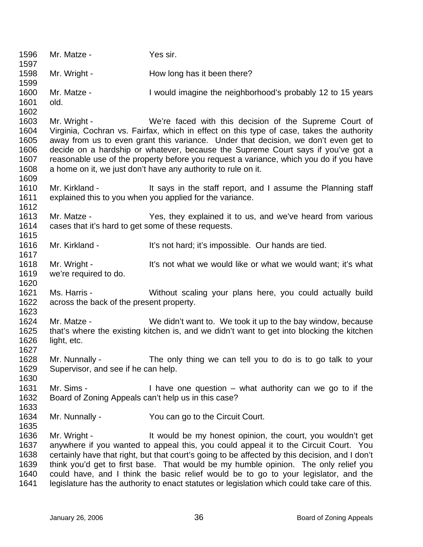1596 1597 1598 1599 1600 1601 1602 1603 1604 1605 1606 1607 1608 1609 1610 1611 1612 1613 1614 1615 1616 1617 1618 1619 1620 1621 1622 1623 1624 1625 1626 1627 1628 1629 1630 1631 1632 1633 1634 1635 1636 1637 1638 1639 1640 1641 Mr. Matze - **Yes sir.** Mr. Wright - **How long has it been there?** Mr. Matze - I would imagine the neighborhood's probably 12 to 15 years old. Mr. Wright - We're faced with this decision of the Supreme Court of Virginia, Cochran vs. Fairfax, which in effect on this type of case, takes the authority away from us to even grant this variance. Under that decision, we don't even get to decide on a hardship or whatever, because the Supreme Court says if you've got a reasonable use of the property before you request a variance, which you do if you have a home on it, we just don't have any authority to rule on it. Mr. Kirkland - It says in the staff report, and I assume the Planning staff explained this to you when you applied for the variance. Mr. Matze - The Yes, they explained it to us, and we've heard from various cases that it's hard to get some of these requests. Mr. Kirkland - It's not hard; it's impossible. Our hands are tied. Mr. Wright - The State of what we would like or what we would want; it's what we're required to do. Ms. Harris - Without scaling your plans here, you could actually build across the back of the present property. Mr. Matze - We didn't want to. We took it up to the bay window, because that's where the existing kitchen is, and we didn't want to get into blocking the kitchen light, etc. Mr. Nunnally - The only thing we can tell you to do is to go talk to your Supervisor, and see if he can help. Mr. Sims - I have one question – what authority can we go to if the Board of Zoning Appeals can't help us in this case? Mr. Nunnally - The You can go to the Circuit Court. Mr. Wright - The Muslim state of the my honest opinion, the court, you wouldn't get anywhere if you wanted to appeal this, you could appeal it to the Circuit Court. You certainly have that right, but that court's going to be affected by this decision, and I don't think you'd get to first base. That would be my humble opinion. The only relief you could have, and I think the basic relief would be to go to your legislator, and the legislature has the authority to enact statutes or legislation which could take care of this.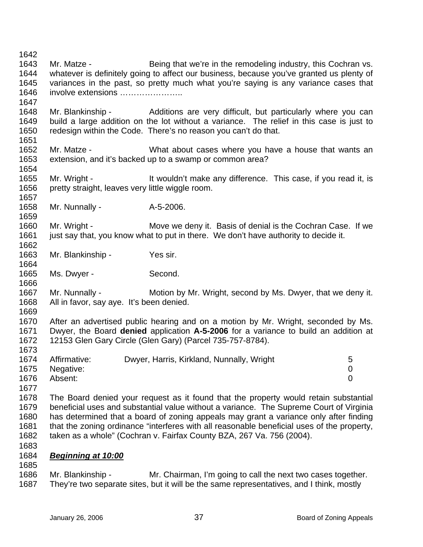1642 1643 1644 1645 1646 1647 1648 1649 1650 1651 1652 1653 1654 1655 1656 1657 1658 1659 1660 1661 1662 1663 1664 1665 1666 1667 1668 1669 1670 1671 1672 1673 1674 1675 1676 1677 1678 1679 1680 1681 1682 1683 Mr. Matze - Being that we're in the remodeling industry, this Cochran vs. whatever is definitely going to affect our business, because you've granted us plenty of variances in the past, so pretty much what you're saying is any variance cases that involve extensions ………………….. Mr. Blankinship - The Additions are very difficult, but particularly where you can build a large addition on the lot without a variance. The relief in this case is just to redesign within the Code. There's no reason you can't do that. Mr. Matze - What about cases where you have a house that wants an extension, and it's backed up to a swamp or common area? Mr. Wright - It wouldn't make any difference. This case, if you read it, is pretty straight, leaves very little wiggle room. Mr. Nunnally - A-5-2006. Mr. Wright - Move we deny it. Basis of denial is the Cochran Case. If we just say that, you know what to put in there. We don't have authority to decide it. Mr. Blankinship - Yes sir. Ms. Dwyer - Second. Mr. Nunnally - Motion by Mr. Wright, second by Ms. Dwyer, that we deny it. All in favor, say aye. It's been denied. After an advertised public hearing and on a motion by Mr. Wright, seconded by Ms. Dwyer, the Board **denied** application **A-5-2006** for a variance to build an addition at 12153 Glen Gary Circle (Glen Gary) (Parcel 735-757-8784). Affirmative: Dwyer, Harris, Kirkland, Nunnally, Wright 5 Negative: 0 Absent: 0 The Board denied your request as it found that the property would retain substantial beneficial uses and substantial value without a variance. The Supreme Court of Virginia has determined that a board of zoning appeals may grant a variance only after finding that the zoning ordinance "interferes with all reasonable beneficial uses of the property, taken as a whole" (Cochran v. Fairfax County BZA, 267 Va. 756 (2004). 1684 *Beginning at 10:00* 1685 1686 1687 Mr. Blankinship - Mr. Chairman, I'm going to call the next two cases together. They're two separate sites, but it will be the same representatives, and I think, mostly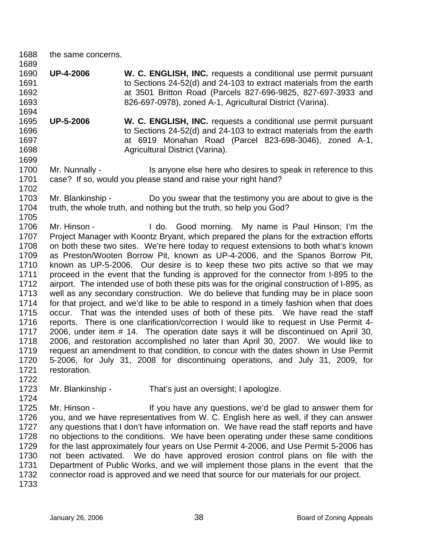1688 the same concerns.

1689

1694

1699

- 1690 1691 1692 1693 **UP-4-2006 W. C. ENGLISH, INC.** requests a conditional use permit pursuant to Sections 24-52(d) and 24-103 to extract materials from the earth at 3501 Britton Road (Parcels 827-696-9825, 827-697-3933 and 826-697-0978), zoned A-1, Agricultural District (Varina).
- 1695 1696 1697 1698 **UP-5-2006 W. C. ENGLISH, INC.** requests a conditional use permit pursuant to Sections 24-52(d) and 24-103 to extract materials from the earth at 6919 Monahan Road (Parcel 823-698-3046), zoned A-1, Agricultural District (Varina).
- 1700 1701 1702 Mr. Nunnally - Is anyone else here who desires to speak in reference to this case? If so, would you please stand and raise your right hand?
- 1703 1704 1705 Mr. Blankinship - Do you swear that the testimony you are about to give is the truth, the whole truth, and nothing but the truth, so help you God?
- 1706 1707 1708 1709 1710 1711 1712 1713 1714 1715 1716 1717 1718 1719 1720 1721 Mr. Hinson - I do. Good morning. My name is Paul Hinson; I'm the Project Manager with Koontz Bryant, which prepared the plans for the extraction efforts on both these two sites. We're here today to request extensions to both what's known as Preston/Wooten Borrow Pit, known as UP-4-2006, and the Spanos Borrow Pit, known as UP-5-2006. Our desire is to keep these two pits active so that we may proceed in the event that the funding is approved for the connector from I-895 to the airport. The intended use of both these pits was for the original construction of I-895, as well as any secondary construction. We do believe that funding may be in place soon for that project, and we'd like to be able to respond in a timely fashion when that does occur. That was the intended uses of both of these pits. We have read the staff reports. There is one clarification/correction I would like to request in Use Permit 4- 2006, under item # 14. The operation date says it will be discontinued on April 30, 2006, and restoration accomplished no later than April 30, 2007. We would like to request an amendment to that condition, to concur with the dates shown in Use Permit 5-2006, for July 31, 2008 for discontinuing operations, and July 31, 2009, for restoration.
- 1723 Mr. Blankinship - That's just an oversight; I apologize.
- 1725 1726 1727 1728 1729 1730 1731 1732 Mr. Hinson - If you have any questions, we'd be glad to answer them for you, and we have representatives from W. C. English here as well, if they can answer any questions that I don't have information on. We have read the staff reports and have no objections to the conditions. We have been operating under these same conditions for the last approximately four years on Use Permit 4-2006, and Use Permit 5-2006 has not been activated. We do have approved erosion control plans on file with the Department of Public Works, and we will implement those plans in the event that the connector road is approved and we need that source for our materials for our project.
- 1733

1722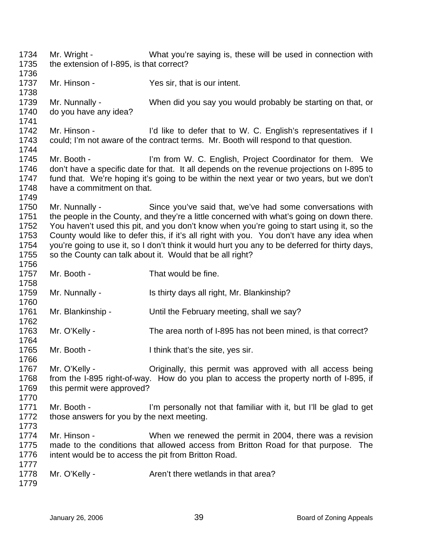1734 1735 1736 1737 1738 1739 1740 1741 1742 1743 1744 1745 1746 1747 1748 1749 1750 1751 1752 1753 1754 1755 1756 1757 1758 1759 1760 1761 1762 1763 1764 1765 1766 1767 1768 1769 1770 1771 1772 1773 1774 1775 1776 1777 1778 1779 Mr. Wright - What you're saying is, these will be used in connection with the extension of I-895, is that correct? Mr. Hinson - Yes sir, that is our intent. Mr. Nunnally - When did you say you would probably be starting on that, or do you have any idea? Mr. Hinson - I'd like to defer that to W. C. English's representatives if I could; I'm not aware of the contract terms. Mr. Booth will respond to that question. Mr. Booth - I'm from W. C. English, Project Coordinator for them. We don't have a specific date for that. It all depends on the revenue projections on I-895 to fund that. We're hoping it's going to be within the next year or two years, but we don't have a commitment on that. Mr. Nunnally - Since you've said that, we've had some conversations with the people in the County, and they're a little concerned with what's going on down there. You haven't used this pit, and you don't know when you're going to start using it, so the County would like to defer this, if it's all right with you. You don't have any idea when you're going to use it, so I don't think it would hurt you any to be deferred for thirty days, so the County can talk about it. Would that be all right? Mr. Booth - That would be fine. Mr. Nunnally - Is thirty days all right, Mr. Blankinship? Mr. Blankinship - Until the February meeting, shall we say? Mr. O'Kelly - The area north of I-895 has not been mined, is that correct? Mr. Booth - Think that's the site, yes sir. Mr. O'Kelly - Criginally, this permit was approved with all access being from the I-895 right-of-way. How do you plan to access the property north of I-895, if this permit were approved? Mr. Booth - I'm personally not that familiar with it, but I'll be glad to get those answers for you by the next meeting. Mr. Hinson - When we renewed the permit in 2004, there was a revision made to the conditions that allowed access from Britton Road for that purpose. The intent would be to access the pit from Britton Road. Mr. O'Kelly - **Aren't there wetlands in that area?**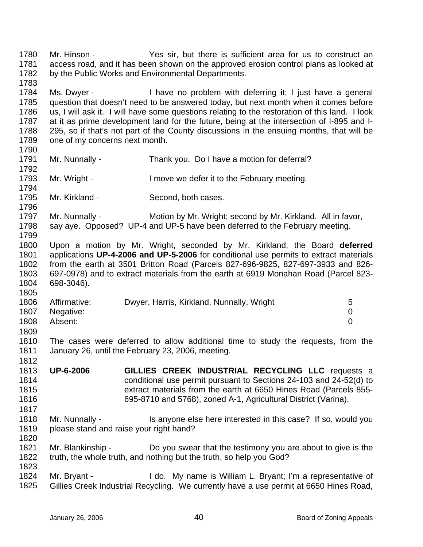1780 1781 1782 1783 Mr. Hinson - Yes sir, but there is sufficient area for us to construct an access road, and it has been shown on the approved erosion control plans as looked at by the Public Works and Environmental Departments.

1784 1785 1786 1787 1788 1789 Ms. Dwyer - I have no problem with deferring it; I just have a general question that doesn't need to be answered today, but next month when it comes before us, I will ask it. I will have some questions relating to the restoration of this land. I look at it as prime development land for the future, being at the intersection of I-895 and I-295, so if that's not part of the County discussions in the ensuing months, that will be one of my concerns next month.

- 1791 1792 Mr. Nunnally - Thank you. Do I have a motion for deferral?
- 1793 1794 Mr. Wright - I move we defer it to the February meeting.
- 1795 Mr. Kirkland - Second, both cases.

1790

1796

1805

1812

1817

1823

1797 1798 1799 Mr. Nunnally - Motion by Mr. Wright; second by Mr. Kirkland. All in favor, say aye. Opposed? UP-4 and UP-5 have been deferred to the February meeting.

1800 1801 1802 1803 1804 Upon a motion by Mr. Wright, seconded by Mr. Kirkland, the Board **deferred** applications **UP-4-2006 and UP-5-2006** for conditional use permits to extract materials from the earth at 3501 Britton Road (Parcels 827-696-9825, 827-697-3933 and 826- 697-0978) and to extract materials from the earth at 6919 Monahan Road (Parcel 823- 698-3046).

| 1806 | Affirmative: | Dwyer, Harris, Kirkland, Nunnally, Wright | 5 |
|------|--------------|-------------------------------------------|---|
| 1807 | Negative:    |                                           |   |
| 1808 | Absent:      |                                           |   |
| 1809 |              |                                           |   |

1810 1811 The cases were deferred to allow additional time to study the requests, from the January 26, until the February 23, 2006, meeting.

- 1813 1814 1815 1816 **UP-6-2006 GILLIES CREEK INDUSTRIAL RECYCLING LLC** requests a conditional use permit pursuant to Sections 24-103 and 24-52(d) to extract materials from the earth at 6650 Hines Road (Parcels 855- 695-8710 and 5768), zoned A-1, Agricultural District (Varina).
- 1818 1819 1820 Mr. Nunnally - This anyone else here interested in this case? If so, would you please stand and raise your right hand?
- 1821 1822 Mr. Blankinship - Do you swear that the testimony you are about to give is the truth, the whole truth, and nothing but the truth, so help you God?

1824 1825 Mr. Bryant - The My name is William L. Bryant; I'm a representative of Gillies Creek Industrial Recycling. We currently have a use permit at 6650 Hines Road,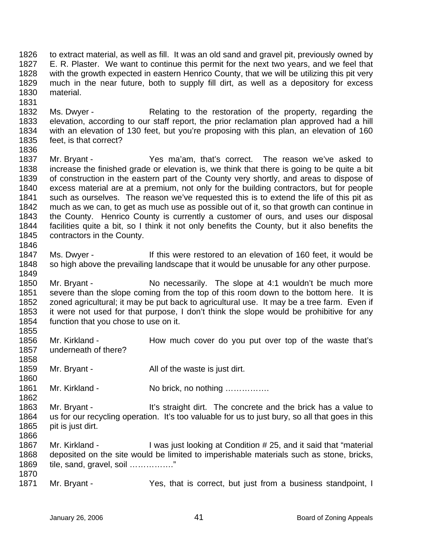1826 1827 1828 1829 1830 to extract material, as well as fill. It was an old sand and gravel pit, previously owned by E. R. Plaster. We want to continue this permit for the next two years, and we feel that with the growth expected in eastern Henrico County, that we will be utilizing this pit very much in the near future, both to supply fill dirt, as well as a depository for excess material.

1832 1833 1834 1835 Ms. Dwyer - Relating to the restoration of the property, regarding the elevation, according to our staff report, the prior reclamation plan approved had a hill with an elevation of 130 feet, but you're proposing with this plan, an elevation of 160 feet, is that correct?

1836

1858

1860

1862

1831

1837 1838 1839 1840 1841 1842 1843 1844 1845 1846 Mr. Bryant - The Yes ma'am, that's correct. The reason we've asked to increase the finished grade or elevation is, we think that there is going to be quite a bit of construction in the eastern part of the County very shortly, and areas to dispose of excess material are at a premium, not only for the building contractors, but for people such as ourselves. The reason we've requested this is to extend the life of this pit as much as we can, to get as much use as possible out of it, so that growth can continue in the County. Henrico County is currently a customer of ours, and uses our disposal facilities quite a bit, so I think it not only benefits the County, but it also benefits the contractors in the County.

1847 1848 1849 Ms. Dwyer - If this were restored to an elevation of 160 feet, it would be so high above the prevailing landscape that it would be unusable for any other purpose.

1850 1851 1852 1853 1854 1855 Mr. Bryant - No necessarily. The slope at 4:1 wouldn't be much more severe than the slope coming from the top of this room down to the bottom here. It is zoned agricultural; it may be put back to agricultural use. It may be a tree farm. Even if it were not used for that purpose, I don't think the slope would be prohibitive for any function that you chose to use on it.

1856 1857 Mr. Kirkland - How much cover do you put over top of the waste that's underneath of there?

1859 Mr. Bryant - All of the waste is just dirt.

1861 Mr. Kirkland - No brick, no nothing …………….

1863 1864 1865 1866 Mr. Bryant - It's straight dirt. The concrete and the brick has a value to us for our recycling operation. It's too valuable for us to just bury, so all that goes in this pit is just dirt.

1867 1868 1869 1870 Mr. Kirkland - I was just looking at Condition # 25, and it said that "material deposited on the site would be limited to imperishable materials such as stone, bricks, tile, sand, gravel, soil ……………."

1871 Mr. Bryant - Yes, that is correct, but just from a business standpoint, I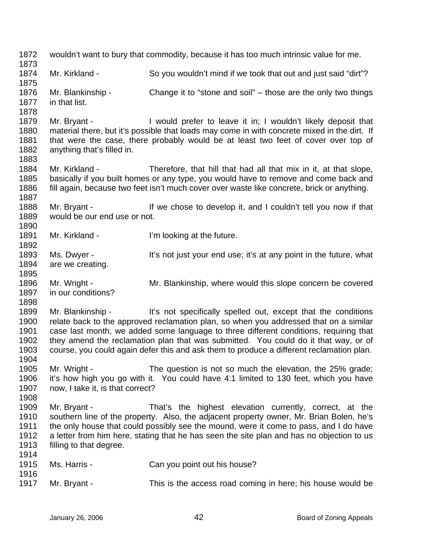1872 1873 1874 1875 1876 1877 1878 1879 1880 1881 1882 1883 1884 1885 1886 1887 1888 1889 1890 1891 1892 1893 1894 1895 1896 1897 1898 1899 1900 1901 1902 1903 1904 1905 1906 1907 1908 1909 1910 1911 1912 1913 1914 1915 1916 1917 wouldn't want to bury that commodity, because it has too much intrinsic value for me. Mr. Kirkland - So you wouldn't mind if we took that out and just said "dirt"? Mr. Blankinship - Change it to "stone and soil" – those are the only two things in that list. Mr. Bryant - I would prefer to leave it in; I wouldn't likely deposit that material there, but it's possible that loads may come in with concrete mixed in the dirt. If that were the case, there probably would be at least two feet of cover over top of anything that's filled in. Mr. Kirkland - Therefore, that hill that had all that mix in it, at that slope, basically if you built homes or any type, you would have to remove and come back and fill again, because two feet isn't much cover over waste like concrete, brick or anything. Mr. Bryant - If we chose to develop it, and I couldn't tell you now if that would be our end use or not. Mr. Kirkland - I'm looking at the future. Ms. Dwyer - It's not just your end use; it's at any point in the future, what are we creating. Mr. Wright - Mr. Blankinship, where would this slope concern be covered in our conditions? Mr. Blankinship - It's not specifically spelled out, except that the conditions relate back to the approved reclamation plan, so when you addressed that on a similar case last month, we added some language to three different conditions, requiring that they amend the reclamation plan that was submitted. You could do it that way, or of course, you could again defer this and ask them to produce a different reclamation plan. Mr. Wright - The question is not so much the elevation, the 25% grade; it's how high you go with it. You could have 4:1 limited to 130 feet, which you have now, I take it, is that correct? Mr. Bryant - That's the highest elevation currently, correct, at the southern line of the property. Also, the adjacent property owner, Mr. Brian Bolen, he's the only house that could possibly see the mound, were it come to pass, and I do have a letter from him here, stating that he has seen the site plan and has no objection to us filling to that degree. Ms. Harris - Can you point out his house? Mr. Bryant - This is the access road coming in here; his house would be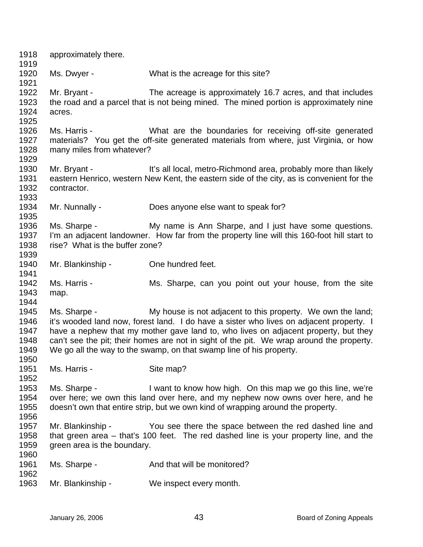| 1918<br>1919 | approximately there.           |                                                                                            |
|--------------|--------------------------------|--------------------------------------------------------------------------------------------|
| 1920         | Ms. Dwyer -                    | What is the acreage for this site?                                                         |
| 1921         |                                |                                                                                            |
| 1922         | Mr. Bryant -                   | The acreage is approximately 16.7 acres, and that includes                                 |
| 1923<br>1924 | acres.                         | the road and a parcel that is not being mined. The mined portion is approximately nine     |
| 1925         |                                |                                                                                            |
| 1926         | Ms. Harris -                   | What are the boundaries for receiving off-site generated                                   |
| 1927         |                                | materials? You get the off-site generated materials from where, just Virginia, or how      |
| 1928         | many miles from whatever?      |                                                                                            |
| 1929         |                                |                                                                                            |
| 1930         | Mr. Bryant -                   | It's all local, metro-Richmond area, probably more than likely                             |
| 1931         |                                | eastern Henrico, western New Kent, the eastern side of the city, as is convenient for the  |
| 1932         | contractor.                    |                                                                                            |
| 1933         |                                |                                                                                            |
| 1934<br>1935 | Mr. Nunnally -                 | Does anyone else want to speak for?                                                        |
| 1936         |                                | Ms. Sharpe - My name is Ann Sharpe, and I just have some questions.                        |
| 1937         |                                | I'm an adjacent landowner. How far from the property line will this 160-foot hill start to |
| 1938         | rise? What is the buffer zone? |                                                                                            |
| 1939         |                                |                                                                                            |
| 1940         | Mr. Blankinship -              | One hundred feet.                                                                          |
| 1941         |                                |                                                                                            |
| 1942         | Ms. Harris -                   | Ms. Sharpe, can you point out your house, from the site                                    |
| 1943         | map.                           |                                                                                            |
| 1944         |                                |                                                                                            |
| 1945         | Ms. Sharpe -                   | My house is not adjacent to this property. We own the land;                                |
| 1946         |                                | it's wooded land now, forest land. I do have a sister who lives on adjacent property. I    |
| 1947         |                                | have a nephew that my mother gave land to, who lives on adjacent property, but they        |
| 1948         |                                | can't see the pit; their homes are not in sight of the pit. We wrap around the property.   |
| 1949         |                                | We go all the way to the swamp, on that swamp line of his property.                        |
| 1950         |                                |                                                                                            |
| 1951         | Ms. Harris -                   | Site map?                                                                                  |
| 1952<br>1953 | Ms. Sharpe -                   | I want to know how high. On this map we go this line, we're                                |
| 1954         |                                | over here; we own this land over here, and my nephew now owns over here, and he            |
| 1955         |                                | doesn't own that entire strip, but we own kind of wrapping around the property.            |
| 1956         |                                |                                                                                            |
| 1957         | Mr. Blankinship -              | You see there the space between the red dashed line and                                    |
| 1958         |                                | that green area - that's 100 feet. The red dashed line is your property line, and the      |
| 1959         | green area is the boundary.    |                                                                                            |
| 1960         |                                |                                                                                            |
| 1961         | Ms. Sharpe -                   | And that will be monitored?                                                                |
| 1962         |                                |                                                                                            |
| 1963         | Mr. Blankinship -              | We inspect every month.                                                                    |
|              |                                |                                                                                            |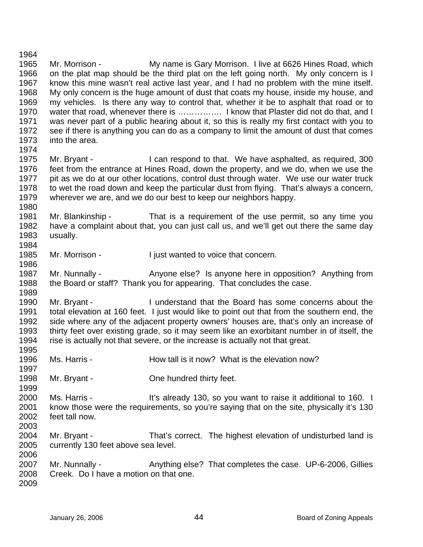1964 1965 1966 1967 1968 1969 1970 1971 1972 1973 1974 Mr. Morrison - My name is Gary Morrison. I live at 6626 Hines Road, which on the plat map should be the third plat on the left going north. My only concern is I know this mine wasn't real active last year, and I had no problem with the mine itself. My only concern is the huge amount of dust that coats my house, inside my house, and my vehicles. Is there any way to control that, whether it be to asphalt that road or to water that road, whenever there is ................. I know that Plaster did not do that, and I was never part of a public hearing about it, so this is really my first contact with you to see if there is anything you can do as a company to limit the amount of dust that comes into the area.

1975 1976 1977 1978 1979 Mr. Bryant - I can respond to that. We have asphalted, as required, 300 feet from the entrance at Hines Road, down the property, and we do, when we use the pit as we do at our other locations, control dust through water. We use our water truck to wet the road down and keep the particular dust from flying. That's always a concern, wherever we are, and we do our best to keep our neighbors happy.

1981 1982 1983 1984 Mr. Blankinship - That is a requirement of the use permit, so any time you have a complaint about that, you can just call us, and we'll get out there the same day usually.

1985 Mr. Morrison - I just wanted to voice that concern.

1987 1988 Mr. Nunnally - Anyone else? Is anyone here in opposition? Anything from the Board or staff? Thank you for appearing. That concludes the case.

1990 1991 1992 1993 1994 1995 Mr. Bryant - The Inderstand that the Board has some concerns about the total elevation at 160 feet. I just would like to point out that from the southern end, the side where any of the adjacent property owners' houses are, that's only an increase of thirty feet over existing grade, so it may seem like an exorbitant number in of itself, the rise is actually not that severe, or the increase is actually not that great.

- 1996 Ms. Harris - The How tall is it now? What is the elevation now?
- 1998 Mr. Bryant - Che hundred thirty feet.

2000 2001 2002 2003 Ms. Harris - It's already 130, so you want to raise it additional to 160. I know those were the requirements, so you're saying that on the site, physically it's 130 feet tall now.

2004 2005 Mr. Bryant - That's correct. The highest elevation of undisturbed land is currently 130 feet above sea level.

2007 2008 2009 Mr. Nunnally - Anything else? That completes the case. UP-6-2006, Gillies Creek. Do I have a motion on that one.

1980

1986

1989

1997

1999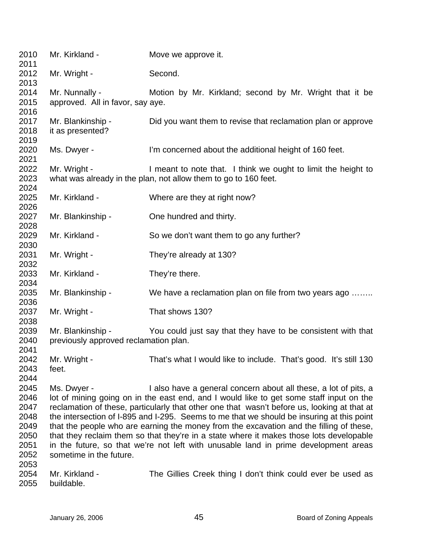| 2010<br>2011                                                         | Mr. Kirkland -                                             | Move we approve it.                                                                                                                                                                                                                                                                                                                                                                                                                                                                                                                                                                                                                 |
|----------------------------------------------------------------------|------------------------------------------------------------|-------------------------------------------------------------------------------------------------------------------------------------------------------------------------------------------------------------------------------------------------------------------------------------------------------------------------------------------------------------------------------------------------------------------------------------------------------------------------------------------------------------------------------------------------------------------------------------------------------------------------------------|
| 2012<br>2013                                                         | Mr. Wright -                                               | Second.                                                                                                                                                                                                                                                                                                                                                                                                                                                                                                                                                                                                                             |
| 2014<br>2015<br>2016                                                 | Mr. Nunnally -<br>approved. All in favor, say aye.         | Motion by Mr. Kirkland; second by Mr. Wright that it be                                                                                                                                                                                                                                                                                                                                                                                                                                                                                                                                                                             |
| 2017<br>2018                                                         | Mr. Blankinship -<br>it as presented?                      | Did you want them to revise that reclamation plan or approve                                                                                                                                                                                                                                                                                                                                                                                                                                                                                                                                                                        |
| 2019<br>2020<br>2021                                                 | Ms. Dwyer -                                                | I'm concerned about the additional height of 160 feet.                                                                                                                                                                                                                                                                                                                                                                                                                                                                                                                                                                              |
| 2022<br>2023<br>2024                                                 | Mr. Wright -                                               | I meant to note that. I think we ought to limit the height to<br>what was already in the plan, not allow them to go to 160 feet.                                                                                                                                                                                                                                                                                                                                                                                                                                                                                                    |
| 2025<br>2026                                                         | Mr. Kirkland -                                             | Where are they at right now?                                                                                                                                                                                                                                                                                                                                                                                                                                                                                                                                                                                                        |
| 2027<br>2028                                                         | Mr. Blankinship -                                          | One hundred and thirty.                                                                                                                                                                                                                                                                                                                                                                                                                                                                                                                                                                                                             |
| 2029<br>2030                                                         | Mr. Kirkland -                                             | So we don't want them to go any further?                                                                                                                                                                                                                                                                                                                                                                                                                                                                                                                                                                                            |
| 2031<br>2032                                                         | Mr. Wright -                                               | They're already at 130?                                                                                                                                                                                                                                                                                                                                                                                                                                                                                                                                                                                                             |
| 2033<br>2034                                                         | Mr. Kirkland -                                             | They're there.                                                                                                                                                                                                                                                                                                                                                                                                                                                                                                                                                                                                                      |
| 2035<br>2036                                                         | Mr. Blankinship -                                          | We have a reclamation plan on file from two years ago                                                                                                                                                                                                                                                                                                                                                                                                                                                                                                                                                                               |
| 2037<br>2038                                                         | Mr. Wright -                                               | That shows 130?                                                                                                                                                                                                                                                                                                                                                                                                                                                                                                                                                                                                                     |
| 2039<br>2040<br>2041                                                 | Mr. Blankinship -<br>previously approved reclamation plan. | You could just say that they have to be consistent with that                                                                                                                                                                                                                                                                                                                                                                                                                                                                                                                                                                        |
| 2042<br>2043<br>2044                                                 | Mr. Wright -<br>feet.                                      | That's what I would like to include. That's good. It's still 130                                                                                                                                                                                                                                                                                                                                                                                                                                                                                                                                                                    |
| 2045<br>2046<br>2047<br>2048<br>2049<br>2050<br>2051<br>2052<br>2053 | Ms. Dwyer -<br>sometime in the future.                     | I also have a general concern about all these, a lot of pits, a<br>lot of mining going on in the east end, and I would like to get some staff input on the<br>reclamation of these, particularly that other one that wasn't before us, looking at that at<br>the intersection of I-895 and I-295. Seems to me that we should be insuring at this point<br>that the people who are earning the money from the excavation and the filling of these,<br>that they reclaim them so that they're in a state where it makes those lots developable<br>in the future, so that we're not left with unusable land in prime development areas |
| 2054<br>2055                                                         | Mr. Kirkland -<br>buildable.                               | The Gillies Creek thing I don't think could ever be used as                                                                                                                                                                                                                                                                                                                                                                                                                                                                                                                                                                         |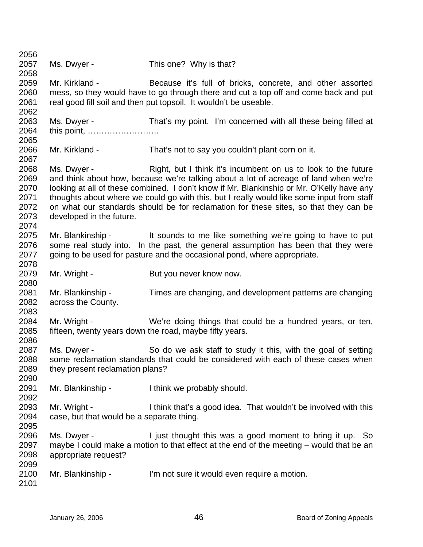| 2056         |                                           |                                                                                                                                                    |
|--------------|-------------------------------------------|----------------------------------------------------------------------------------------------------------------------------------------------------|
| 2057         | Ms. Dwyer -                               | This one? Why is that?                                                                                                                             |
| 2058         |                                           |                                                                                                                                                    |
| 2059         | Mr. Kirkland -                            | Because it's full of bricks, concrete, and other assorted                                                                                          |
| 2060         |                                           | mess, so they would have to go through there and cut a top off and come back and put                                                               |
| 2061         |                                           | real good fill soil and then put topsoil. It wouldn't be useable.                                                                                  |
| 2062         |                                           |                                                                                                                                                    |
| 2063         | Ms. Dwyer -                               | That's my point. I'm concerned with all these being filled at                                                                                      |
| 2064         | this point,                               |                                                                                                                                                    |
| 2065         |                                           |                                                                                                                                                    |
| 2066         | Mr. Kirkland -                            | That's not to say you couldn't plant corn on it.                                                                                                   |
| 2067         |                                           |                                                                                                                                                    |
| 2068         | Ms. Dwyer -                               | Right, but I think it's incumbent on us to look to the future                                                                                      |
| 2069         |                                           | and think about how, because we're talking about a lot of acreage of land when we're                                                               |
| 2070         |                                           | looking at all of these combined. I don't know if Mr. Blankinship or Mr. O'Kelly have any                                                          |
| 2071         |                                           | thoughts about where we could go with this, but I really would like some input from staff                                                          |
| 2072         |                                           | on what our standards should be for reclamation for these sites, so that they can be                                                               |
| 2073         | developed in the future.                  |                                                                                                                                                    |
| 2074         |                                           |                                                                                                                                                    |
| 2075         |                                           | Mr. Blankinship - It sounds to me like something we're going to have to put                                                                        |
| 2076         |                                           | some real study into. In the past, the general assumption has been that they were                                                                  |
| 2077         |                                           | going to be used for pasture and the occasional pond, where appropriate.                                                                           |
| 2078         |                                           |                                                                                                                                                    |
| 2079         | Mr. Wright -                              | But you never know now.                                                                                                                            |
| 2080         |                                           |                                                                                                                                                    |
| 2081         | Mr. Blankinship -                         | Times are changing, and development patterns are changing                                                                                          |
| 2082         | across the County.                        |                                                                                                                                                    |
| 2083         |                                           |                                                                                                                                                    |
| 2084         | Mr. Wright -                              | We're doing things that could be a hundred years, or ten,                                                                                          |
| 2085         |                                           | fifteen, twenty years down the road, maybe fifty years.                                                                                            |
| 2086<br>2087 | Ms. Dwyer -                               |                                                                                                                                                    |
| 2088         |                                           | So do we ask staff to study it this, with the goal of setting<br>some reclamation standards that could be considered with each of these cases when |
| 2089         | they present reclamation plans?           |                                                                                                                                                    |
| 2090         |                                           |                                                                                                                                                    |
| 2091         | Mr. Blankinship -                         | I think we probably should.                                                                                                                        |
| 2092         |                                           |                                                                                                                                                    |
| 2093         | Mr. Wright -                              | I think that's a good idea. That wouldn't be involved with this                                                                                    |
| 2094         | case, but that would be a separate thing. |                                                                                                                                                    |
| 2095         |                                           |                                                                                                                                                    |
| 2096         | Ms. Dwyer -                               | I just thought this was a good moment to bring it up. So                                                                                           |
| 2097         |                                           | maybe I could make a motion to that effect at the end of the meeting – would that be an                                                            |
| 2098         | appropriate request?                      |                                                                                                                                                    |
| 2099         |                                           |                                                                                                                                                    |
| 2100         | Mr. Blankinship -                         | I'm not sure it would even require a motion.                                                                                                       |
| 2101         |                                           |                                                                                                                                                    |
|              |                                           |                                                                                                                                                    |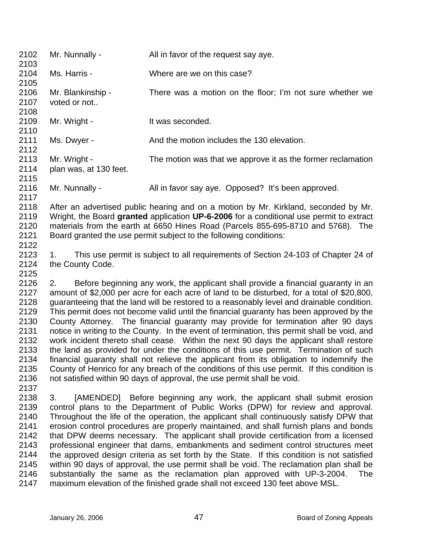| 2102<br>2103         | Mr. Nunnally -                    | All in favor of the request say aye.                        |
|----------------------|-----------------------------------|-------------------------------------------------------------|
| 2104                 | Ms. Harris -                      | Where are we on this case?                                  |
| 2105<br>2106<br>2107 | Mr. Blankinship -<br>voted or not | There was a motion on the floor; I'm not sure whether we    |
| 2108                 |                                   |                                                             |
| 2109<br>2110         | Mr. Wright -                      | It was seconded.                                            |
| 2111<br>2112         | Ms. Dwyer -                       | And the motion includes the 130 elevation.                  |
| 2113                 | Mr. Wright -                      | The motion was that we approve it as the former reclamation |
| 2114                 | plan was, at 130 feet.            |                                                             |
| 2115                 |                                   |                                                             |
| 2116                 | Mr. Nunnally -                    | All in favor say aye. Opposed? It's been approved.          |
| 2117                 |                                   |                                                             |

2118 2119 2120 2121 2122 After an advertised public hearing and on a motion by Mr. Kirkland, seconded by Mr. Wright, the Board **granted** application **UP-6-2006** for a conditional use permit to extract materials from the earth at 6650 Hines Road (Parcels 855-695-8710 and 5768). The Board granted the use permit subject to the following conditions:

2123 2124 2125 1. This use permit is subject to all requirements of Section 24-103 of Chapter 24 of the County Code.

2126 2127 2128 2129 2130 2131 2132 2133 2134 2135 2136 2. Before beginning any work, the applicant shall provide a financial guaranty in an amount of \$2,000 per acre for each acre of land to be disturbed, for a total of \$20,800, guaranteeing that the land will be restored to a reasonably level and drainable condition. This permit does not become valid until the financial guaranty has been approved by the County Attorney. The financial guaranty may provide for termination after 90 days notice in writing to the County. In the event of termination, this permit shall be void, and work incident thereto shall cease. Within the next 90 days the applicant shall restore the land as provided for under the conditions of this use permit. Termination of such financial guaranty shall not relieve the applicant from its obligation to indemnify the County of Henrico for any breach of the conditions of this use permit. If this condition is not satisfied within 90 days of approval, the use permit shall be void.

2138 2139 2140 2141 2142 2143 2144 2145 2146 2147 3. [AMENDED] Before beginning any work, the applicant shall submit erosion control plans to the Department of Public Works (DPW) for review and approval. Throughout the life of the operation, the applicant shall continuously satisfy DPW that erosion control procedures are properly maintained, and shall furnish plans and bonds that DPW deems necessary. The applicant shall provide certification from a licensed professional engineer that dams, embankments and sediment control structures meet the approved design criteria as set forth by the State. If this condition is not satisfied within 90 days of approval, the use permit shall be void. The reclamation plan shall be substantially the same as the reclamation plan approved with UP-3-2004. The maximum elevation of the finished grade shall not exceed 130 feet above MSL.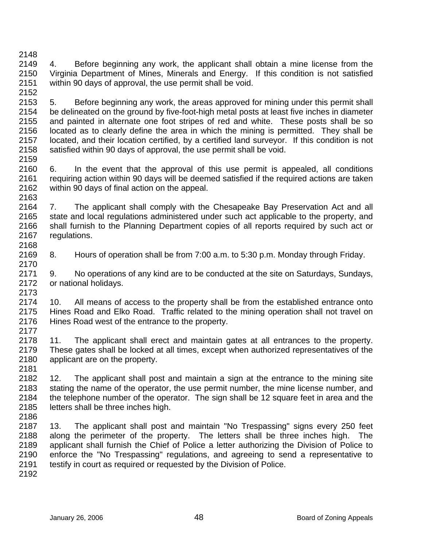2149 2150 2151 2152 4. Before beginning any work, the applicant shall obtain a mine license from the Virginia Department of Mines, Minerals and Energy. If this condition is not satisfied within 90 days of approval, the use permit shall be void.

- 2153 2154 2155 2156 2157 2158 2159 5. Before beginning any work, the areas approved for mining under this permit shall be delineated on the ground by five-foot-high metal posts at least five inches in diameter and painted in alternate one foot stripes of red and white. These posts shall be so located as to clearly define the area in which the mining is permitted. They shall be located, and their location certified, by a certified land surveyor. If this condition is not satisfied within 90 days of approval, the use permit shall be void.
- 2160 2161 2162 2163 6. In the event that the approval of this use permit is appealed, all conditions requiring action within 90 days will be deemed satisfied if the required actions are taken within 90 days of final action on the appeal.

2164 2165 2166 2167 2168 7. The applicant shall comply with the Chesapeake Bay Preservation Act and all state and local regulations administered under such act applicable to the property, and shall furnish to the Planning Department copies of all reports required by such act or regulations.

- 2169 8. Hours of operation shall be from 7:00 a.m. to 5:30 p.m. Monday through Friday.
- 2171 2172 2173 9. No operations of any kind are to be conducted at the site on Saturdays, Sundays, or national holidays.

2174 2175 2176 2177 10. All means of access to the property shall be from the established entrance onto Hines Road and Elko Road. Traffic related to the mining operation shall not travel on Hines Road west of the entrance to the property.

- 2178 2179 2180 2181 11. The applicant shall erect and maintain gates at all entrances to the property. These gates shall be locked at all times, except when authorized representatives of the applicant are on the property.
- 2182 2183 2184 2185 12. The applicant shall post and maintain a sign at the entrance to the mining site stating the name of the operator, the use permit number, the mine license number, and the telephone number of the operator. The sign shall be 12 square feet in area and the letters shall be three inches high.
- 2186

2170

- 2187 2188 2189 2190 2191 13. The applicant shall post and maintain "No Trespassing" signs every 250 feet along the perimeter of the property. The letters shall be three inches high. The applicant shall furnish the Chief of Police a letter authorizing the Division of Police to enforce the "No Trespassing" regulations, and agreeing to send a representative to testify in court as required or requested by the Division of Police.
- 2192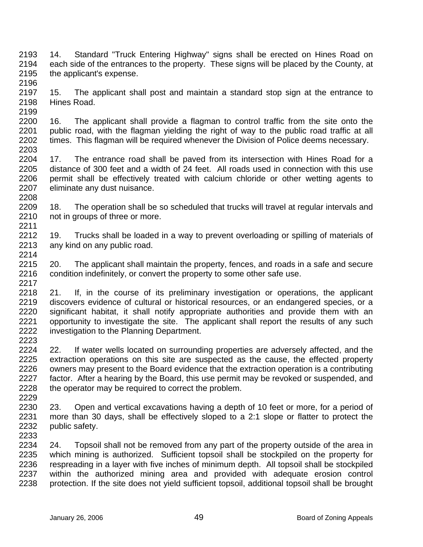2193 2194 2195 2196 14. Standard "Truck Entering Highway" signs shall be erected on Hines Road on each side of the entrances to the property. These signs will be placed by the County, at the applicant's expense.

2197 2198 2199 15. The applicant shall post and maintain a standard stop sign at the entrance to Hines Road.

2200 2201 2202 2203 16. The applicant shall provide a flagman to control traffic from the site onto the public road, with the flagman yielding the right of way to the public road traffic at all times. This flagman will be required whenever the Division of Police deems necessary.

2204 2205 2206 2207 17. The entrance road shall be paved from its intersection with Hines Road for a distance of 300 feet and a width of 24 feet. All roads used in connection with this use permit shall be effectively treated with calcium chloride or other wetting agents to eliminate any dust nuisance.

2209 2210 2211 18. The operation shall be so scheduled that trucks will travel at regular intervals and not in groups of three or more.

2212 2213 2214 19. Trucks shall be loaded in a way to prevent overloading or spilling of materials of any kind on any public road.

2215 2216 2217 20. The applicant shall maintain the property, fences, and roads in a safe and secure condition indefinitely, or convert the property to some other safe use.

2218 2219 2220 2221 2222 21. If, in the course of its preliminary investigation or operations, the applicant discovers evidence of cultural or historical resources, or an endangered species, or a significant habitat, it shall notify appropriate authorities and provide them with an opportunity to investigate the site. The applicant shall report the results of any such investigation to the Planning Department.

2224 2225 2226 2227 2228 2229 22. If water wells located on surrounding properties are adversely affected, and the extraction operations on this site are suspected as the cause, the effected property owners may present to the Board evidence that the extraction operation is a contributing factor. After a hearing by the Board, this use permit may be revoked or suspended, and the operator may be required to correct the problem.

2230 2231 2232 2233 23. Open and vertical excavations having a depth of 10 feet or more, for a period of more than 30 days, shall be effectively sloped to a 2:1 slope or flatter to protect the public safety.

2234 2235 2236 2237 2238 24. Topsoil shall not be removed from any part of the property outside of the area in which mining is authorized. Sufficient topsoil shall be stockpiled on the property for respreading in a layer with five inches of minimum depth. All topsoil shall be stockpiled within the authorized mining area and provided with adequate erosion control protection. If the site does not yield sufficient topsoil, additional topsoil shall be brought

2208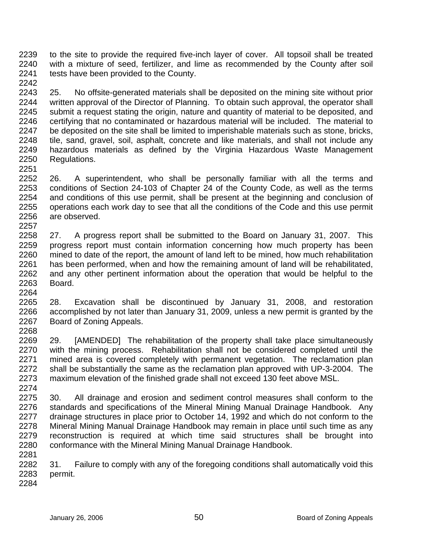2239 2240 2241 to the site to provide the required five-inch layer of cover. All topsoil shall be treated with a mixture of seed, fertilizer, and lime as recommended by the County after soil tests have been provided to the County.

2243 2244 2245 2246 2247 2248 2249 2250 2251 25. No offsite-generated materials shall be deposited on the mining site without prior written approval of the Director of Planning. To obtain such approval, the operator shall submit a request stating the origin, nature and quantity of material to be deposited, and certifying that no contaminated or hazardous material will be included. The material to be deposited on the site shall be limited to imperishable materials such as stone, bricks, tile, sand, gravel, soil, asphalt, concrete and like materials, and shall not include any hazardous materials as defined by the Virginia Hazardous Waste Management Regulations.

2252 2253 2254 2255 2256 2257 26. A superintendent, who shall be personally familiar with all the terms and conditions of Section 24-103 of Chapter 24 of the County Code, as well as the terms and conditions of this use permit, shall be present at the beginning and conclusion of operations each work day to see that all the conditions of the Code and this use permit are observed.

2258 2259 2260 2261 2262 2263 27. A progress report shall be submitted to the Board on January 31, 2007. This progress report must contain information concerning how much property has been mined to date of the report, the amount of land left to be mined, how much rehabilitation has been performed, when and how the remaining amount of land will be rehabilitated, and any other pertinent information about the operation that would be helpful to the Board.

2265 2266 2267 2268 28. Excavation shall be discontinued by January 31, 2008, and restoration accomplished by not later than January 31, 2009, unless a new permit is granted by the Board of Zoning Appeals.

2269 2270 2271 2272 2273 2274 29. [AMENDED] The rehabilitation of the property shall take place simultaneously with the mining process. Rehabilitation shall not be considered completed until the mined area is covered completely with permanent vegetation. The reclamation plan shall be substantially the same as the reclamation plan approved with UP-3-2004. The maximum elevation of the finished grade shall not exceed 130 feet above MSL.

2275 2276 2277 2278 2279 2280 30. All drainage and erosion and sediment control measures shall conform to the standards and specifications of the Mineral Mining Manual Drainage Handbook. Any drainage structures in place prior to October 14, 1992 and which do not conform to the Mineral Mining Manual Drainage Handbook may remain in place until such time as any reconstruction is required at which time said structures shall be brought into conformance with the Mineral Mining Manual Drainage Handbook.

2282 2283 31. Failure to comply with any of the foregoing conditions shall automatically void this permit.

2284

2281

2264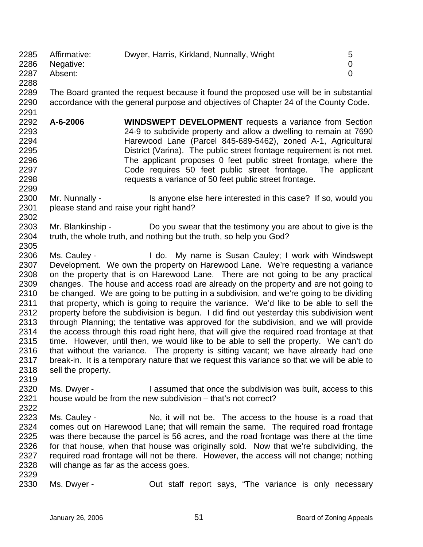| 2285 | Affirmative: |                                           |   |
|------|--------------|-------------------------------------------|---|
|      |              | Dwyer, Harris, Kirkland, Nunnally, Wright | b |
| 2286 | Negative:    |                                           |   |
| 2287 | Absent:      |                                           |   |
| 2288 |              |                                           |   |

2289 2290 The Board granted the request because it found the proposed use will be in substantial accordance with the general purpose and objectives of Chapter 24 of the County Code.

2292 2293 2294 2295 2296 2297 2298 **A-6-2006 WINDSWEPT DEVELOPMENT** requests a variance from Section 24-9 to subdivide property and allow a dwelling to remain at 7690 Harewood Lane (Parcel 845-689-5462), zoned A-1, Agricultural District (Varina). The public street frontage requirement is not met. The applicant proposes 0 feet public street frontage, where the Code requires 50 feet public street frontage. The applicant requests a variance of 50 feet public street frontage.

## 2300 2301 Mr. Nunnally - Is anyone else here interested in this case? If so, would you please stand and raise your right hand?

- 2303 2304 2305 Mr. Blankinship - Do you swear that the testimony you are about to give is the truth, the whole truth, and nothing but the truth, so help you God?
- 2306 2307 2308 2309 2310 2311 2312 2313 2314 2315 2316 2317 2318 Ms. Cauley - The My name is Susan Cauley; I work with Windswept Development. We own the property on Harewood Lane. We're requesting a variance on the property that is on Harewood Lane. There are not going to be any practical changes. The house and access road are already on the property and are not going to be changed. We are going to be putting in a subdivision, and we're going to be dividing that property, which is going to require the variance. We'd like to be able to sell the property before the subdivision is begun. I did find out yesterday this subdivision went through Planning; the tentative was approved for the subdivision, and we will provide the access through this road right here, that will give the required road frontage at that time. However, until then, we would like to be able to sell the property. We can't do that without the variance. The property is sitting vacant; we have already had one break-in. It is a temporary nature that we request this variance so that we will be able to sell the property.
- 2320 2321 2322 Ms. Dwyer - This issumed that once the subdivision was built, access to this house would be from the new subdivision – that's not correct?
- 2323 2324 2325 2326 2327 2328 Ms. Cauley - No, it will not be. The access to the house is a road that comes out on Harewood Lane; that will remain the same. The required road frontage was there because the parcel is 56 acres, and the road frontage was there at the time for that house, when that house was originally sold. Now that we're subdividing, the required road frontage will not be there. However, the access will not change; nothing will change as far as the access goes.
- 2329 2330

2319

2291

2299

2302

Ms. Dwyer - **Out staff report says, "The variance is only necessary**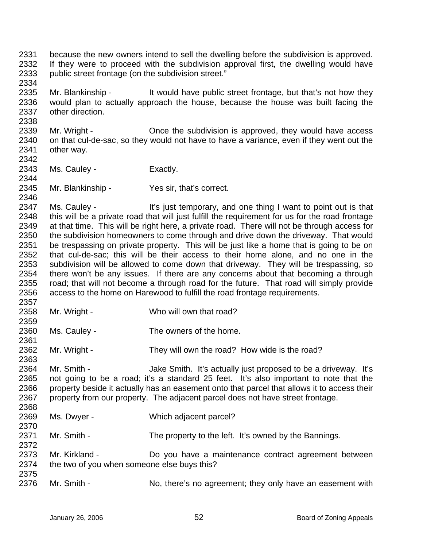2331 2332 2333 because the new owners intend to sell the dwelling before the subdivision is approved. If they were to proceed with the subdivision approval first, the dwelling would have public street frontage (on the subdivision street."

2335 2336 2337 Mr. Blankinship - It would have public street frontage, but that's not how they would plan to actually approach the house, because the house was built facing the other direction.

2339 2340 2341 2342 Mr. Wright - China China the subdivision is approved, they would have access on that cul-de-sac, so they would not have to have a variance, even if they went out the other way.

2343 Ms. Cauley - Exactly.

2334

2338

2344

2346

2359

2361

2363

2370

2372

2345 Mr. Blankinship - Yes sir, that's correct.

2347 2348 2349 2350 2351 2352 2353 2354 2355 2356 2357 Ms. Cauley - It's just temporary, and one thing I want to point out is that this will be a private road that will just fulfill the requirement for us for the road frontage at that time. This will be right here, a private road. There will not be through access for the subdivision homeowners to come through and drive down the driveway. That would be trespassing on private property. This will be just like a home that is going to be on that cul-de-sac; this will be their access to their home alone, and no one in the subdivision will be allowed to come down that driveway. They will be trespassing, so there won't be any issues. If there are any concerns about that becoming a through road; that will not become a through road for the future. That road will simply provide access to the home on Harewood to fulfill the road frontage requirements.

- 2358 Mr. Wright - Who will own that road?
- 2360 Ms. Cauley - The owners of the home.
- 2362 Mr. Wright - They will own the road? How wide is the road?

2364 2365 2366 2367 2368 Mr. Smith - Jake Smith. It's actually just proposed to be a driveway. It's not going to be a road; it's a standard 25 feet. It's also important to note that the property beside it actually has an easement onto that parcel that allows it to access their property from our property. The adjacent parcel does not have street frontage.

- 2369 Ms. Dwyer - Which adjacent parcel?
- 2371 Mr. Smith - The property to the left. It's owned by the Bannings.
- 2373 2374 2375 Mr. Kirkland - **Do** you have a maintenance contract agreement between the two of you when someone else buys this?
- 2376 Mr. Smith - No, there's no agreement; they only have an easement with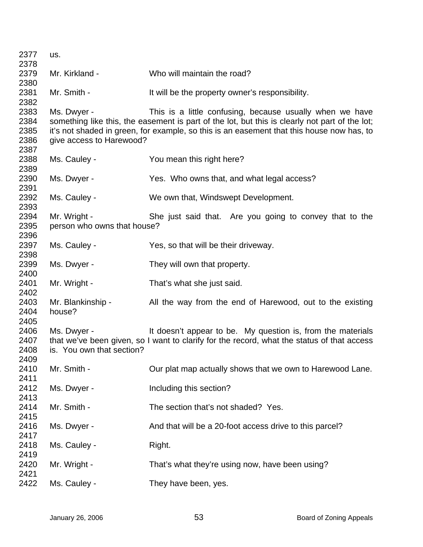| 2377 | us.                         |                                                                                                |
|------|-----------------------------|------------------------------------------------------------------------------------------------|
| 2378 |                             |                                                                                                |
| 2379 | Mr. Kirkland -              | Who will maintain the road?                                                                    |
| 2380 |                             |                                                                                                |
| 2381 | Mr. Smith -                 | It will be the property owner's responsibility.                                                |
| 2382 |                             |                                                                                                |
| 2383 | Ms. Dwyer -                 | This is a little confusing, because usually when we have                                       |
| 2384 |                             | something like this, the easement is part of the lot, but this is clearly not part of the lot; |
| 2385 |                             | it's not shaded in green, for example, so this is an easement that this house now has, to      |
| 2386 | give access to Harewood?    |                                                                                                |
| 2387 |                             |                                                                                                |
| 2388 | Ms. Cauley -                | You mean this right here?                                                                      |
| 2389 |                             |                                                                                                |
| 2390 | Ms. Dwyer -                 | Yes. Who owns that, and what legal access?                                                     |
| 2391 |                             |                                                                                                |
| 2392 | Ms. Cauley -                | We own that, Windswept Development.                                                            |
| 2393 |                             |                                                                                                |
| 2394 | Mr. Wright -                | She just said that. Are you going to convey that to the                                        |
| 2395 | person who owns that house? |                                                                                                |
| 2396 |                             |                                                                                                |
| 2397 | Ms. Cauley -                | Yes, so that will be their driveway.                                                           |
| 2398 |                             |                                                                                                |
| 2399 | Ms. Dwyer -                 | They will own that property.                                                                   |
| 2400 |                             |                                                                                                |
| 2401 | Mr. Wright -                | That's what she just said.                                                                     |
| 2402 |                             |                                                                                                |
| 2403 | Mr. Blankinship -           | All the way from the end of Harewood, out to the existing                                      |
| 2404 | house?                      |                                                                                                |
| 2405 |                             |                                                                                                |
| 2406 | Ms. Dwyer -                 | It doesn't appear to be. My question is, from the materials                                    |
| 2407 |                             | that we've been given, so I want to clarify for the record, what the status of that access     |
| 2408 | is. You own that section?   |                                                                                                |
| 2409 |                             |                                                                                                |
| 2410 | Mr. Smith -                 | Our plat map actually shows that we own to Harewood Lane.                                      |
| 2411 |                             |                                                                                                |
| 2412 | Ms. Dwyer -                 | Including this section?                                                                        |
| 2413 |                             |                                                                                                |
| 2414 | Mr. Smith -                 | The section that's not shaded? Yes.                                                            |
| 2415 |                             |                                                                                                |
| 2416 | Ms. Dwyer -                 | And that will be a 20-foot access drive to this parcel?                                        |
| 2417 |                             |                                                                                                |
| 2418 | Ms. Cauley -                | Right.                                                                                         |
| 2419 |                             |                                                                                                |
| 2420 | Mr. Wright -                | That's what they're using now, have been using?                                                |
| 2421 |                             |                                                                                                |
| 2422 | Ms. Cauley -                | They have been, yes.                                                                           |
|      |                             |                                                                                                |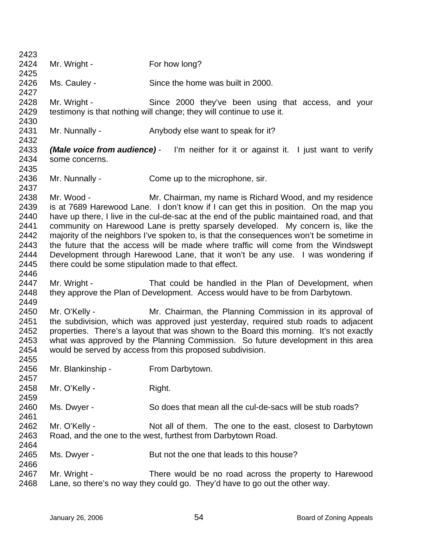| 2423         |                                                      |                                                                                                                                                 |
|--------------|------------------------------------------------------|-------------------------------------------------------------------------------------------------------------------------------------------------|
| 2424         | Mr. Wright -                                         | For how long?                                                                                                                                   |
| 2425         |                                                      |                                                                                                                                                 |
| 2426         | Ms. Cauley -                                         | Since the home was built in 2000.                                                                                                               |
| 2427         |                                                      |                                                                                                                                                 |
| 2428         | Mr. Wright -                                         | Since 2000 they've been using that access, and your                                                                                             |
| 2429         |                                                      | testimony is that nothing will change; they will continue to use it.                                                                            |
| 2430         |                                                      |                                                                                                                                                 |
| 2431         | Mr. Nunnally -                                       | Anybody else want to speak for it?                                                                                                              |
| 2432         |                                                      |                                                                                                                                                 |
| 2433         |                                                      | <b>(Male voice from audience)</b> - I'm neither for it or against it. I just want to verify                                                     |
| 2434         | some concerns.                                       |                                                                                                                                                 |
| 2435         |                                                      |                                                                                                                                                 |
| 2436         | Mr. Nunnally -                                       | Come up to the microphone, sir.                                                                                                                 |
| 2437         |                                                      |                                                                                                                                                 |
| 2438         | Mr. Wood -                                           | Mr. Chairman, my name is Richard Wood, and my residence                                                                                         |
| 2439         |                                                      | is at 7689 Harewood Lane. I don't know if I can get this in position. On the map you                                                            |
| 2440         |                                                      | have up there, I live in the cul-de-sac at the end of the public maintained road, and that                                                      |
| 2441         |                                                      | community on Harewood Lane is pretty sparsely developed. My concern is, like the                                                                |
| 2442         |                                                      | majority of the neighbors I've spoken to, is that the consequences won't be sometime in                                                         |
| 2443         |                                                      | the future that the access will be made where traffic will come from the Windswept                                                              |
| 2444         |                                                      | Development through Harewood Lane, that it won't be any use. I was wondering if                                                                 |
| 2445         | there could be some stipulation made to that effect. |                                                                                                                                                 |
| 2446         |                                                      |                                                                                                                                                 |
| 2447         | Mr. Wright -                                         | That could be handled in the Plan of Development, when                                                                                          |
| 2448<br>2449 |                                                      | they approve the Plan of Development. Access would have to be from Darbytown.                                                                   |
| 2450         | Mr. O'Kelly -                                        |                                                                                                                                                 |
| 2451         |                                                      | Mr. Chairman, the Planning Commission in its approval of<br>the subdivision, which was approved just yesterday, required stub roads to adjacent |
| 2452         |                                                      | properties. There's a layout that was shown to the Board this morning. It's not exactly                                                         |
| 2453         |                                                      | what was approved by the Planning Commission. So future development in this area                                                                |
| 2454         |                                                      | would be served by access from this proposed subdivision.                                                                                       |
| 2455         |                                                      |                                                                                                                                                 |
| 2456         | Mr. Blankinship -                                    | From Darbytown.                                                                                                                                 |
| 2457         |                                                      |                                                                                                                                                 |
| 2458         | Mr. O'Kelly -                                        | Right.                                                                                                                                          |
| 2459         |                                                      |                                                                                                                                                 |
| 2460         | Ms. Dwyer -                                          | So does that mean all the cul-de-sacs will be stub roads?                                                                                       |
| 2461         |                                                      |                                                                                                                                                 |
| 2462         | Mr. O'Kelly -                                        | Not all of them. The one to the east, closest to Darbytown                                                                                      |
| 2463         |                                                      | Road, and the one to the west, furthest from Darbytown Road.                                                                                    |
| 2464         |                                                      |                                                                                                                                                 |
| 2465         | Ms. Dwyer -                                          | But not the one that leads to this house?                                                                                                       |
| 2466         |                                                      |                                                                                                                                                 |
| 2467         | Mr. Wright -                                         | There would be no road across the property to Harewood                                                                                          |
| 2468         |                                                      | Lane, so there's no way they could go. They'd have to go out the other way.                                                                     |
|              |                                                      |                                                                                                                                                 |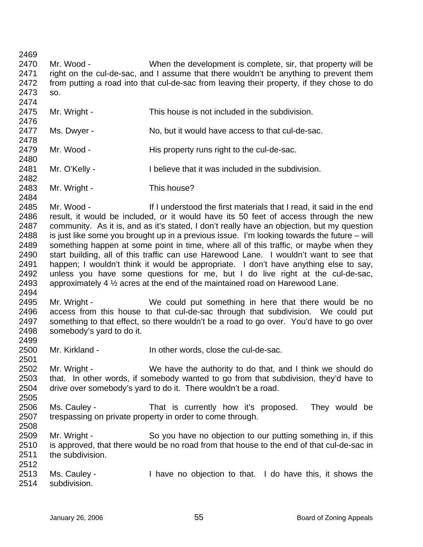2469 2470 2471 2472 2473 2474 2475 2476 2477 2478 2479 2480 2481 2482 2483 2484 2485 2486 2487 2488 2489 2490 2491 2492 2493 2494 2495 2496 2497 2498 2499 2500 2501 2502 2503 2504 2505 2506 2507 2508 2509 2510 2511 2512 2513 2514 Mr. Wood - When the development is complete, sir, that property will be right on the cul-de-sac, and I assume that there wouldn't be anything to prevent them from putting a road into that cul-de-sac from leaving their property, if they chose to do so. Mr. Wright - This house is not included in the subdivision. Ms. Dwyer - No, but it would have access to that cul-de-sac. Mr. Wood - This property runs right to the cul-de-sac. Mr. O'Kelly - I believe that it was included in the subdivision. Mr. Wright - This house? Mr. Wood - If I understood the first materials that I read, it said in the end result, it would be included, or it would have its 50 feet of access through the new community. As it is, and as it's stated, I don't really have an objection, but my question is just like some you brought up in a previous issue. I'm looking towards the future – will something happen at some point in time, where all of this traffic, or maybe when they start building, all of this traffic can use Harewood Lane. I wouldn't want to see that happen; I wouldn't think it would be appropriate. I don't have anything else to say, unless you have some questions for me, but I do live right at the cul-de-sac, approximately 4 ½ acres at the end of the maintained road on Harewood Lane. Mr. Wright - We could put something in here that there would be no access from this house to that cul-de-sac through that subdivision. We could put something to that effect, so there wouldn't be a road to go over. You'd have to go over somebody's yard to do it. Mr. Kirkland - The other words, close the cul-de-sac. Mr. Wright - We have the authority to do that, and I think we should do that. In other words, if somebody wanted to go from that subdivision, they'd have to drive over somebody's yard to do it. There wouldn't be a road. Ms. Cauley - That is currently how it's proposed. They would be trespassing on private property in order to come through. Mr. Wright - So you have no objection to our putting something in, if this is approved, that there would be no road from that house to the end of that cul-de-sac in the subdivision. Ms. Cauley - I have no objection to that. I do have this, it shows the subdivision.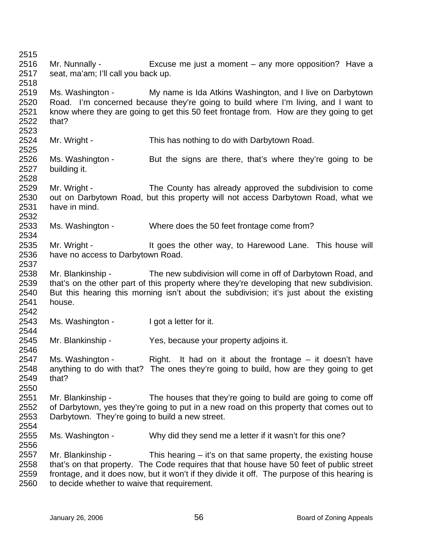2515 2516 2517 2518 2519 2520 2521 2522 2523 2524 2525 2526 2527 2528 2529 2530 2531 2532 2533 2534 2535 2536 2537 2538 2539 2540 2541 2542 2543 2544 2545 2546 2547 2548 2549 2550 2551 2552 2553 2554 2555 2556 2557 2558 2559 2560 Mr. Nunnally - Excuse me just a moment – any more opposition? Have a seat, ma'am; I'll call you back up. Ms. Washington - My name is Ida Atkins Washington, and I live on Darbytown Road. I'm concerned because they're going to build where I'm living, and I want to know where they are going to get this 50 feet frontage from. How are they going to get that? Mr. Wright - This has nothing to do with Darbytown Road. Ms. Washington - But the signs are there, that's where they're going to be building it. Mr. Wright - The County has already approved the subdivision to come out on Darbytown Road, but this property will not access Darbytown Road, what we have in mind. Ms. Washington - Where does the 50 feet frontage come from? Mr. Wright - This house will goes the other way, to Harewood Lane. This house will have no access to Darbytown Road. Mr. Blankinship - The new subdivision will come in off of Darbytown Road, and that's on the other part of this property where they're developing that new subdivision. But this hearing this morning isn't about the subdivision; it's just about the existing house. Ms. Washington - I got a letter for it. Mr. Blankinship - Yes, because your property adjoins it. Ms. Washington - Right. It had on it about the frontage  $-$  it doesn't have anything to do with that? The ones they're going to build, how are they going to get that? Mr. Blankinship - The houses that they're going to build are going to come off of Darbytown, yes they're going to put in a new road on this property that comes out to Darbytown. They're going to build a new street. Ms. Washington - Why did they send me a letter if it wasn't for this one? Mr. Blankinship - This hearing – it's on that same property, the existing house that's on that property. The Code requires that that house have 50 feet of public street frontage, and it does now, but it won't if they divide it off. The purpose of this hearing is to decide whether to waive that requirement.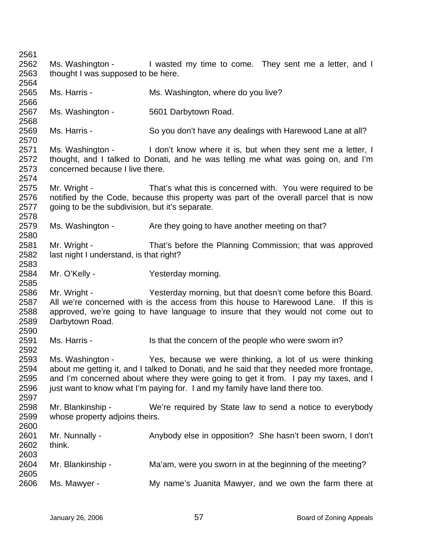2561 2562 2563 2564 2565 2566 2567 2568 2569 2570 2571 2572 2573 2574 2575 2576 2577 2578 2579 2580 2581 2582 2583 2584 2585 2586 2587 2588 2589 2590 2591 2592 2593 2594 2595 2596 2597 2598 2599 2600 2601 2602 2603 2604 2605 2606 Ms. Washington - I wasted my time to come. They sent me a letter, and I thought I was supposed to be here. Ms. Harris - The Ms. Washington, where do you live? Ms. Washington - 5601 Darbytown Road. Ms. Harris - So you don't have any dealings with Harewood Lane at all? Ms. Washington - I don't know where it is, but when they sent me a letter, I thought, and I talked to Donati, and he was telling me what was going on, and I'm concerned because I live there. Mr. Wright - That's what this is concerned with. You were required to be notified by the Code, because this property was part of the overall parcel that is now going to be the subdivision, but it's separate. Ms. Washington - Are they going to have another meeting on that? Mr. Wright - That's before the Planning Commission; that was approved last night I understand, is that right? Mr. O'Kelly - Yesterday morning. Mr. Wright - Yesterday morning, but that doesn't come before this Board. All we're concerned with is the access from this house to Harewood Lane. If this is approved, we're going to have language to insure that they would not come out to Darbytown Road. Ms. Harris - Is that the concern of the people who were sworn in? Ms. Washington - Yes, because we were thinking, a lot of us were thinking about me getting it, and I talked to Donati, and he said that they needed more frontage, and I'm concerned about where they were going to get it from. I pay my taxes, and I just want to know what I'm paying for. I and my family have land there too. Mr. Blankinship - We're required by State law to send a notice to everybody whose property adjoins theirs. Mr. Nunnally - Anybody else in opposition? She hasn't been sworn, I don't think. Mr. Blankinship - Ma'am, were you sworn in at the beginning of the meeting? Ms. Mawyer - My name's Juanita Mawyer, and we own the farm there at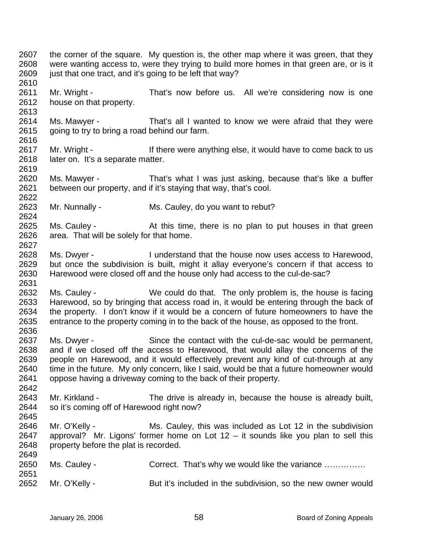2607 2608 2609 2610 2611 2612 2613 2614 2615 2616 2617 2618 2619 2620 2621 2622 2623 2624 2625 2626 2627 2628 2629 2630 2631 2632 2633 2634 2635 2636 2637 2638 2639 2640 2641 2642 2643 2644 2645 2646 2647 2648 2649 2650 2651 2652 the corner of the square. My question is, the other map where it was green, that they were wanting access to, were they trying to build more homes in that green are, or is it just that one tract, and it's going to be left that way? Mr. Wright - That's now before us. All we're considering now is one house on that property. Ms. Mawyer - That's all I wanted to know we were afraid that they were going to try to bring a road behind our farm. Mr. Wright - If there were anything else, it would have to come back to us later on. It's a separate matter. Ms. Mawyer - That's what I was just asking, because that's like a buffer between our property, and if it's staying that way, that's cool. Mr. Nunnally - Ms. Cauley, do you want to rebut? Ms. Cauley - The At this time, there is no plan to put houses in that green area. That will be solely for that home. Ms. Dwyer - I understand that the house now uses access to Harewood, but once the subdivision is built, might it allay everyone's concern if that access to Harewood were closed off and the house only had access to the cul-de-sac? Ms. Cauley - We could do that. The only problem is, the house is facing Harewood, so by bringing that access road in, it would be entering through the back of the property. I don't know if it would be a concern of future homeowners to have the entrance to the property coming in to the back of the house, as opposed to the front. Ms. Dwyer - Since the contact with the cul-de-sac would be permanent, and if we closed off the access to Harewood, that would allay the concerns of the people on Harewood, and it would effectively prevent any kind of cut-through at any time in the future. My only concern, like I said, would be that a future homeowner would oppose having a driveway coming to the back of their property. Mr. Kirkland - The drive is already in, because the house is already built, so it's coming off of Harewood right now? Mr. O'Kelly - Ms. Cauley, this was included as Lot 12 in the subdivision approval? Mr. Ligons' former home on Lot  $12 - it$  sounds like you plan to sell this property before the plat is recorded. Ms. Cauley - Correct. That's why we would like the variance .............. Mr. O'Kelly - But it's included in the subdivision, so the new owner would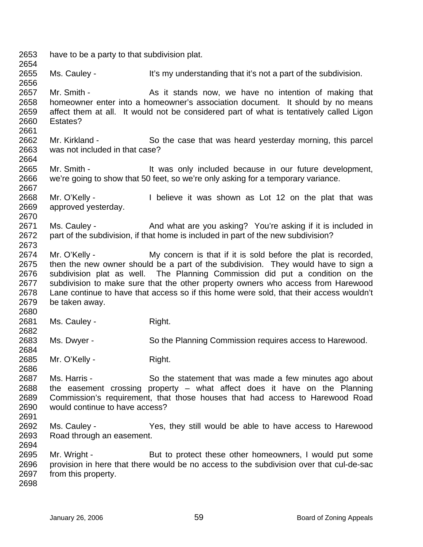2653 2654 2655 2656 2657 2658 2659 2660 2661 2662 2663 2664 2665 2666 2667 2668 2669 2670 2671 2672 2673 2674 2675 2676 2677 2678 2679 2680 2681 2682 2683 2684 2685 2686 2687 2688 2689 2690 2691 2692 2693 2694 2695 2696 2697 2698 have to be a party to that subdivision plat. Ms. Cauley - It's my understanding that it's not a part of the subdivision. Mr. Smith - The As it stands now, we have no intention of making that homeowner enter into a homeowner's association document. It should by no means affect them at all. It would not be considered part of what is tentatively called Ligon Estates? Mr. Kirkland - So the case that was heard yesterday morning, this parcel was not included in that case? Mr. Smith - The Must only included because in our future development, we're going to show that 50 feet, so we're only asking for a temporary variance. Mr. O'Kelly - I believe it was shown as Lot 12 on the plat that was approved yesterday. Ms. Cauley - And what are you asking? You're asking if it is included in part of the subdivision, if that home is included in part of the new subdivision? Mr. O'Kelly - My concern is that if it is sold before the plat is recorded, then the new owner should be a part of the subdivision. They would have to sign a subdivision plat as well. The Planning Commission did put a condition on the subdivision to make sure that the other property owners who access from Harewood Lane continue to have that access so if this home were sold, that their access wouldn't be taken away. Ms. Cauley - Right. Ms. Dwyer - So the Planning Commission requires access to Harewood. Mr. O'Kelly - Right. Ms. Harris - So the statement that was made a few minutes ago about the easement crossing property – what affect does it have on the Planning Commission's requirement, that those houses that had access to Harewood Road would continue to have access? Ms. Cauley - The Yes, they still would be able to have access to Harewood Road through an easement. Mr. Wright - But to protect these other homeowners, I would put some provision in here that there would be no access to the subdivision over that cul-de-sac from this property.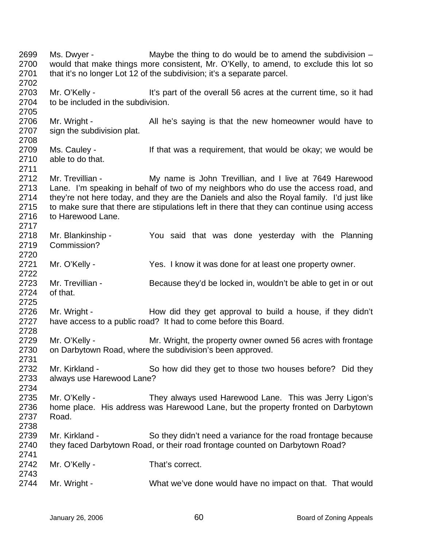2699 2700 2701 2702 2703 2704 2705 2706 2707 2708 2709 2710 2711 2712 2713 2714 2715 2716 2717 2718 2719 2720 2721 2722 2723 2724 2725 2726 2727 2728 2729 2730 2731 2732 2733 2734 2735 2736 2737 2738 2739 2740 2741 2742 2743 2744 Ms. Dwyer - Maybe the thing to do would be to amend the subdivision – would that make things more consistent, Mr. O'Kelly, to amend, to exclude this lot so that it's no longer Lot 12 of the subdivision; it's a separate parcel. Mr. O'Kelly - It's part of the overall 56 acres at the current time, so it had to be included in the subdivision. Mr. Wright - All he's saying is that the new homeowner would have to sign the subdivision plat. Ms. Cauley - If that was a requirement, that would be okay; we would be able to do that. Mr. Trevillian - My name is John Trevillian, and I live at 7649 Harewood Lane. I'm speaking in behalf of two of my neighbors who do use the access road, and they're not here today, and they are the Daniels and also the Royal family. I'd just like to make sure that there are stipulations left in there that they can continue using access to Harewood Lane. Mr. Blankinship - You said that was done yesterday with the Planning Commission? Mr. O'Kelly - Yes. I know it was done for at least one property owner. Mr. Trevillian - Because they'd be locked in, wouldn't be able to get in or out of that. Mr. Wright - How did they get approval to build a house, if they didn't have access to a public road? It had to come before this Board. Mr. O'Kelly - **Mr. Wright, the property owner owned 56 acres with frontage** on Darbytown Road, where the subdivision's been approved. Mr. Kirkland - So how did they get to those two houses before? Did they always use Harewood Lane? Mr. O'Kelly - They always used Harewood Lane. This was Jerry Ligon's home place. His address was Harewood Lane, but the property fronted on Darbytown Road. Mr. Kirkland - So they didn't need a variance for the road frontage because they faced Darbytown Road, or their road frontage counted on Darbytown Road? Mr. O'Kelly - That's correct. Mr. Wright - What we've done would have no impact on that. That would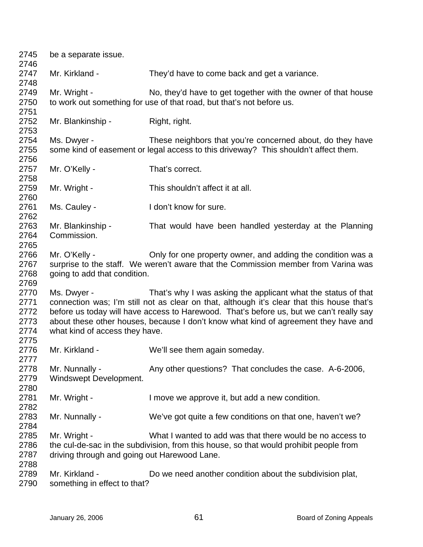| 2745<br>2746                                 | be a separate issue.                                         |                                                                                                                                                                                                                                                                                                                                               |
|----------------------------------------------|--------------------------------------------------------------|-----------------------------------------------------------------------------------------------------------------------------------------------------------------------------------------------------------------------------------------------------------------------------------------------------------------------------------------------|
| 2747<br>2748                                 | Mr. Kirkland -                                               | They'd have to come back and get a variance.                                                                                                                                                                                                                                                                                                  |
| 2749<br>2750<br>2751                         | Mr. Wright -                                                 | No, they'd have to get together with the owner of that house<br>to work out something for use of that road, but that's not before us.                                                                                                                                                                                                         |
| 2752<br>2753                                 | Mr. Blankinship -                                            | Right, right.                                                                                                                                                                                                                                                                                                                                 |
| 2754<br>2755<br>2756                         | Ms. Dwyer -                                                  | These neighbors that you're concerned about, do they have<br>some kind of easement or legal access to this driveway? This shouldn't affect them.                                                                                                                                                                                              |
| 2757<br>2758                                 | Mr. O'Kelly -                                                | That's correct.                                                                                                                                                                                                                                                                                                                               |
| 2759<br>2760                                 | Mr. Wright -                                                 | This shouldn't affect it at all.                                                                                                                                                                                                                                                                                                              |
| 2761<br>2762                                 | Ms. Cauley -                                                 | I don't know for sure.                                                                                                                                                                                                                                                                                                                        |
| 2763<br>2764<br>2765                         | Mr. Blankinship -<br>Commission.                             | That would have been handled yesterday at the Planning                                                                                                                                                                                                                                                                                        |
| 2766<br>2767<br>2768<br>2769                 | Mr. O'Kelly -<br>going to add that condition.                | Only for one property owner, and adding the condition was a<br>surprise to the staff. We weren't aware that the Commission member from Varina was                                                                                                                                                                                             |
| 2770<br>2771<br>2772<br>2773<br>2774<br>2775 | Ms. Dwyer -<br>what kind of access they have.                | That's why I was asking the applicant what the status of that<br>connection was; I'm still not as clear on that, although it's clear that this house that's<br>before us today will have access to Harewood. That's before us, but we can't really say<br>about these other houses, because I don't know what kind of agreement they have and |
| 2776<br>2777                                 | Mr. Kirkland -                                               | We'll see them again someday.                                                                                                                                                                                                                                                                                                                 |
| 2778<br>2779<br>2780                         | Mr. Nunnally -<br>Windswept Development.                     | Any other questions? That concludes the case. A-6-2006,                                                                                                                                                                                                                                                                                       |
| 2781<br>2782                                 | Mr. Wright -                                                 | I move we approve it, but add a new condition.                                                                                                                                                                                                                                                                                                |
| 2783<br>2784                                 | Mr. Nunnally -                                               | We've got quite a few conditions on that one, haven't we?                                                                                                                                                                                                                                                                                     |
| 2785<br>2786<br>2787                         | Mr. Wright -<br>driving through and going out Harewood Lane. | What I wanted to add was that there would be no access to<br>the cul-de-sac in the subdivision, from this house, so that would prohibit people from                                                                                                                                                                                           |
| 2788<br>2789<br>2790                         | Mr. Kirkland -<br>something in effect to that?               | Do we need another condition about the subdivision plat,                                                                                                                                                                                                                                                                                      |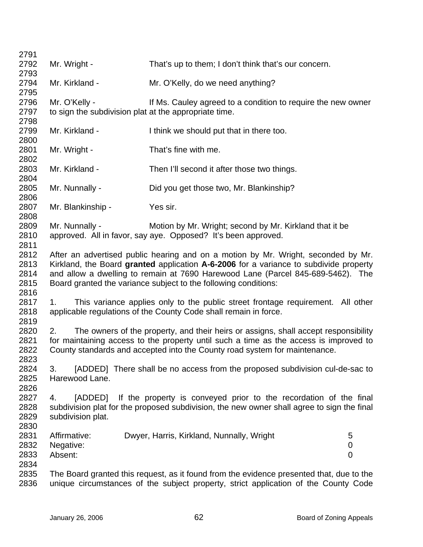| 2791         |                                                       |                                                                                            |                |
|--------------|-------------------------------------------------------|--------------------------------------------------------------------------------------------|----------------|
| 2792         | Mr. Wright -                                          | That's up to them; I don't think that's our concern.                                       |                |
| 2793         |                                                       |                                                                                            |                |
| 2794         | Mr. Kirkland -                                        | Mr. O'Kelly, do we need anything?                                                          |                |
| 2795         |                                                       |                                                                                            |                |
| 2796         | Mr. O'Kelly -                                         | If Ms. Cauley agreed to a condition to require the new owner                               |                |
| 2797         | to sign the subdivision plat at the appropriate time. |                                                                                            |                |
| 2798         |                                                       |                                                                                            |                |
| 2799         | Mr. Kirkland -                                        | I think we should put that in there too.                                                   |                |
| 2800         |                                                       |                                                                                            |                |
| 2801         | Mr. Wright -                                          | That's fine with me.                                                                       |                |
| 2802         |                                                       |                                                                                            |                |
| 2803         | Mr. Kirkland -                                        | Then I'll second it after those two things.                                                |                |
| 2804         |                                                       |                                                                                            |                |
| 2805         | Mr. Nunnally -                                        | Did you get those two, Mr. Blankinship?                                                    |                |
| 2806         |                                                       |                                                                                            |                |
| 2807         | Mr. Blankinship -                                     | Yes sir.                                                                                   |                |
| 2808         |                                                       |                                                                                            |                |
| 2809         | Mr. Nunnally -                                        | Motion by Mr. Wright; second by Mr. Kirkland that it be                                    |                |
| 2810<br>2811 |                                                       | approved. All in favor, say aye. Opposed? It's been approved.                              |                |
| 2812         |                                                       | After an advertised public hearing and on a motion by Mr. Wright, seconded by Mr.          |                |
| 2813         |                                                       | Kirkland, the Board granted application A-6-2006 for a variance to subdivide property      |                |
| 2814         |                                                       | and allow a dwelling to remain at 7690 Harewood Lane (Parcel 845-689-5462). The            |                |
| 2815         |                                                       | Board granted the variance subject to the following conditions:                            |                |
| 2816         |                                                       |                                                                                            |                |
| 2817         | 1.                                                    | This variance applies only to the public street frontage requirement. All other            |                |
| 2818         |                                                       | applicable regulations of the County Code shall remain in force.                           |                |
| 2819         |                                                       |                                                                                            |                |
| 2820         | 2.                                                    | The owners of the property, and their heirs or assigns, shall accept responsibility        |                |
| 2821         |                                                       | for maintaining access to the property until such a time as the access is improved to      |                |
| 2822         |                                                       | County standards and accepted into the County road system for maintenance.                 |                |
| 2823         |                                                       |                                                                                            |                |
| 2824         | 3.                                                    | [ADDED] There shall be no access from the proposed subdivision cul-de-sac to               |                |
| 2825         | Harewood Lane.                                        |                                                                                            |                |
| 2826         |                                                       |                                                                                            |                |
| 2827         | [ADDED]<br>4.                                         | If the property is conveyed prior to the recordation of the final                          |                |
| 2828         |                                                       | subdivision plat for the proposed subdivision, the new owner shall agree to sign the final |                |
| 2829         | subdivision plat.                                     |                                                                                            |                |
| 2830         |                                                       |                                                                                            |                |
| 2831         | Affirmative:                                          | Dwyer, Harris, Kirkland, Nunnally, Wright                                                  | 5              |
| 2832         | Negative:                                             |                                                                                            | 0              |
| 2833         | Absent:                                               |                                                                                            | $\overline{0}$ |
| 2834         |                                                       |                                                                                            |                |
| 2835         |                                                       | The Board granted this request, as it found from the evidence presented that, due to the   |                |
| 2836         |                                                       | unique circumstances of the subject property, strict application of the County Code        |                |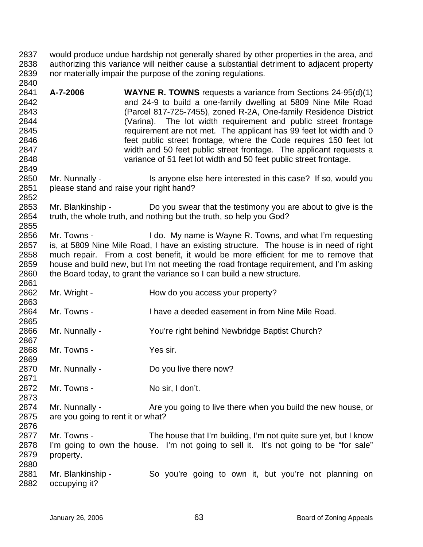2837 2838 2839 2840 would produce undue hardship not generally shared by other properties in the area, and authorizing this variance will neither cause a substantial detriment to adjacent property nor materially impair the purpose of the zoning regulations.

2841 2842 2843 2844 2845 2846 2847 2848 **A-7-2006 WAYNE R. TOWNS** requests a variance from Sections 24-95(d)(1) and 24-9 to build a one-family dwelling at 5809 Nine Mile Road (Parcel 817-725-7455), zoned R-2A, One-family Residence District (Varina). The lot width requirement and public street frontage requirement are not met. The applicant has 99 feet lot width and 0 feet public street frontage, where the Code requires 150 feet lot width and 50 feet public street frontage. The applicant requests a variance of 51 feet lot width and 50 feet public street frontage.

2850 2851 Mr. Nunnally - Is anyone else here interested in this case? If so, would you please stand and raise your right hand?

2853 2854 2855 Mr. Blankinship - Do you swear that the testimony you are about to give is the truth, the whole truth, and nothing but the truth, so help you God?

2856 2857 2858 2859 2860 2861 Mr. Towns - I do. My name is Wayne R. Towns, and what I'm requesting is, at 5809 Nine Mile Road, I have an existing structure. The house is in need of right much repair. From a cost benefit, it would be more efficient for me to remove that house and build new, but I'm not meeting the road frontage requirement, and I'm asking the Board today, to grant the variance so I can build a new structure.

- 2862 2863 Mr. Wright - How do you access your property?
- 2864 Mr. Towns - I have a deeded easement in from Nine Mile Road.
- 2866 Mr. Nunnally - You're right behind Newbridge Baptist Church?
- 2868 Mr. Towns - Yes sir.

2849

2852

2865

2867

2869

2871

- 2870 Mr. Nunnally - Do you live there now?
- 2872 Mr. Towns - No sir, I don't.
- 2874 2875 2876 Mr. Nunnally - Are you going to live there when you build the new house, or are you going to rent it or what?
- 2877 2878 2879 2880 Mr. Towns - The house that I'm building, I'm not quite sure yet, but I know I'm going to own the house. I'm not going to sell it. It's not going to be "for sale" property.
- 2881 2882 Mr. Blankinship - So you're going to own it, but you're not planning on occupying it?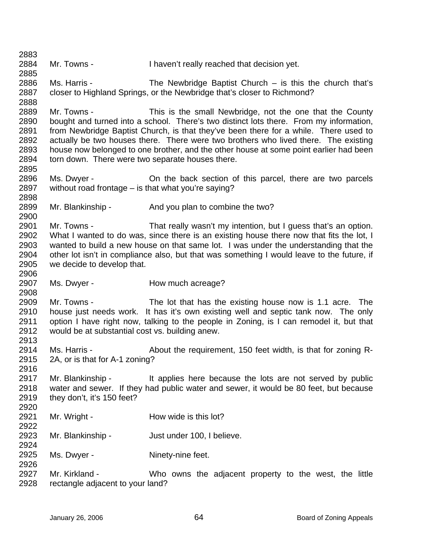2883 2884 2885 2886 2887 2888 2889 2890 2891 2892 2893 2894 2895 2896 2897 2898 2899 2900 2901 2902 2903 2904 2905 2906 2907 2908 2909 2910 2911 2912 2913 2914 2915 2916 2917 2918 2919 2920 2921 2922 2923 2924 2925 2926 2927 2928 Mr. Towns - I haven't really reached that decision yet. Ms. Harris - The Newbridge Baptist Church – is this the church that's closer to Highland Springs, or the Newbridge that's closer to Richmond? Mr. Towns - This is the small Newbridge, not the one that the County bought and turned into a school. There's two distinct lots there. From my information, from Newbridge Baptist Church, is that they've been there for a while. There used to actually be two houses there. There were two brothers who lived there. The existing house now belonged to one brother, and the other house at some point earlier had been torn down. There were two separate houses there. Ms. Dwyer - **On the back section of this parcel, there are two parcels** without road frontage – is that what you're saying? Mr. Blankinship - And you plan to combine the two? Mr. Towns - That really wasn't my intention, but I guess that's an option. What I wanted to do was, since there is an existing house there now that fits the lot, I wanted to build a new house on that same lot. I was under the understanding that the other lot isn't in compliance also, but that was something I would leave to the future, if we decide to develop that. Ms. Dwyer - The How much acreage? Mr. Towns - The lot that has the existing house now is 1.1 acre. The house just needs work. It has it's own existing well and septic tank now. The only option I have right now, talking to the people in Zoning, is I can remodel it, but that would be at substantial cost vs. building anew. Ms. Harris - About the requirement, 150 feet width, is that for zoning R-2A, or is that for A-1 zoning? Mr. Blankinship - The applies here because the lots are not served by public water and sewer. If they had public water and sewer, it would be 80 feet, but because they don't, it's 150 feet? Mr. Wright - The How wide is this lot? Mr. Blankinship - Just under 100, I believe. Ms. Dwyer - Ninety-nine feet. Mr. Kirkland - Who owns the adjacent property to the west, the little rectangle adjacent to your land?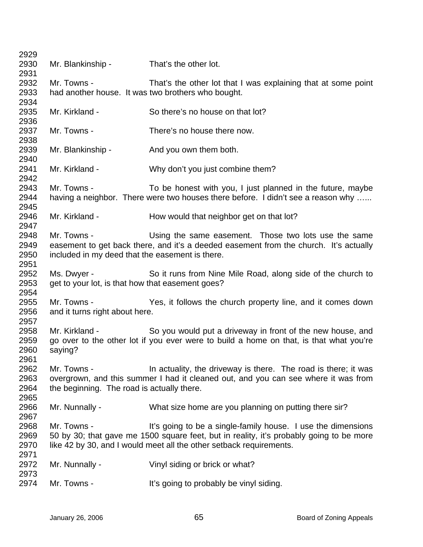| 2929 |                                                  |                                                                                         |
|------|--------------------------------------------------|-----------------------------------------------------------------------------------------|
| 2930 | Mr. Blankinship -                                | That's the other lot.                                                                   |
| 2931 |                                                  |                                                                                         |
| 2932 | Mr. Towns -                                      | That's the other lot that I was explaining that at some point                           |
| 2933 |                                                  | had another house. It was two brothers who bought.                                      |
| 2934 |                                                  |                                                                                         |
| 2935 | Mr. Kirkland -                                   | So there's no house on that lot?                                                        |
| 2936 |                                                  |                                                                                         |
| 2937 | Mr. Towns -                                      | There's no house there now.                                                             |
| 2938 |                                                  |                                                                                         |
| 2939 | Mr. Blankinship -                                | And you own them both.                                                                  |
| 2940 |                                                  |                                                                                         |
| 2941 | Mr. Kirkland -                                   | Why don't you just combine them?                                                        |
| 2942 |                                                  |                                                                                         |
| 2943 | Mr. Towns -                                      | To be honest with you, I just planned in the future, maybe                              |
| 2944 |                                                  | having a neighbor. There were two houses there before. I didn't see a reason why        |
| 2945 |                                                  |                                                                                         |
| 2946 | Mr. Kirkland -                                   | How would that neighbor get on that lot?                                                |
| 2947 |                                                  |                                                                                         |
| 2948 | Mr. Towns -                                      | Using the same easement. Those two lots use the same                                    |
| 2949 |                                                  | easement to get back there, and it's a deeded easement from the church. It's actually   |
| 2950 | included in my deed that the easement is there.  |                                                                                         |
| 2951 |                                                  |                                                                                         |
| 2952 | Ms. Dwyer -                                      | So it runs from Nine Mile Road, along side of the church to                             |
| 2953 | get to your lot, is that how that easement goes? |                                                                                         |
| 2954 |                                                  |                                                                                         |
| 2955 | Mr. Towns -                                      | Yes, it follows the church property line, and it comes down                             |
| 2956 | and it turns right about here.                   |                                                                                         |
| 2957 |                                                  |                                                                                         |
| 2958 | Mr. Kirkland -                                   | So you would put a driveway in front of the new house, and                              |
| 2959 |                                                  | go over to the other lot if you ever were to build a home on that, is that what you're  |
| 2960 | saying?                                          |                                                                                         |
| 2961 |                                                  |                                                                                         |
| 2962 | Mr. Towns -                                      | In actuality, the driveway is there. The road is there; it was                          |
| 2963 |                                                  | overgrown, and this summer I had it cleaned out, and you can see where it was from      |
| 2964 | the beginning. The road is actually there.       |                                                                                         |
| 2965 |                                                  |                                                                                         |
| 2966 | Mr. Nunnally -                                   | What size home are you planning on putting there sir?                                   |
| 2967 |                                                  |                                                                                         |
| 2968 | Mr. Towns -                                      | It's going to be a single-family house. I use the dimensions                            |
| 2969 |                                                  | 50 by 30; that gave me 1500 square feet, but in reality, it's probably going to be more |
| 2970 |                                                  | like 42 by 30, and I would meet all the other setback requirements.                     |
| 2971 |                                                  |                                                                                         |
| 2972 | Mr. Nunnally -                                   | Vinyl siding or brick or what?                                                          |
| 2973 |                                                  |                                                                                         |
| 2974 | Mr. Towns -                                      | It's going to probably be vinyl siding.                                                 |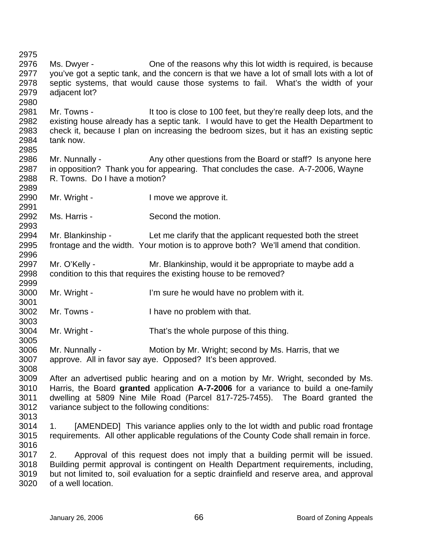2975 2976 2977 2978 2979 2980 2981 2982 2983 2984 2985 2986 2987 2988 2989 2990 2991 2992 2993 2994 2995 2996 2997 2998 2999 3000 3001 3002 3003 3004 3005 3006 3007 3008 3009 3010 3011 3012 3013 3014 3015 3016 3017 3018 3019 3020 Ms. Dwyer - Che of the reasons why this lot width is required, is because you've got a septic tank, and the concern is that we have a lot of small lots with a lot of septic systems, that would cause those systems to fail. What's the width of your adjacent lot? Mr. Towns - It too is close to 100 feet, but they're really deep lots, and the existing house already has a septic tank. I would have to get the Health Department to check it, because I plan on increasing the bedroom sizes, but it has an existing septic tank now. Mr. Nunnally - Any other questions from the Board or staff? Is anyone here in opposition? Thank you for appearing. That concludes the case. A-7-2006, Wayne R. Towns. Do I have a motion? Mr. Wright - The Music Contract is a lower we approve it. Ms. Harris - Second the motion. Mr. Blankinship - Let me clarify that the applicant requested both the street frontage and the width. Your motion is to approve both? We'll amend that condition. Mr. O'Kelly - Mr. Blankinship, would it be appropriate to maybe add a condition to this that requires the existing house to be removed? Mr. Wright - I'm sure he would have no problem with it. Mr. Towns - I have no problem with that. Mr. Wright - That's the whole purpose of this thing. Mr. Nunnally - Motion by Mr. Wright; second by Ms. Harris, that we approve. All in favor say aye. Opposed? It's been approved. After an advertised public hearing and on a motion by Mr. Wright, seconded by Ms. Harris, the Board **granted** application **A-7-2006** for a variance to build a one-family dwelling at 5809 Nine Mile Road (Parcel 817-725-7455). The Board granted the variance subject to the following conditions: 1. [AMENDED] This variance applies only to the lot width and public road frontage requirements. All other applicable regulations of the County Code shall remain in force. 2. Approval of this request does not imply that a building permit will be issued. Building permit approval is contingent on Health Department requirements, including, but not limited to, soil evaluation for a septic drainfield and reserve area, and approval of a well location.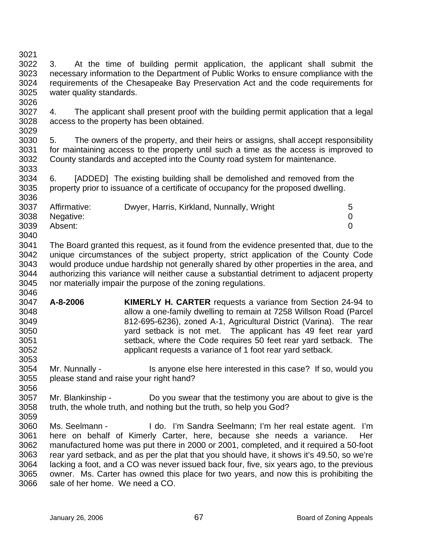3021 3022 3023 3024 3025 3026 3027 3. At the time of building permit application, the applicant shall submit the necessary information to the Department of Public Works to ensure compliance with the requirements of the Chesapeake Bay Preservation Act and the code requirements for water quality standards.

3028 4. The applicant shall present proof with the building permit application that a legal access to the property has been obtained.

3029

3030 3031 3032 3033 5. The owners of the property, and their heirs or assigns, shall accept responsibility for maintaining access to the property until such a time as the access is improved to County standards and accepted into the County road system for maintenance.

3034 3035 3036 6. [ADDED] The existing building shall be demolished and removed from the property prior to issuance of a certificate of occupancy for the proposed dwelling.

| 3037 | Affirmative: | Dwyer, Harris, Kirkland, Nunnally, Wright | 5. |
|------|--------------|-------------------------------------------|----|
| 3038 | Negative:    |                                           |    |
| 3039 | Absent:      |                                           |    |
| 3040 |              |                                           |    |

3041 3042 3043 3044 3045 3046 The Board granted this request, as it found from the evidence presented that, due to the unique circumstances of the subject property, strict application of the County Code would produce undue hardship not generally shared by other properties in the area, and authorizing this variance will neither cause a substantial detriment to adjacent property nor materially impair the purpose of the zoning regulations.

- 3047 3048 3049 3050 3051 3052 **A-8-2006 KIMERLY H. CARTER** requests a variance from Section 24-94 to allow a one-family dwelling to remain at 7258 Willson Road (Parcel 812-695-6236), zoned A-1, Agricultural District (Varina). The rear yard setback is not met. The applicant has 49 feet rear yard setback, where the Code requires 50 feet rear yard setback. The applicant requests a variance of 1 foot rear yard setback.
- 3053 3054 3055 3056 Mr. Nunnally - Is anyone else here interested in this case? If so, would you please stand and raise your right hand?
- 3057 3058 Mr. Blankinship - Do you swear that the testimony you are about to give is the truth, the whole truth, and nothing but the truth, so help you God?
- 3059 3060 3061 3062 3063 3064 3065 3066 Ms. Seelmann - I do. I'm Sandra Seelmann; I'm her real estate agent. I'm here on behalf of Kimerly Carter, here, because she needs a variance. Her manufactured home was put there in 2000 or 2001, completed, and it required a 50-foot rear yard setback, and as per the plat that you should have, it shows it's 49.50, so we're lacking a foot, and a CO was never issued back four, five, six years ago, to the previous owner. Ms. Carter has owned this place for two years, and now this is prohibiting the sale of her home. We need a CO.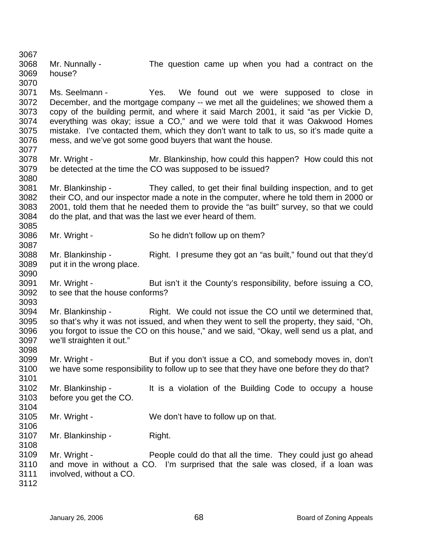3067 3068 3069 3070 3071 3072 3073 3074 3075 3076 3077 3078 3079 3080 3081 3082 3083 3084 3085 3086 3087 3088 3089 3090 3091 3092 3093 3094 3095 3096 3097 3098 3099 3100 3101 3102 3103 3104 3105 3106 3107 3108 3109 3110 3111 3112 Mr. Nunnally - The question came up when you had a contract on the house? Ms. Seelmann - Thes. We found out we were supposed to close in December, and the mortgage company -- we met all the guidelines; we showed them a copy of the building permit, and where it said March 2001, it said "as per Vickie D, everything was okay; issue a CO," and we were told that it was Oakwood Homes mistake. I've contacted them, which they don't want to talk to us, so it's made quite a mess, and we've got some good buyers that want the house. Mr. Wright - Mr. Blankinship, how could this happen? How could this not be detected at the time the CO was supposed to be issued? Mr. Blankinship - They called, to get their final building inspection, and to get their CO, and our inspector made a note in the computer, where he told them in 2000 or 2001, told them that he needed them to provide the "as built" survey, so that we could do the plat, and that was the last we ever heard of them. Mr. Wright - So he didn't follow up on them? Mr. Blankinship - Right. I presume they got an "as built," found out that they'd put it in the wrong place. Mr. Wright - But isn't it the County's responsibility, before issuing a CO, to see that the house conforms? Mr. Blankinship - Right. We could not issue the CO until we determined that, so that's why it was not issued, and when they went to sell the property, they said, "Oh, you forgot to issue the CO on this house," and we said, "Okay, well send us a plat, and we'll straighten it out." Mr. Wright - But if you don't issue a CO, and somebody moves in, don't we have some responsibility to follow up to see that they have one before they do that? Mr. Blankinship - It is a violation of the Building Code to occupy a house before you get the CO. Mr. Wright - We don't have to follow up on that. Mr. Blankinship - Right. Mr. Wright - People could do that all the time. They could just go ahead and move in without a CO. I'm surprised that the sale was closed, if a loan was involved, without a CO.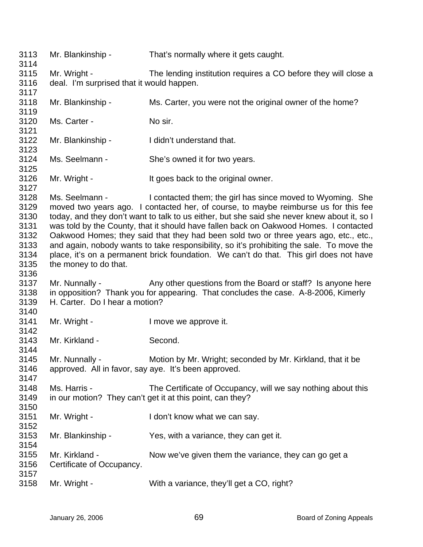3113 3114 3115 3116 3117 3118 3119 3120 3121 3122 3123 3124 3125 3126 3127 3128 3129 3130 3131 3132 3133 3134 3135 3136 3137 3138 3139 3140 3141 3142 3143 3144 3145 3146 3147 3148 3149 3150 3151 3152 3153 3154 3155 3156 3157 3158 Mr. Blankinship - That's normally where it gets caught. Mr. Wright - The lending institution requires a CO before they will close a deal. I'm surprised that it would happen. Mr. Blankinship - Ms. Carter, you were not the original owner of the home? Ms. Carter - No sir. Mr. Blankinship - I didn't understand that. Ms. Seelmann - She's owned it for two years. Mr. Wright - It goes back to the original owner. Ms. Seelmann - I contacted them; the girl has since moved to Wyoming. She moved two years ago. I contacted her, of course, to maybe reimburse us for this fee today, and they don't want to talk to us either, but she said she never knew about it, so I was told by the County, that it should have fallen back on Oakwood Homes. I contacted Oakwood Homes; they said that they had been sold two or three years ago, etc., etc., and again, nobody wants to take responsibility, so it's prohibiting the sale. To move the place, it's on a permanent brick foundation. We can't do that. This girl does not have the money to do that. Mr. Nunnally - Any other questions from the Board or staff? Is anyone here in opposition? Thank you for appearing. That concludes the case. A-8-2006, Kimerly H. Carter. Do I hear a motion? Mr. Wright - The Muslim Cove we approve it. Mr. Kirkland - Second. Mr. Nunnally - Motion by Mr. Wright; seconded by Mr. Kirkland, that it be approved. All in favor, say aye. It's been approved. Ms. Harris - The Certificate of Occupancy, will we say nothing about this in our motion? They can't get it at this point, can they? Mr. Wright - I don't know what we can say. Mr. Blankinship - Yes, with a variance, they can get it. Mr. Kirkland - Now we've given them the variance, they can go get a Certificate of Occupancy. Mr. Wright - With a variance, they'll get a CO, right?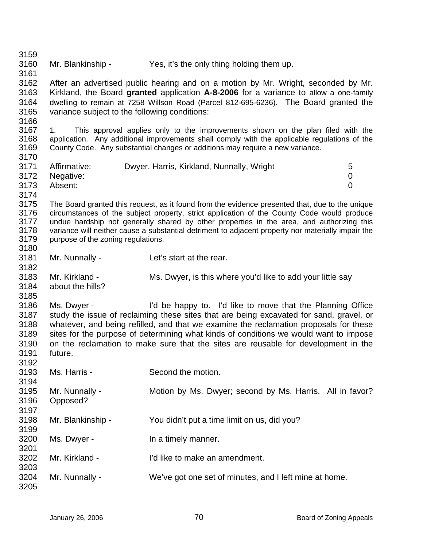3159 3160 3161 3162 3163 3164 3165 3166 3167 3168 3169 3170 3171 3172 3173 3174 3175 3176 3177 3178 3179 3180 3181 3182 3183 3184 3185 3186 3187 3188 3189 3190 3191 3192 3193 3194 3195 3196 3197 3198 3199 3200 3201 3202 3203 3204 3205 Mr. Blankinship - Yes, it's the only thing holding them up. After an advertised public hearing and on a motion by Mr. Wright, seconded by Mr. Kirkland, the Board **granted** application **A-8-2006** for a variance to allow a one-family dwelling to remain at 7258 Willson Road (Parcel 812-695-6236). The Board granted the variance subject to the following conditions: 1. This approval applies only to the improvements shown on the plan filed with the application. Any additional improvements shall comply with the applicable regulations of the County Code. Any substantial changes or additions may require a new variance. Affirmative: Dwyer, Harris, Kirkland, Nunnally, Wright 5 Negative: 0 Absent: 0 The Board granted this request, as it found from the evidence presented that, due to the unique circumstances of the subject property, strict application of the County Code would produce undue hardship not generally shared by other properties in the area, and authorizing this variance will neither cause a substantial detriment to adjacent property nor materially impair the purpose of the zoning regulations. Mr. Nunnally - Let's start at the rear. Mr. Kirkland - Ms. Dwyer, is this where you'd like to add your little say about the hills? Ms. Dwyer - I'd be happy to. I'd like to move that the Planning Office study the issue of reclaiming these sites that are being excavated for sand, gravel, or whatever, and being refilled, and that we examine the reclamation proposals for these sites for the purpose of determining what kinds of conditions we would want to impose on the reclamation to make sure that the sites are reusable for development in the future. Ms. Harris - Second the motion. Mr. Nunnally - Motion by Ms. Dwyer; second by Ms. Harris. All in favor? Opposed? Mr. Blankinship - You didn't put a time limit on us, did you? Ms. Dwyer - The a timely manner. Mr. Kirkland - I'd like to make an amendment. Mr. Nunnally - We've got one set of minutes, and I left mine at home.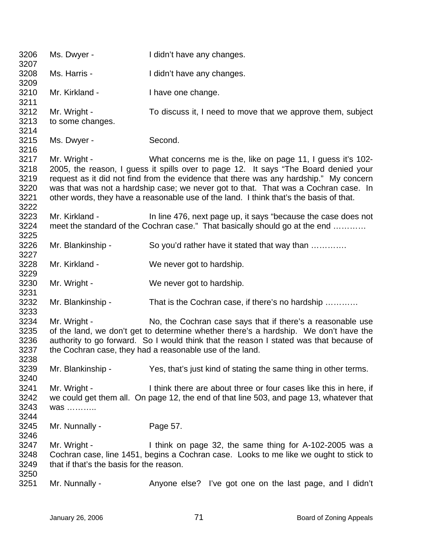| 3206<br>3207                         | Ms. Dwyer -                                              | I didn't have any changes.                                                                                                                                                                                                                                                                                                                                                                                                   |
|--------------------------------------|----------------------------------------------------------|------------------------------------------------------------------------------------------------------------------------------------------------------------------------------------------------------------------------------------------------------------------------------------------------------------------------------------------------------------------------------------------------------------------------------|
| 3208<br>3209                         | Ms. Harris -                                             | I didn't have any changes.                                                                                                                                                                                                                                                                                                                                                                                                   |
| 3210<br>3211                         | Mr. Kirkland -                                           | I have one change.                                                                                                                                                                                                                                                                                                                                                                                                           |
| 3212<br>3213<br>3214                 | Mr. Wright -<br>to some changes.                         | To discuss it, I need to move that we approve them, subject                                                                                                                                                                                                                                                                                                                                                                  |
| 3215<br>3216                         | Ms. Dwyer -                                              | Second.                                                                                                                                                                                                                                                                                                                                                                                                                      |
| 3217<br>3218<br>3219<br>3220<br>3221 | Mr. Wright -                                             | What concerns me is the, like on page 11, I guess it's 102-<br>2005, the reason, I guess it spills over to page 12. It says "The Board denied your<br>request as it did not find from the evidence that there was any hardship." My concern<br>was that was not a hardship case; we never got to that. That was a Cochran case. In<br>other words, they have a reasonable use of the land. I think that's the basis of that. |
| 3222<br>3223<br>3224<br>3225         | Mr. Kirkland -                                           | In line 476, next page up, it says "because the case does not<br>meet the standard of the Cochran case." That basically should go at the end                                                                                                                                                                                                                                                                                 |
| 3226<br>3227                         | Mr. Blankinship -                                        | So you'd rather have it stated that way than                                                                                                                                                                                                                                                                                                                                                                                 |
| 3228<br>3229                         | Mr. Kirkland -                                           | We never got to hardship.                                                                                                                                                                                                                                                                                                                                                                                                    |
| 3230<br>3231                         | Mr. Wright -                                             | We never got to hardship.                                                                                                                                                                                                                                                                                                                                                                                                    |
| 3232<br>3233                         | Mr. Blankinship -                                        | That is the Cochran case, if there's no hardship                                                                                                                                                                                                                                                                                                                                                                             |
| 3234<br>3235<br>3236<br>3237<br>3238 | Mr. Wright -                                             | No, the Cochran case says that if there's a reasonable use<br>of the land, we don't get to determine whether there's a hardship. We don't have the<br>authority to go forward. So I would think that the reason I stated was that because of<br>the Cochran case, they had a reasonable use of the land.                                                                                                                     |
| 3239<br>3240                         | Mr. Blankinship -                                        | Yes, that's just kind of stating the same thing in other terms.                                                                                                                                                                                                                                                                                                                                                              |
| 3241<br>3242<br>3243<br>3244         | Mr. Wright -<br>was                                      | I think there are about three or four cases like this in here, if<br>we could get them all. On page 12, the end of that line 503, and page 13, whatever that                                                                                                                                                                                                                                                                 |
| 3245<br>3246                         | Mr. Nunnally -                                           | Page 57.                                                                                                                                                                                                                                                                                                                                                                                                                     |
| 3247<br>3248<br>3249                 | Mr. Wright -<br>that if that's the basis for the reason. | I think on page 32, the same thing for A-102-2005 was a<br>Cochran case, line 1451, begins a Cochran case. Looks to me like we ought to stick to                                                                                                                                                                                                                                                                             |
| 3250<br>3251                         | Mr. Nunnally -                                           | Anyone else? I've got one on the last page, and I didn't                                                                                                                                                                                                                                                                                                                                                                     |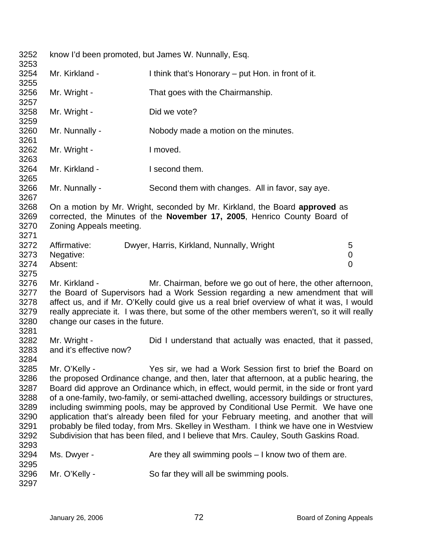3252 3253 3254 3255 3256 3257 3258 3259 3260 3261 3262 3263 3264 3265 3266 3267 3268 3269 3270 3271 3272 3273 3274 3275 3276 3277 3278 3279 3280 3281 3282 3283 3284 3285 3286 3287 3288 3289 3290 3291 3292 3293 3294 3295 3296 3297 know I'd been promoted, but James W. Nunnally, Esq. Mr. Kirkland - I think that's Honorary – put Hon. in front of it. Mr. Wright - That goes with the Chairmanship. Mr. Wright - Did we vote? Mr. Nunnally - Nobody made a motion on the minutes. Mr. Wright - The Music Contract and Music Contract Interved. Mr. Kirkland - **I** second them. Mr. Nunnally - Second them with changes. All in favor, say aye. On a motion by Mr. Wright, seconded by Mr. Kirkland, the Board **approved** as corrected, the Minutes of the **November 17, 2005**, Henrico County Board of Zoning Appeals meeting. Affirmative: Dwyer, Harris, Kirkland, Nunnally, Wright 5 Negative: 0 Absent: 0 Mr. Kirkland - Mr. Chairman, before we go out of here, the other afternoon, the Board of Supervisors had a Work Session regarding a new amendment that will affect us, and if Mr. O'Kelly could give us a real brief overview of what it was, I would really appreciate it. I was there, but some of the other members weren't, so it will really change our cases in the future. Mr. Wright - The Did I understand that actually was enacted, that it passed, and it's effective now? Mr. O'Kelly - Yes sir, we had a Work Session first to brief the Board on the proposed Ordinance change, and then, later that afternoon, at a public hearing, the Board did approve an Ordinance which, in effect, would permit, in the side or front yard of a one-family, two-family, or semi-attached dwelling, accessory buildings or structures, including swimming pools, may be approved by Conditional Use Permit. We have one application that's already been filed for your February meeting, and another that will probably be filed today, from Mrs. Skelley in Westham. I think we have one in Westview Subdivision that has been filed, and I believe that Mrs. Cauley, South Gaskins Road. Ms. Dwyer -  $\blacksquare$  Are they all swimming pools  $-1$  know two of them are. Mr. O'Kelly - So far they will all be swimming pools.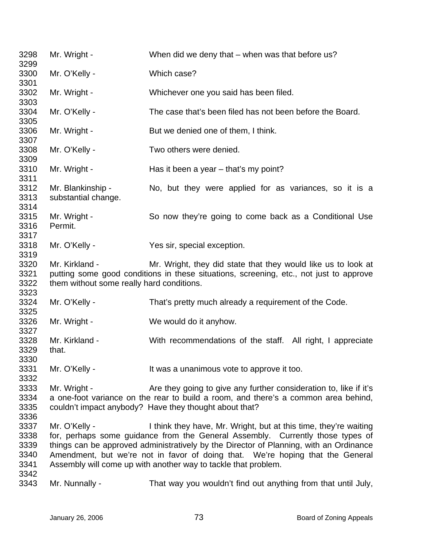Mr. Wright - When did we deny that – when was that before us? Mr. O'Kelly - Which case? Mr. Wright - Whichever one you said has been filed. Mr. O'Kelly - The case that's been filed has not been before the Board. Mr. Wright - But we denied one of them, I think. Mr. O'Kelly - Two others were denied. Mr. Wright - Has it been a year – that's my point? Mr. Blankinship - Mo, but they were applied for as variances, so it is a substantial change. Mr. Wright - So now they're going to come back as a Conditional Use Permit. Mr. O'Kelly - Yes sir, special exception. Mr. Kirkland - Mr. Wright, they did state that they would like us to look at putting some good conditions in these situations, screening, etc., not just to approve them without some really hard conditions. Mr. O'Kelly - That's pretty much already a requirement of the Code. Mr. Wright - We would do it anyhow. Mr. Kirkland - With recommendations of the staff. All right, I appreciate that. Mr. O'Kelly - It was a unanimous vote to approve it too. Mr. Wright - Are they going to give any further consideration to, like if it's a one-foot variance on the rear to build a room, and there's a common area behind, couldn't impact anybody? Have they thought about that? Mr. O'Kelly - I think they have, Mr. Wright, but at this time, they're waiting for, perhaps some guidance from the General Assembly. Currently those types of things can be approved administratively by the Director of Planning, with an Ordinance Amendment, but we're not in favor of doing that. We're hoping that the General Assembly will come up with another way to tackle that problem. Mr. Nunnally - That way you wouldn't find out anything from that until July,